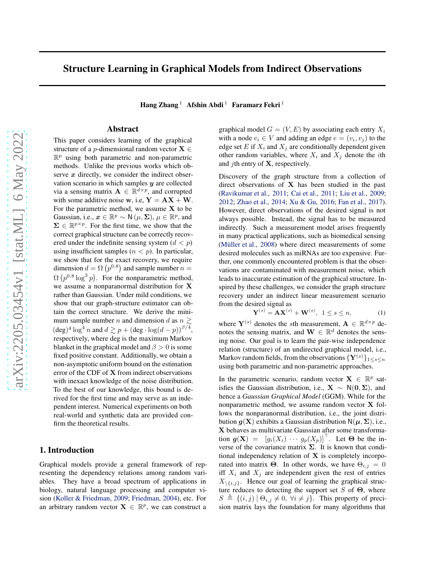# Structure Learning in Graphical Models from Indirect Observations

Hang Zhang  $^1$  Afshin Abdi <sup>1</sup> Faramarz Fekri <sup>1</sup>

### Abstract

This paper considers learning of the graphical structure of a *p*-dimensional random vector  $X \in$  $\mathbb{R}^p$  using both parametric and non-parametric methods. Unlike the previous works which observe  $x$  directly, we consider the indirect observation scenario in which samples  $y$  are collected via a sensing matrix  $\mathbf{A} \in \mathbb{R}^{d \times p}$ , and corrupted with some additive noise w, i.e,  $Y = AX + W$ . For the parametric method, we assume  $X$  to be Gaussian, i.e.,  $x \in \mathbb{R}^p \sim \mathsf{N}(\mu, \Sigma)$ ,  $\mu \in \mathbb{R}^p$ , and  $\Sigma \in \mathbb{R}^{p \times p}$ . For the first time, we show that the correct graphical structure can be correctly recovered under the indefinite sensing system  $(d < p)$ using insufficient samples  $(n < p)$ . In particular, we show that for the exact recovery, we require dimension  $d = \Omega(p^{0.8})$  and sample number  $n =$  $\Omega(p^{0.8} \log^3 p)$ . For the nonparametric method, we assume a nonparanormal distribution for X rather than Gaussian. Under mild conditions, we show that our graph-structure estimator can obtain the correct structure. We derive the minimum sample number n and dimension d as  $n \geq$  $(\text{deg})^4 \log^4 n$  and  $d \gtrsim p + (\text{deg} \cdot \log(d-p))^{3/4}$ , respectively, where deg is the maximum Markov blanket in the graphical model and  $\beta > 0$  is some fixed positive constant. Additionally, we obtain a non-asymptotic uniform bound on the estimation error of the CDF of X from indirect observations with inexact knowledge of the noise distribution. To the best of our knowledge, this bound is derived for the first time and may serve as an independent interest. Numerical experiments on both real-world and synthetic data are provided confirm the theoretical results.

# 1. Introduction

Graphical models provide a general framework of representing the dependency relations among random variables. They have a broad spectrum of applications in biology, natural language processing and computer vision [\(Koller & Friedman](#page-8-0), [2009;](#page-8-0) [Friedman,](#page-8-1) [2004\)](#page-8-1), etc. For an arbitrary random vector  $X \in \mathbb{R}^p$ , we can construct a

graphical model  $G = (V, E)$  by associating each entry  $X_i$ with a node  $v_i \in V$  and adding an edge  $e = (v_i, v_j)$  to the edge set E if  $X_i$  and  $X_j$  are conditionally dependent given other random variables, where  $X_i$  and  $X_j$  denote the *i*th and *j*th entry of  $X$ , respectively.

Discovery of the graph structure from a collection of direct observations of X has been studied in the past [\(Ravikumar et al.](#page-9-0), [2011;](#page-9-0) [Cai et al.,](#page-8-2) [2011](#page-8-2); [Liu et al.](#page-8-3), [2009;](#page-8-3) [2012;](#page-8-4) [Zhao et al.,](#page-9-1) [2014](#page-9-1); [Xu & Gu,](#page-9-2) [2016;](#page-9-2) [Fan et al.,](#page-8-5) [2017\)](#page-8-5). However, direct observations of the desired signal is not always possible. Instead, the signal has to be measured indirectly. Such a measurement model arises frequently in many practical applications, such as biomedical sensing (Müller et al., [2008\)](#page-8-6) where direct measurements of some desired molecules such as miRNAs are too expensive. Further, one commonly encountered problem is that the observations are contaminated with measurement noise, which leads to inaccurate estimation of the graphical structure. Inspired by these challenges, we consider the graph structure recovery under an indirect linear measurement scenario from the desired signal as

$$
\mathbf{Y}^{(s)} = \mathbf{A}\mathbf{X}^{(s)} + \mathbf{W}^{(s)}, \ \ 1 \le s \le n,
$$
 (1)

where  $Y^{(s)}$  denotes the sth measurement,  $A \in \mathbb{R}^{d \times p}$  denotes the sensing matrix, and  $\mathbf{W} \in \mathbb{R}^d$  denotes the sensing noise. Our goal is to learn the pair-wise independence relation (structure) of an undirected graphical model, i.e., Markov random fields, from the observations  ${Y^{(s)}}_{1\leq s\leq n}$ using both parametric and non-parametric approaches.

In the parametric scenario, random vector  $X \in \mathbb{R}^p$  satisfies the Gaussian distribution, i.e.,  $X \sim N(0, \Sigma)$ , and hence a *Gaussian Graphical Model* (GGM). While for the nonparametric method, we assume random vector X follows the nonparanormal distribution, i.e., the joint distribution  $q(X)$  exhibits a Gaussian distribution  $N(\mu, \Sigma)$ , i.e., X behaves as multivariate Gaussian after some transformation  $g(\mathbf{X}) = [g_i(X_i) \cdots g_p(X_p)]^{\top}$ . Let  $\Theta$  be the inverse of the covariance matrix  $\Sigma$ . It is known that conditional independency relation of  $X$  is completely incorporated into matrix **Θ**. In other words, we have  $\Theta_{i,j} = 0$ iff  $X_i$  and  $X_j$  are independent given the rest of entries  $X_{\setminus \{i,j\}}$ . Hence our goal of learning the graphical structure reduces to detecting the support set S of  $\Theta$ , where  $S \triangleq \{(i, j) | \Theta_{i,j} \neq 0, \forall i \neq j\}.$  This property of precision matrix lays the foundation for many algorithms that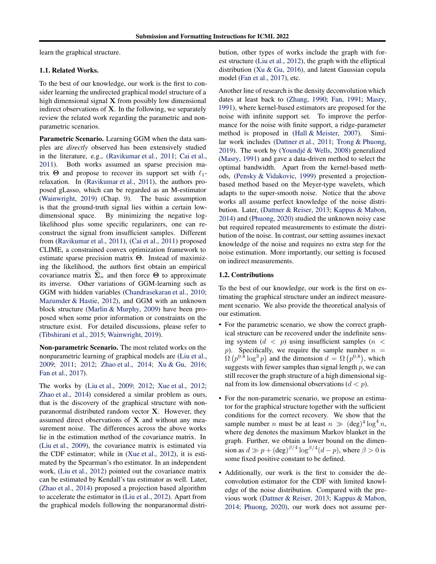learn the graphical structure.

# 1.1. Related Works.

To the best of our knowledge, our work is the first to consider learning the undirected graphical model structure of a high dimensional signal X from possibly low dimensional indirect observations of  $X$ . In the following, we separately review the related work regarding the parametric and nonparametric scenarios.

Parametric Scenario. Learning GGM when the data samples are *directly* observed has been extensively studied in the literature, e.g., [\(Ravikumar et al.,](#page-9-0) [2011;](#page-9-0) [Cai et al.](#page-8-2), [2011\)](#page-8-2). Both works assumed an sparse precision matrix  $\Theta$  and propose to recover its support set with  $\ell_1$ relaxation. In [\(Ravikumar et al.,](#page-9-0) [2011](#page-9-0)), the authors proposed gLasso, which can be regarded as an M-estimator [\(Wainwright](#page-9-3), [2019](#page-9-3)) (Chap. 9). The basic assumption is that the ground-truth signal lies within a certain lowdimensional space. By minimizing the negative loglikelihood plus some specific regularizers, one can reconstruct the signal from insufficient samples. Different from [\(Ravikumar et al.](#page-9-0), [2011\)](#page-9-0), [\(Cai et al.,](#page-8-2) [2011\)](#page-8-2) proposed CLIME, a constrained convex optimization framework to estimate sparse precision matrix Θ. Instead of maximizing the likelihood, the authors first obtain an empirical covariance matrix  $\hat{\Sigma}_n$  and then force  $\Theta$  to approximate its inverse. Other variations of GGM-learning such as GGM with hidden variables [\(Chandrasekaran et al.,](#page-8-7) [2010;](#page-8-7) [Mazumder & Hastie,](#page-8-8) [2012\)](#page-8-8), and GGM with an unknown block structure [\(Marlin & Murphy,](#page-8-9) [2009](#page-8-9)) have been proposed when some prior information or constraints on the structure exist. For detailed discussions, please refer to [\(Tibshirani et al.,](#page-9-4) [2015;](#page-9-4) [Wainwright,](#page-9-3) [2019\)](#page-9-3).

Non-parametric Scenario. The most related works on the nonparametric learning of graphical models are [\(Liu et al.](#page-8-3), [2009;](#page-8-3) [2011](#page-8-10); [2012](#page-8-4); [Zhao et al.](#page-9-1), [2014;](#page-9-1) [Xu & Gu,](#page-9-2) [2016;](#page-9-2) [Fan et al.](#page-8-5), [2017](#page-8-5)).

The works by [\(Liu et al.,](#page-8-3) [2009](#page-8-3); [2012;](#page-8-4) [Xue et al.](#page-9-5), [2012;](#page-9-5) [Zhao et al.,](#page-9-1) [2014\)](#page-9-1) considered a similar problem as ours, that is the discovery of the graphical structure with nonparanormal distributed random vector X. However, they assumed direct observations of X and without any measurement noise. The differences across the above works lie in the estimation method of the covariance matrix. In [\(Liu et al.](#page-8-3), [2009\)](#page-8-3), the covariance matrix is estimated via the CDF estimator; while in [\(Xue et al.](#page-9-5), [2012\)](#page-9-5), it is estimated by the Spearman's rho estimator. In an independent work, [\(Liu et al.](#page-8-4), [2012](#page-8-4)) pointed out the covariance matrix can be estimated by Kendall's tau estimator as well. Later, [\(Zhao et al.,](#page-9-1) [2014\)](#page-9-1) proposed a projection based algorithm to accelerate the estimator in [\(Liu et al.](#page-8-4), [2012](#page-8-4)). Apart from the graphical models following the nonparanormal distribution, other types of works include the graph with forest structure [\(Liu et al.,](#page-8-4) [2012\)](#page-8-4), the graph with the elliptical distribution [\(Xu & Gu,](#page-9-2) [2016\)](#page-9-2), and latent Gaussian copula model [\(Fan et al.,](#page-8-5) [2017\)](#page-8-5), etc.

Another line of research is the density deconvolution which dates at least back to [\(Zhang,](#page-9-6) [1990;](#page-9-6) [Fan,](#page-8-11) [1991;](#page-8-11) [Masry](#page-8-12), [1991\)](#page-8-12), where kernel-based estimators are proposed for the noise with infinite support set. To improve the performance for the noise with finite support, a ridge-parameter method is proposed in [\(Hall & Meister,](#page-8-13) [2007\)](#page-8-13). Similar work includes [\(Dattner et al.](#page-8-14), [2011;](#page-8-14) [Trong & Phuong](#page-9-7), [2019\)](#page-9-7). The work by (Youndjé  $&$  Wells, [2008](#page-9-8)) generalized [\(Masry,](#page-8-12) [1991](#page-8-12)) and gave a data-driven method to select the optimal bandwidth. Apart from the kernel-based methods, [\(Pensky & Vidakovic,](#page-8-15) [1999\)](#page-8-15) presented a projectionbased method based on the Meyer-type wavelets, which adapts to the super-smooth noise. Notice that the above works all assume perfect knowledge of the noise distribution. Later, [\(Dattner & Reiser,](#page-8-16) [2013;](#page-8-16) [Kappus & Mabon](#page-8-17), [2014\)](#page-8-17) and [\(Phuong,](#page-9-9) [2020\)](#page-9-9) studied the unknown noisy case but required repeated measurements to estimate the distribution of the noise. In contrast, our setting assumes inexact knowledge of the noise and requires no extra step for the noise estimation. More importantly, our setting is focused on indirect measurements.

### 1.2. Contributions

To the best of our knowledge, our work is the first on estimating the graphical structure under an indirect measurement scenario. We also provide the theoretical analysis of our estimation.

- For the parametric scenario, we show the correct graphical structure can be recovered under the indefinite sensing system  $(d < p)$  using insufficient samples  $(n <$ p). Specifically, we require the sample number  $n =$  $\Omega(p^{0.8} \log^3 p)$  and the dimension  $d = \Omega(p^{0.8})$ , which suggests with fewer samples than signal length  $p$ , we can still recover the graph structure of a high dimensional signal from its low dimensional observations  $(d < p)$ .
- For the non-parametric scenario, we propose an estimator for the graphical structure together with the sufficient conditions for the correct recovery. We show that the sample number *n* must be at least  $n \gg (\text{deg})^4 \log^4 n$ , where deg denotes the maximum Markov blanket in the graph. Further, we obtain a lower bound on the dimension as  $d \gg p + (\deg)^{\beta/4} \log^{\beta/4} (d-p)$ , where  $\beta > 0$  is some fixed positive constant to be defined.
- Additionally, our work is the first to consider the deconvolution estimator for the CDF with limited knowledge of the noise distribution. Compared with the previous work [\(Dattner & Reiser](#page-8-16), [2013;](#page-8-16) [Kappus & Mabon](#page-8-17), [2014;](#page-8-17) [Phuong,](#page-9-9) [2020\)](#page-9-9), our work does not assume per-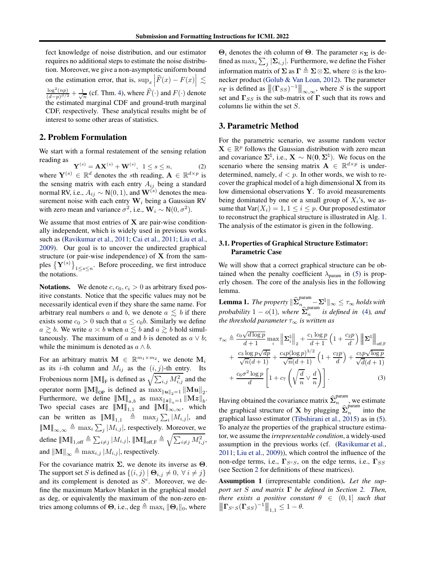fect knowledge of noise distribution, and our estimator requires no additional steps to estimate the noise distribution. Moreover, we give a non-asymptotic uniform bound on the estimation error, that is,  $\sup_x \left| \widehat{F}(x) - F(x) \right| \lesssim$  $\frac{\log^2(np)}{(d-p)^{\beta/2}} + \frac{1}{\sqrt{n}}$  (cf. Thm. [4\)](#page-5-0), where  $\widehat{F}(\cdot)$  and  $F(\cdot)$  denote the estimated marginal CDF and ground-truth marginal CDF, respectively. These analytical results might be of interest to some other areas of statistics.

### <span id="page-2-0"></span>2. Problem Formulation

We start with a formal restatement of the sensing relation reading as

 $\mathbf{Y}^{(s)} = \mathbf{A}\mathbf{X}^{(s)} + \mathbf{W}^{(s)}, \ \ 1 \leq s \leq n,$  (2) where  $\mathbf{Y}^{(s)} \in \mathbb{R}^d$  denotes the sth reading,  $\mathbf{A} \in \mathbb{R}^{d \times p}$  is the sensing matrix with each entry  $A_{ij}$  being a standard normal RV, i.e.,  $A_{ij} \sim N(0, 1)$ , and  $\mathbf{W}^{(s)}$  denotes the measurement noise with each entry  $W_i$  being a Gaussian RV with zero mean and variance  $\sigma^2$ , i.e.,  $\mathbf{W}_i \sim N(0, \sigma^2)$ .

We assume that most entries of  $X$  are pair-wise conditionally independent, which is widely used in previous works such as [\(Ravikumar et al.](#page-9-0), [2011](#page-9-0); [Cai et al.](#page-8-2), [2011](#page-8-2); [Liu et al.](#page-8-3), [2009\)](#page-8-3). Our goal is to uncover the undirected graphical structure (or pair-wise independence) of  $X$  from the samples  $\{ \mathbf{Y}^{(s)} \}$  $_{1\leq s\leq n}$ . Before proceeding, we first introduce the notations.

**Notations.** We denote  $c, c_0, c_i > 0$  as arbitrary fixed positive constants. Notice that the specific values may not be necessarily identical even if they share the same name. For arbitrary real numbers a and b, we denote  $a \lesssim b$  if there exists some  $c_0 > 0$  such that  $a \leq c_0 b$ . Similarly we define  $a \gtrsim b$ . We write  $a \asymp b$  when  $a \lesssim b$  and  $a \gtrsim b$  hold simultaneously. The maximum of a and b is denoted as  $a \vee b$ ; while the minimum is denoted as  $a \wedge b$ .

For an arbitrary matrix  $\mathbf{M} \in \mathbb{R}^{m_1 \times m_2}$ , we denote  $\mathbf{M}_i$ as its *i*-th column and  $M_{ij}$  as the  $(i, j)$ -th entry. Its Frobenious norm  ${|\!|\!|} M{|\!|\!|} _F$  is defined as  $\sqrt{\sum_{i,j} M_{i,j}^2}$  and the operator norm  $||M||_{OP}$  is defined as  $\max_{||u||_2=1} ||Mu||_2$ . Furthermore, we define  $||M||_{a,b}$  as  $\max_{||z||_a=1}^{||z||_a=1} ||Mz||_b$ . Two special cases are  $\|\mathbf{M}\|_{1,1}^{\infty}$  and  $\|\mathbf{M}\|_{\infty,\infty}^{\infty}$ , which can be written as  $||M||_{1,1} \triangleq \max_j \sum_i |M_{i,j}|$ , and  $|\!|\!|\mathbf{M}|\!|\!|_{\infty,\infty} \triangleq \max_i \sum_j |M_{i,j}|$ , respectively. Moreover, we define  $|\!|\!|{\bf M}|\!|\!|_{1,\text{off}}\triangleq\sum_{i\neq j}|M_{i,j}|,|\!|\!|{\bf M}|\!|\!|_{\text{off},\text{F}}\triangleq\sqrt{\sum_{i\neq j}M_{i,j}^2},$ and  $\|\mathbf{M}\|_{\infty} \triangleq \max_{i,j} |M_{i,j}|$ , respectively.

For the covariance matrix  $\Sigma$ , we denote its inverse as  $\Theta$ . The support set S is defined as  $\{(i, j) | \Theta_{i,j} \neq 0, \forall i \neq j\}$ and its complement is denoted as  $S<sup>c</sup>$ . Moreover, we define the maximum Markov blanket in the graphical model as deg, or equivalently the maximum of the non-zero entries among columns of  $\Theta$ , i.e., deg  $\triangleq \max_i \|\Theta_i\|_0$ , where

Θ<sub>i</sub> denotes the *i*th column of Θ. The parameter  $\kappa_{\mathbf{\Sigma}}$  is defined as  $\max_i \sum_j |\mathbf{\Sigma}_{i,j}|$ . Furthermore, we define the Fisher information matrix of  $\Sigma$  as  $\Gamma \triangleq \Sigma \otimes \Sigma$ , where  $\otimes$  is the kronecker product [\(Golub & Van Loan](#page-8-18), [2012](#page-8-18)). The parameter  $\kappa_{\Gamma}$  is defined as  $\Vert(\Gamma_{SS})^{-1}\Vert_{\infty,\infty}$ , where S is the support set and  $\Gamma_{SS}$  is the sub-matrix of  $\Gamma$  such that its rows and columns lie within the set S.

### 3. Parametric Method

<span id="page-2-2"></span>For the parametric scenario, we assume random vector  $X \in \mathbb{R}^p$  follows the Gaussian distribution with zero mean and covariance  $\Sigma^{\natural}$ , i.e.,  $X \sim N(0, \Sigma^{\natural})$ . We focus on the scenario where the sensing matrix  $\mathbf{A} \in \mathbb{R}^{d \times p}$  is underdetermined, namely,  $d < p$ . In other words, we wish to recover the graphical model of a high dimensional  $X$  from its low dimensional observations Y. To avoid measurements being dominated by one or a small group of  $X_i$ 's, we assume that  $Var(X_i) = 1, 1 \le i \le p$ . Our proposed estimator to reconstruct the graphical structure is illustrated in Alg. [1.](#page-3-0) The analysis of the estimator is given in the following.

### 3.1. Properties of Graphical Structure Estimator: Parametric Case

We will show that a correct graphical structure can be obtained when the penalty coefficient  $\lambda_{\text{param}}$  in [\(5\)](#page-3-1) is properly chosen. The core of the analysis lies in the following lemma.

**Lemma 1.** *The property*  $\|\widehat{\boldsymbol{\Sigma}}^{\text{param}}_{n_{\frown} \text{param}} - \boldsymbol{\Sigma}^{\natural}\|_{\infty} \leq \tau_{\infty}$  holds with *probability*  $1 - o(1)$ *, where*  $\hat{\Sigma}_n^{\text{param}}$ n *is defined in* [\(4\)](#page-3-2)*, and the threshold parameter*  $\tau_{\infty}$  *is written as* 

$$
\tau_{\infty} \triangleq \frac{c_0 \sqrt{d \log p}}{d+1} \max_{i} \left\| \mathbf{\Sigma}_{i}^{\natural} \right\|_{2} + \frac{c_1 \log p}{d+1} \left( 1 + \frac{c_2 p}{d} \right) \left\| \mathbf{\Sigma}^{\natural} \right\|_{\text{off},F}
$$

$$
+ \frac{c_3 \log p \sqrt{dp}}{\sqrt{n}(d+1)} + \frac{c_4 p (\log p)^{3/2}}{\sqrt{n}(d+1)} \left( 1 + \frac{c_2 p}{d} \right) + \frac{c_5 p \sqrt{\log p}}{\sqrt{d}(d+1)}
$$

$$
+ \frac{c_6 \sigma^2 \log p}{d} \left[ 1 + c_7 \left( \sqrt{\frac{d}{n}} \vee \frac{d}{n} \right) \right]. \tag{3}
$$

<span id="page-2-3"></span>Having obtained the covariance matrix  $\widehat{\Sigma}_n^{\text{param}}$ , we estimate the graphical structure of **X** by plugging  $\hat{\Sigma}_n^{\text{param}}$  $\sum_{n=1}^{\infty}$  into the graphical lasso estimator [\(Tibshirani et al.,](#page-9-4) [2015](#page-9-4)) as in [\(5\)](#page-3-1). To analyze the properties of the graphical structure estimator, we assume the *irrepresentable condition*, a widely-used assumption in the previous works (cf. [\(Ravikumar et al.](#page-9-0), [2011;](#page-9-0) [Liu et al.,](#page-8-3) [2009\)](#page-8-3)), which control the influence of the non-edge terms, i.e.,  $\Gamma_{S^cS}$ , on the edge terms, i.e.,  $\Gamma_{SS}$ (see Section [2](#page-2-0) for definitions of these matrices).

<span id="page-2-1"></span>Assumption 1 (irrepresentable condition). *Let the support set* S *and matrix* Γ *be defined in Section [2.](#page-2-0) Then, there exists a positive constant*  $\theta \in (0,1]$  *such that*  $\|\mathbf{\Gamma}_{S^cS}(\mathbf{\Gamma}_{SS})^{-1}\|_{1,1} \leq 1-\theta.$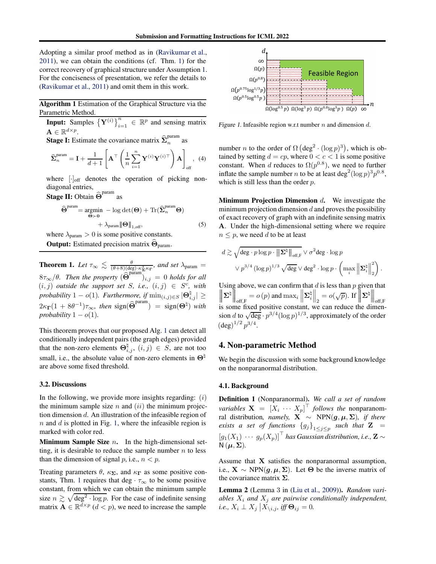Adopting a similar proof method as in [\(Ravikumar et al.](#page-9-0), [2011\)](#page-9-0), we can obtain the conditions (cf. Thm. [1\)](#page-3-3) for the correct recovery of graphical structure under Assumption [1.](#page-2-1) For the conciseness of presentation, we refer the details to [\(Ravikumar et al.](#page-9-0), [2011\)](#page-9-0) and omit them in this work.

Algorithm 1 Estimation of the Graphical Structure via the Parametric Method.

<span id="page-3-0"></span>**Input:** Samples  ${\{\mathbf{Y}^{(i)}\}}_{i=1}^n \in \mathbb{R}^p$  and sensing matrix  $\mathbf{A} \in \mathbb{R}^{d \times p}$ .

**Stage I:** Estimate the covariance matrix  $\widehat{\Sigma}_n^{\text{param}}$  $\frac{1}{n}$  as

$$
\widehat{\boldsymbol{\Sigma}}_{n}^{\text{param}} = \mathbf{I} + \frac{1}{d+1} \left[ \mathbf{A}^{\top} \left( \frac{1}{n} \sum_{i=1}^{n} \mathbf{Y}^{(i)} \mathbf{Y}^{(i)\top} \right) \mathbf{A} \right]_{\text{off}}, \tag{4}
$$

where  $[\cdot]_{\text{off}}$  denotes the operation of picking nondiagonal entries,

**Stage II:** Obtain  $\widehat{\Theta}^{\text{param}}$  as

$$
\widehat{\Theta}^{\text{param}} = \underset{\Theta \succ 0}{\operatorname{argmin}} - \log \det(\Theta) + \operatorname{Tr}(\widehat{\Sigma}_n^{\text{param}} \Theta)
$$
  
+  $\lambda_{\text{param}} \|\Theta\|_{1,\text{off}}$ , (5)

where  $\lambda_{\text{param}} > 0$  is some positive constants. **Output:** Estimated precision matrix  $\Theta_{\text{param}}$ .

<span id="page-3-3"></span>**Theorem 1.** Let  $\tau_{\infty} \leq \frac{\theta}{(\theta+8)(\deg) \cdot \kappa_{\Sigma}^3 \kappa_{\Gamma}}$ , and set  $\lambda_{\text{param}} =$  $8\tau_{\infty}/\theta$ . Then the property  $(\widehat{\Theta}^{\text{param}})_{i,j} = 0$  holds for all  $(i, j)$  *outside the support set*  $S$ , *i.e.*,  $(i, j) \in S^c$ , *with probability*  $1 - o(1)$ *. Furthermore, if*  $\min_{(i,j) \in S} |\Theta_{i,j}^{\natural}| \geq$  $2\kappa_{\mathbf{\Gamma}}(1 + 8\theta^{-1})\tau_{\infty}$ , then sign( $\widehat{\mathbf{\Theta}}^{\text{param}}$ ) = sign( $\mathbf{\Theta}^{\natural}$ ) with *probability*  $1 - o(1)$ *.* 

This theorem proves that our proposed Alg. [1](#page-3-0) can detect all conditionally independent pairs (the graph edges) provided that the non-zero elements  $\Theta_{i,j}^{\natural}$ ,  $(i,j) \in S$ , are not too small, i.e., the absolute value of non-zero elements in  $\Theta^{\natural}$ are above some fixed threshold.

#### 3.2. Discussions

In the following, we provide more insights regarding:  $(i)$ the minimum sample size  $n$  and  $(ii)$  the minimum projection dimension d. An illustration of the infeasible region of  $n$  and  $d$  is plotted in Fig. [1,](#page-3-4) where the infeasible region is marked with color red.

**Minimum Sample Size**  $n$ **.** In the high-dimensional setting, it is desirable to reduce the sample number  $n$  to less than the dimension of signal p, i.e.,  $n < p$ .

Treating parameters  $\theta$ ,  $\kappa_{\Sigma}$ , and  $\kappa_{\Gamma}$  as some positive con-stants, Thm. [1](#page-3-3) requires that deg  $\cdot \tau_{\infty}$  to be some positive constant, from which we can obtain the minimum sample size  $n \gtrsim \sqrt{\deg^2 \cdot \log p}$ . For the case of indefinite sensing matrix  $\mathbf{A} \in \mathbb{R}^{\bar{d} \times p}$  ( $d < p$ ), we need to increase the sample



<span id="page-3-4"></span>Figure 1. Infeasible region w.r.t number  $n$  and dimension  $d$ .

<span id="page-3-2"></span>number *n* to the order of  $\Omega$  (deg<sup>2</sup> · (log *p*)<sup>3</sup>), which is obtained by setting  $d = cp$ , where  $0 < c < 1$  is some positive constant. When d reduces to  $\Omega(p^{0.8})$ , we need to further inflate the sample number *n* to be at least deg<sup>2</sup>(log  $p$ )<sup>3</sup> $p$ <sup>0.8</sup>, which is still less than the order  $p$ .

<span id="page-3-1"></span>**Minimum Projection Dimension d.** We investigate the minimum projection dimension  $d$  and proves the possibility of exact recovery of graph with an indefinite sensing matrix A. Under the high-dimensional setting where we require  $n \leq p$ , we need d to be at least

$$
d \gtrsim \sqrt{\deg \cdot p \log p \cdot \left\| \mathbf{\Sigma}^{\natural} \right\|_{\text{off},F}} \vee \sigma^2 \deg \cdot \log p
$$

$$
\vee p^{3/4} \left( \log p \right)^{1/3} \sqrt{\deg} \vee \deg^2 \cdot \log p \cdot \left( \max_i \left\| \mathbf{\Sigma}_i^{\natural} \right\|_2^2 \right).
$$

Using above, we can confirm that  $d$  is less than  $p$  given that  $\begin{array}{c} \begin{array}{c} \begin{array}{c} \end{array} \\ \begin{array}{c} \end{array} \end{array} \end{array}$  $\parallel$  $\blacksquare$  $\Sigma^\natural\Big[$ Ĭ  $\left\| \begin{matrix} 1 \ \text{off,F} \end{matrix} \right\|$  of  $(p)$  and  $\max_i \left\| \begin{matrix} 1 \ \end{matrix} \right\|$  $\boldsymbol{\Sigma}_i^\natural$  $\Big\|_2 = o(\sqrt{p}).$  If  $\Big\|$ Ĭ Í  $\Sigma^\natural\Big\Vert$   $\Big\|_{\text{off},\text{F}}$ is some fixed positive constant, we can reduce the dimension d to  $\sqrt{\deg} \cdot p^{3/4} (\log p)^{1/3}$ , approximately of the order  $(\text{deg})^{1/2} p^{3/4}.$ 

# 4. Non-parametric Method

We begin the discussion with some background knowledge on the nonparanormal distribution.

#### 4.1. Background

<span id="page-3-5"></span>Definition 1 (Nonparanormal). *We call a set of random variables*  $\mathbf{X} = \begin{bmatrix} X_i & \cdots & X_p \end{bmatrix}^\top$  *follows the* nonparanomral distribution*, namely,* <sup>X</sup> <sup>∼</sup> NPN(g, <sup>µ</sup>, <sup>Σ</sup>)*, if there exists a set of functions*  ${g_j}_{1 \leq j \leq p}$  *such that*  $\mathbf{Z}$  =  $\left[g_1(X_1)\; \cdots \; g_p(X_p)\right]^{\top}$  has Gaussian distribution, i.e.,  $\mathbf{Z} \sim$  $N(\mu, \Sigma)$ .

Assume that X satisfies the nonparanormal assumption, i.e.,  $X \sim \text{NPN}(\mathbf{g}, \mu, \Sigma)$ . Let  $\Theta$  be the inverse matrix of the covariance matrix  $\Sigma$ .

Lemma 2 (Lemma 3 in [\(Liu et al.,](#page-8-3) [2009\)](#page-8-3)). *Random variables*  $X_i$  *and*  $X_j$  *are pairwise conditionally independent,*  $i.e., X_i \perp X_j \big| X_{\setminus i,j}, \text{ iff } \Theta_{ij} = 0.$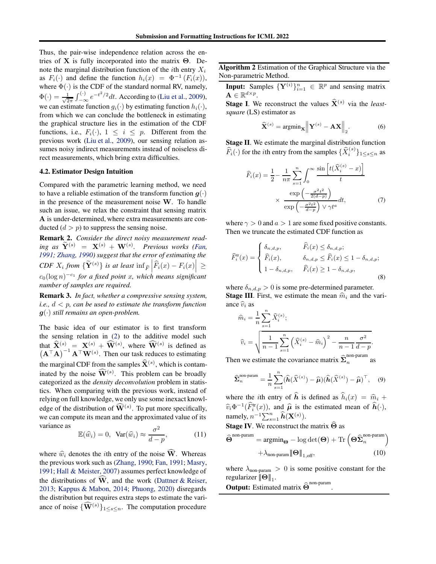Thus, the pair-wise independence relation across the entries of **X** is fully incorporated into the matrix  $\Theta$ . Denote the marginal distribution function of the *i*th entry  $X_i$ as  $F_i(\cdot)$  and define the function  $h_i(x) = \Phi^{-1}(F_i(x)),$ where  $\Phi(\cdot)$  is the CDF of the standard normal RV, namely,  $\Phi(\cdot) = \frac{1}{\sqrt{2}}$  $\frac{1}{2\pi} \int_{-\infty}^{(\cdot)} e^{-t^2/2} dt$ . According to [\(Liu et al.](#page-8-3), [2009\)](#page-8-3), we can estimate function  $q_i(\cdot)$  by estimating function  $h_i(\cdot)$ , from which we can conclude the bottleneck in estimating the graphical structure lies in the estimation of the CDF functions, i.e.,  $F_i(\cdot)$ ,  $1 \leq i \leq p$ . Different from the previous work [\(Liu et al.,](#page-8-3) [2009\)](#page-8-3), our sensing relation assumes noisy indirect measurements instead of noiseless direct measurements, which bring extra difficulties.

#### 4.2. Estimator Design Intuition

Compared with the parametric learning method, we need to have a reliable estimation of the transform function  $q(\cdot)$ in the presence of the measurement noise W. To handle such an issue, we relax the constraint that sensing matrix A is under-determined, where extra measurements are conducted  $(d > p)$  to suppress the sensing noise.

Remark 2. *Consider the direct noisy measurement read-* $\int \mathbf{w} \cdot d\mathbf{w} = \mathbf{X}^{(s)} + \mathbf{W}^{(s)}$ . Previous works [\(Fan,](#page-8-11) *[1991;](#page-8-11) [Zhang,](#page-9-6) [1990\)](#page-9-6) suggest that the error of estimating the*  $CDF\ X_i\ from\ \{\widetilde{\mathbf{Y}}^{(s)}\}$  is at least  $\inf_{\widehat{F}}\left|\widehat{F}_i(x)-F_i(x)\right|\geq$ c0(log n) −c<sup>1</sup> *for a fixed point* x*, which means significant number of samples are required.*

Remark 3. *In fact, whether a compressive sensing system, i.e.,* d < p*, can be used to estimate the transform function* g(·) *still remains an open-problem.*

The basic idea of our estimator is to first transform the sensing relation in [\(2\)](#page-2-2) to the additive model such that  $\widehat{\mathbf{X}}^{(s)} = \mathbf{X}^{(s)} + \widehat{\mathbf{W}}^{(s)}$ , where  $\widehat{\mathbf{W}}^{(s)}$  is defined as  $(A^{\top}A)^{-1}A^{\top}W^{(s)}$ . Then our task reduces to estimating the marginal CDF from the samples  $\hat{\mathbf{X}}^{(s)}$ , which is contaminated by the noise  $\widehat{\mathbf{W}}^{(s)}$ . This problem can be broadly categorized as the *density deconvolution* problem in statistics. When comparing with the previous work, instead of relying on full knowledge, we only use some inexact knowledge of the distribution of  $\widehat{\mathbf{W}}^{(s)}$ . To put more specifically, we can compute its mean and the approximated value of its variance as 2

$$
\mathbb{E}(\widehat{w}_i) = 0, \quad \text{Var}(\widehat{w}_i) \approx \frac{\sigma^2}{d - p}, \tag{11}
$$

where  $\hat{w}_i$  denotes the *i*th entry of the noise  $\hat{W}$ . Whereas the previous work such as [\(Zhang,](#page-9-6) [1990](#page-9-6); [Fan](#page-8-11), [1991;](#page-8-11) [Masry](#page-8-12), [1991;](#page-8-12) [Hall & Meister,](#page-8-13) [2007\)](#page-8-13) assumes perfect knowledge of the distributions of  $\hat{W}$ , and the work [\(Dattner & Reiser](#page-8-16), [2013;](#page-8-16) [Kappus & Mabon](#page-8-17), [2014](#page-8-17); [Phuong,](#page-9-9) [2020\)](#page-9-9) disregards the distribution but requires extra steps to estimate the variance of noise  $\{\widehat{\mathbf{W}}^{(s)}\}_{1\leq s\leq n}$ . The computation procedure

Algorithm 2 Estimation of the Graphical Structure via the Non-parametric Method.

<span id="page-4-1"></span>**Input:** Samples  $\{Y^{(i)}\}_{i=1}^n \in \mathbb{R}^p$  and sensing matrix  $\mathbf{A} \in \mathbb{R}^{d \times p}$ .

**Stage I.** We reconstruct the values  $\hat{\mathbf{X}}^{(s)}$  via the *leastsquare* (LS) estimator as

$$
\widehat{\mathbf{X}}^{(s)} = \operatorname{argmin}_{\mathbf{X}} \left\| \mathbf{Y}^{(s)} - \mathbf{A}\mathbf{X} \right\|_2.
$$
 (6)

Stage II. We estimate the marginal distribution function  $\widehat{F}_i(\cdot)$  for the *i*th entry from the samples  $\{\widehat{X}_i^{(s)}\}_{1 \le s \le n}$  as

<span id="page-4-2"></span>
$$
\widehat{F}_i(x) = \frac{1}{2} - \frac{1}{n\pi} \sum_{s=1}^n \int_0^\infty \frac{\sin\left[t(\widehat{X}_i^{(s)} - x)\right]}{t}
$$
\n
$$
\times \frac{\exp\left(-\frac{\sigma^2 t^2}{2(d-p)}\right)}{\exp\left(-\frac{\sigma^2 t^2}{d-p}\right) \vee \gamma t^a} dt,\tag{7}
$$

where  $\gamma > 0$  and  $a > 1$  are some fixed positive constants. Then we truncate the estimated CDF function as

$$
\widehat{F}_i^{\text{tr}}(x) = \begin{cases}\n\delta_{n,d,p}, & \widehat{F}_i(x) \le \delta_{n,d,p}; \\
\widehat{F}_i(x), & \delta_{n,d,p} \le \widehat{F}_i(x) \le 1 - \delta_{n,d,p}; \\
1 - \delta_{n,d,p}, & \widehat{F}_i(x) \ge 1 - \delta_{n,d,p},\n\end{cases}
$$
\n(8)

where  $\delta_{n,d,p} > 0$  is some pre-determined parameter. **Stage III.** First, we estimate the mean  $\hat{m}_i$  and the variance  $\hat{v}_i$  as

$$
\widehat{m}_i = \frac{1}{n} \sum_{s=1}^n \widehat{X}_i^{(s)};
$$
\n
$$
\widehat{v}_i = \sqrt{\frac{1}{n-1} \sum_{s=1}^n \left(\widehat{X}_i^{(s)} - \widehat{m}_i\right)^2 - \frac{n}{n-1} \frac{\sigma^2}{d-p}}
$$
\n
$$
\widehat{v}_i^{(0)}
$$

<span id="page-4-4"></span><span id="page-4-3"></span>.

Then we estimate the covariance matrix  $\hat{\Sigma}_n^{\text{non-param}}$  $\frac{n}{n}$  as

$$
\widehat{\boldsymbol{\Sigma}}_{n}^{\text{non-param}} = \frac{1}{n} \sum_{s=1}^{n} (\widehat{\boldsymbol{h}}(\widehat{X}^{(s)}) - \widehat{\boldsymbol{\mu}}) (\widehat{\boldsymbol{h}}(\widehat{X}^{(s)}) - \widehat{\boldsymbol{\mu}})^{\top}, \quad (9)
$$

where the *i*th entry of  $\hat{h}$  is defined as  $\hat{h}_i(x) = \hat{m}_i + \hat{h}_i(x)$  $\widehat{v}_i \Phi^{-1}(\widehat{F}_i^{\text{tr}}(x))$ , and  $\widehat{\mu}$  is the estimated mean of  $\widehat{h}(\cdot)$ , namely,  $n^{-1} \sum_{s=1}^{n} \widehat{h}(\mathbf{X}^{(s)})$ .

<span id="page-4-0"></span>Stage IV. We reconstruct the matrix  $\Theta$  as

$$
\widehat{\Theta}^{\text{non-param}} = \operatorname{argmin}_{\Theta} - \log \det(\Theta) + \operatorname{Tr} \left( \Theta \widehat{\Sigma}_n^{\text{non-param}} \right) + \lambda_{\text{non-param}} \|\Theta\|_{1,\text{off}}, \tag{10}
$$

where  $\lambda_{\text{non-param}} > 0$  is some positive constant for the regularizer  $\|\Theta\|_1$ .

<span id="page-4-5"></span>.

**Output:** Estimated matrix  $\widehat{\Theta}^{\text{non-param}}$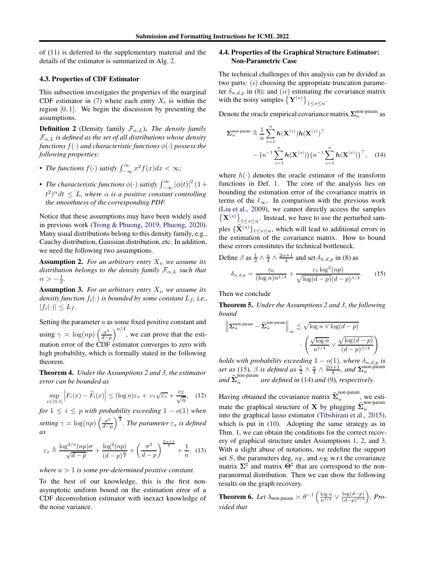of [\(11\)](#page-4-0) is deferred to the supplementary material and the details of the estimator is summarized in Alg. [2.](#page-4-1)

### 4.3. Properties of CDF Estimator

This subsection investigates the properties of the marginal CDF estimator in [\(7\)](#page-4-2) where each entry  $X_i$  is within the region  $[0, 1]$ . We begin the discussion by presenting the assumptions.

**Definition 2** (Density family  $\mathcal{F}_{\alpha,L}$ ). *The density family*  $\mathcal{F}_{\alpha,L}$  *is defined as the set of all distributions whose density functions*  $f(\cdot)$  *and characteristic functions*  $\phi(\cdot)$  *possess the following properties:*

- *The functions*  $f(\cdot)$  *satisfy*  $\int_{-\infty}^{\infty} x^2 f(x) dx < \infty$ *;*
- *The characteristic functions*  $\phi(\cdot)$  *satisfy*  $\int_{-\infty}^{\infty} |\phi(t)|^2 (1 +$  $(t^2)^\alpha dt \leq L$ , where  $\alpha$  is a positive constant controlling *the smoothness of the corresponding PDF.*

Notice that these assumptions may have been widely used in previous work [\(Trong & Phuong,](#page-9-7) [2019;](#page-9-7) [Phuong,](#page-9-9) [2020\)](#page-9-9). Many usual distributions belong to this density family, e.g., Cauchy distribution, Gaussian distribution, etc. In addition, we need the following two assumptions.

<span id="page-5-1"></span>**Assumption 2.** For an arbitrary entry  $X_i$ , we assume its *distribution belongs to the density family*  $\mathcal{F}_{\alpha,L}$  *such that*  $\alpha > -\frac{1}{2}$ .

<span id="page-5-2"></span>**Assumption 3.** For an arbitrary entry  $X_i$ , we assume its *density function*  $f_i(\cdot)$  *is bounded by some constant*  $L_f$ *, i.e.,*  $|f_i(\cdot)| \leq L_f$ .

Setting the parameter  $a$  as some fixed positive constant and using  $\gamma \asymp \log(np) \left( \frac{\sigma^2}{d-p} \right)$ d−p  $a^{4}$ , we can prove that the estimation error of the CDF estimator converges to zero with high probability, which is formally stated in the following theorem.

<span id="page-5-0"></span>Theorem 4. *Under the Assumptions [2](#page-5-1) and [3,](#page-5-2) the estimator error can be bounded as*

$$
\sup_{x \in [0,1]} \left| F_i(x) - \widehat{F}_i(x) \right| \le (\log n) \varepsilon_x + c_1 \sqrt{\varepsilon_x} + \frac{c_2}{\sqrt{n}}, \quad (12)
$$

*for*  $1 \leq i \leq p$  *with probability exceeding*  $1 - o(1)$  *when setting*  $\gamma \asymp \log(np) \left( \frac{\sigma^2}{d-p} \right)$ d−p  $\int_{0}^{\frac{a}{4}}$ . The parameter  $\varepsilon_x$  is defined *as*

$$
\varepsilon_x \triangleq \frac{\log^{2/a}(np)\sigma}{\sqrt{d-p}} + \frac{\log^2(np)}{(d-p)^{\frac{a}{4}}} + \left(\frac{\sigma^2}{d-p}\right)^{\frac{2\alpha+1}{4}} + \frac{1}{n}, \tag{13}
$$

*where* a > 1 *is some pre-determined positive constant.*

To the best of our knowledge, this is the first nonasymptotic uniform bound on the estimation error of a CDF deconvolution estimator with inexact knowledge of the noise variance.

### 4.4. Properties of the Graphical Structure Estimator: Non-Parametric Case

The technical challenges of this analysis can be divided as two parts:  $(i)$  choosing the appropriate truncation parameter  $\delta_{n,d,p}$  in [\(8\)](#page-4-3); and (ii) estimating the covariance matrix with the noisy samples  $\left\{ \mathbf{Y}^{(s)} \right\}_{1 \leq s \leq n}$ .

Denote the oracle empirical covariance matrix  $\Sigma_n^{\text{non-param}}$  as

<span id="page-5-4"></span>
$$
\Sigma_n^{\text{non-param}} \triangleq \frac{1}{n} \sum_{s=1}^n h(\mathbf{X}^{(s)}) h(\mathbf{X}^{(s)})^\top
$$

$$
- \left( n^{-1} \sum_{s=1}^n h(\mathbf{X}^{(s)}) \right) \left( n^{-1} \sum_{s=1}^n h(\mathbf{X}^{(s)}) \right)^\top, \quad (14)
$$

where  $h(\cdot)$  denotes the oracle estimator of the transform functions in Def. [1.](#page-3-5) The core of the analysis lies on bounding the estimation error of the covariance matrix in terms of the  $\ell_{\infty}$ . In comparison with the previous work [\(Liu et al.](#page-8-3), [2009\)](#page-8-3), we cannot directly access the samples  $\{X^{(s)}\}_{1\leq s\leq n}$ . Instead, we have to use the perturbed samples  $\{\widehat{\mathbf{X}}^{(s)}\}_{1\leq s\leq n}$ , which will lead to additional errors in the estimation of the covariance matrix. How to bound these errors constitutes the technical bottleneck.

<span id="page-5-3"></span>Define 
$$
\beta
$$
 as  $\frac{1}{2} \wedge \frac{a}{4} \wedge \frac{2\alpha+1}{4}$  and set  $\delta_{n,d,p}$  in (8) as  

$$
\delta_{n,d,p} = \frac{c_0}{(\log n)n^{1/4}} + \frac{c_1 \log^2(np)}{\sqrt{\log(d-p)}(d-p)^{\beta/4}}.
$$
(15)

Then we conclude

Theorem 5. *Under the Assumptions [2](#page-5-1) and [3,](#page-5-2) the following bound*

$$
\left\|\mathbf{\Sigma}_n^{\text{non-param}} - \widehat{\mathbf{\Sigma}}_n^{\text{non-param}}\right\|_\infty \lesssim \sqrt{\log n \vee \log(d-p)} \\ \cdot \left(\frac{\sqrt{\log n}}{n^{1/4}} \vee \frac{\sqrt{\log(d-p)}}{(d-p)^{\beta/4}}\right)
$$

*holds with probability exceeding*  $1 - o(1)$ *, where*  $\delta_{n,d,p}$  *is set as* [\(15\)](#page-5-3),  $\beta$  *is defined as*  $\frac{1}{2} \wedge \frac{a}{4} \wedge \frac{2\alpha+1}{4}$ *, and*  $\sum_{n=1}^{\infty}$  *n*<sup>000</sup>-param  $\sum_{n=1}^{\infty}$  (15),  $\beta$  is defined as  $\frac{1}{2}$  /  $\frac{1}{4}$  /  $\frac{1}{4}$  , and  $\sum_{n=1}^{\infty}$  and  $\sum_{n=1}^{\infty}$  are defined in [\(14\)](#page-5-4) and [\(9\)](#page-4-4), respectively.

Having obtained the covariance matrix  $\hat{\Sigma}_n^{\text{non-param}}$  $\frac{n}{n}$ , we esti-<br> $\frac{1}{n}$  non-param mate the graphical structure of **X** by plugging  $\widehat{\Sigma}_n^{\text{m}}$ into the graphical lasso estimator [\(Tibshirani et al.](#page-9-4), [2015\)](#page-9-4), which is put in  $(10)$ . Adopting the same strategy as in Thm. [1,](#page-3-3) we can obtain the conditions for the correct recovery of graphical structure under Assumptions [1,](#page-2-1) [2,](#page-5-1) and [3.](#page-5-2) With a slight abuse of notations, we redefine the support set S, the parameters deg,  $\kappa_{\Gamma}$ , and  $\kappa_{\Sigma}$  w.r.t the covariance matrix  $\Sigma^{\natural}$  and matrix  $\Theta^{\natural}$  that are correspond to the nonparanormal distribution. Then we can show the following results on the graph recovery.

<span id="page-5-5"></span>**Theorem 6.** Let  $\lambda_{\text{non-param}} \asymp \theta^{-1} \left( \frac{\log n}{n^{1/4}} \vee \frac{\log(d-p)}{(d-p)^{\beta/4}} \right)$ *\*<sub>*(d−p)*<sup>β/4</sup></sub>  $\Big)$ *. Provided that*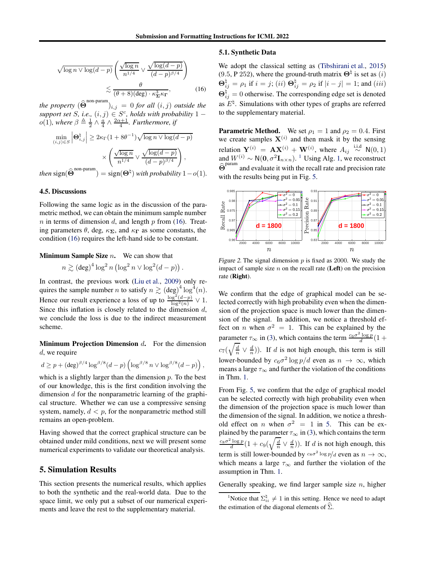$$
\sqrt{\log n \vee \log(d-p)} \left( \frac{\sqrt{\log n}}{n^{1/4}} \vee \frac{\sqrt{\log(d-p)}}{(d-p)^{\beta/4}} \right)
$$

$$
\lesssim \frac{\theta}{(\theta+8)(\text{deg}) \cdot \kappa_{\Sigma}^3 \kappa_{\Gamma}}, \tag{16}
$$

*the property*  $(\widehat{\Theta}^{\text{non-param}})_{i,j} = 0$  *for all*  $(i, j)$  *outside the support set S*, *i.e.*,  $(i, j) \in S^c$ , *holds with probability* 1 –  $o(1)$ , where  $\beta \triangleq \frac{1}{2} \wedge \frac{a}{4} \wedge \frac{2\alpha+1}{4}$ . *Furthermore*, *if* 

$$
\min_{(i,j)\in S} \left| \mathbf{\Theta}_{i,j}^{\natural} \right| \geq 2\kappa_{\Gamma}(1 + 8\theta^{-1})\sqrt{\log n \vee \log(d - p)}
$$

$$
\times \left( \frac{\sqrt{\log n}}{n^{1/4}} \vee \frac{\sqrt{\log(d - p)}}{(d - p)^{\beta/4}} \right),
$$
  
then 
$$
\text{sign}(\widehat{\mathbf{\Theta}}^{\text{non-param}}) = \text{sign}(\mathbf{\Theta}^{\natural}) \text{ with probability } 1 - o(1).
$$

### 4.5. Discussions

Following the same logic as in the discussion of the parametric method, we can obtain the minimum sample number  $n$  in terms of dimension  $d$ , and length  $p$  from [\(16\)](#page-6-0). Treating parameters  $\theta$ , deg,  $\kappa_{\Sigma}$ , and  $\kappa_{\Gamma}$  as some constants, the condition [\(16\)](#page-6-0) requires the left-hand side to be constant.

**Minimum Sample Size**  $n$ **.** We can show that

$$
n \gtrsim (\deg)^4 \log^2 n (\log^2 n \vee \log^2 (d-p)).
$$

In contrast, the previous work [\(Liu et al.](#page-8-3), [2009\)](#page-8-3) only requires the sample number *n* to satisfy  $n \gtrsim (\deg)^4 \log^4(n)$ . Hence our result experience a loss of up to  $\frac{\log^2((d-p))}{\log^2(n)} \vee 1$ . Since this inflation is closely related to the dimension  $d$ , we conclude the loss is due to the indirect measurement scheme.

**Minimum Projection Dimension d.** For the dimension d, we require

$$
d \ge p + (\deg)^{\beta/4} \log^{\beta/8} (d-p) \left( \log^{\beta/8} n \vee \log^{\beta/8} (d-p) \right),
$$

which is a slightly larger than the dimension  $p$ . To the best of our knowledge, this is the first condition involving the dimension d for the nonparametric learning of the graphical structure. Whether we can use a compressive sensing system, namely,  $d < p$ , for the nonparametric method still remains an open-problem.

Having showed that the correct graphical structure can be obtained under mild conditions, next we will present some numerical experiments to validate our theoretical analysis.

### 5. Simulation Results

This section presents the numerical results, which applies to both the synthetic and the real-world data. Due to the space limit, we only put a subset of our numerical experiments and leave the rest to the supplementary material.

#### 5.1. Synthetic Data

<span id="page-6-0"></span>We adopt the classical setting as [\(Tibshirani et al.](#page-9-4), [2015\)](#page-9-4) (9.5, P 252), where the ground-truth matrix  $\Theta^{\dagger}$  is set as (*i*)  $\mathbf{\Theta}_{ij}^{\natural} = \rho_1 \text{ if } i = j; (ii) \mathbf{\Theta}_{ij}^{\natural} = \rho_2 \text{ if } |i - j| = 1; \text{ and } (iii)$  $\Theta_{ij}^{\natural} = 0$  otherwise. The corresponding edge set is denoted as  $E^{\natural}$ . Simulations with other types of graphs are referred to the supplementary material.

**Parametric Method.** We set  $\rho_1 = 1$  and  $\rho_2 = 0.4$ . First we create samples  $X^{(i)}$  and then mask it by the sensing relation  $\mathbf{Y}^{(i)} = \mathbf{A} \mathbf{X}^{(i)} + \mathbf{W}^{(i)}$ , where  $A_{ij} \stackrel{\text{i.i.d}}{\sim} \mathsf{N}(0, 1)$ and  $W^{(i)} \sim N(0, \sigma^2 \mathbf{I}_{n \times n})$ . <sup>[1](#page-6-1)</sup> Using Alg. [1,](#page-3-0) we reconstruct  $\widehat{\Theta}^{param}$  and evaluate it with the recall rate and precision rate with the results being put in Fig. [5.](#page-39-0)



Figure 2. The signal dimension  $p$  is fixed as 2000. We study the impact of sample size  $n$  on the recall rate (Left) on the precision rate (Right).

We confirm that the edge of graphical model can be selected correctly with high probability even when the dimension of the projection space is much lower than the dimension of the signal. In addition, we notice a threshold effect on *n* when  $\sigma^2 = 1$ . This can be explained by the parameter  $\tau_{\infty}$  in [\(3\)](#page-2-3), which contains the term  $\frac{c_6 \sigma^2 \log p}{d}$  (1 +  $c_7(\sqrt{\frac{d}{n}} \vee \frac{d}{n})$ ). If d is not high enough, this term is still lower-bounded by  $c_6\sigma^2 \log p/d$  even as  $n \to \infty$ , which means a large  $\tau_{\infty}$  and further the violation of the conditions in Thm. [1.](#page-3-3)

From Fig. [5,](#page-39-0) we confirm that the edge of graphical model can be selected correctly with high probability even when the dimension of the projection space is much lower than the dimension of the signal. In addition, we notice a threshold effect on *n* when  $\sigma^2 = 1$  in [5.](#page-39-0) This can be explained by the parameter  $\tau_{\infty}$  in [\(3\)](#page-2-3), which contains the term  $\frac{\cos \sigma^2 \log p}{d} (1 + c_9(\sqrt{\frac{d}{n}} \vee \frac{d}{n}))$ . If d is not high enough, this term is still lower-bounded by  $c_8\sigma^2 \log p/d$  even as  $n \to \infty$ , which means a large  $\tau_{\infty}$  and further the violation of the assumption in Thm. [1.](#page-3-3)

Generally speaking, we find larger sample size  $n$ , higher

<span id="page-6-1"></span><sup>&</sup>lt;sup>1</sup>Notice that  $\Sigma_{ii}^{\natural} \neq 1$  in this setting. Hence we need to adapt the estimation of the diagonal elements of  $\widehat{\Sigma}$ .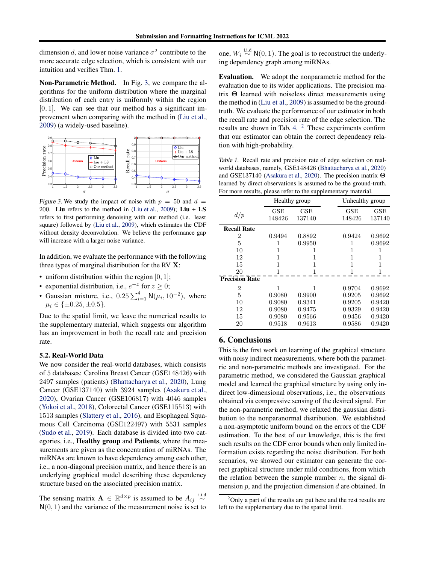dimension d, and lower noise variance  $\sigma^2$  contribute to the more accurate edge selection, which is consistent with our intuition and verifies Thm. [1.](#page-3-3)

Non-Parametric Method. In Fig. [3,](#page-7-0) we compare the algorithms for the uniform distribution where the marginal distribution of each entry is uniformly within the region  $[0, 1]$ . We can see that our method has a significant improvement when comparing with the method in [\(Liu et al.](#page-8-3), [2009\)](#page-8-3) (a widely-used baseline).



<span id="page-7-0"></span>Figure 3. We study the impact of noise with  $p = 50$  and  $d =$ 200. Liu refers to the method in [\(Liu et al.,](#page-8-3) [2009](#page-8-3)); Liu + LS refers to first performing denoising with our method (i.e. least square) followed by [\(Liu et al.](#page-8-3), [2009](#page-8-3)), which estimates the CDF without density deconvolution. We believe the performance gap will increase with a larger noise variance.

In addition, we evaluate the performance with the following three types of marginal distribution for the RV X:

- uniform distribution within the region  $[0, 1]$ ;
- exponential distribution, i.e.,  $e^{-z}$  for  $z \ge 0$ ;
- Gaussian mixture, i.e.,  $0.25 \sum_{i=1}^{4} N(\mu_i, 10^{-2})$ , where  $\mu_i \in \{\pm 0.25, \pm 0.5\}.$

Due to the spatial limit, we leave the numerical results to the supplementary material, which suggests our algorithm has an improvement in both the recall rate and precision rate.

### 5.2. Real-World Data

We now consider the real-world databases, which consists of 5 databases: Carolina Breast Cancer (GSE148426) with 2497 samples (patients) [\(Bhattacharya et al.](#page-8-19), [2020\)](#page-8-19), Lung Cancer (GSE137140) with 3924 samples [\(Asakura et al.](#page-8-20), [2020\)](#page-8-20), Ovarian Cancer (GSE106817) with 4046 samples [\(Yokoi et al.](#page-9-10), [2018](#page-9-10)), Colorectal Cancer (GSE115513) with 1513 samples [\(Slattery et al.,](#page-9-11) [2016\)](#page-9-11), and Esophageal Squamous Cell Carcinoma (GSE122497) with 5531 samples [\(Sudo et al.,](#page-9-12) [2019](#page-9-12)). Each database is divided into two categories, i.e., Healthy group and Patients, where the measurements are given as the concentration of miRNAs. The miRNAs are known to have dependency among each other, i.e., a non-diagonal precision matrix, and hence there is an underlying graphical model describing these dependency structure based on the associated precision matrix.

The sensing matrix  $\mathbf{A} \in \mathbb{R}^{d \times p}$  is assumed to be  $A_{ij} \stackrel{\text{i.i.d}}{\sim}$  $N(0, 1)$  and the variance of the measurement noise is set to

one,  $W_i \stackrel{\text{i.i.d}}{\sim} \mathsf{N}(0, 1)$ . The goal is to reconstruct the underlying dependency graph among miRNAs.

Evaluation. We adopt the nonparametric method for the evaluation due to its wider applications. The precision matrix Θ learned with noiseless direct measurements using the method in [\(Liu et al.](#page-8-3), [2009\)](#page-8-3) is assumed to be the groundtruth. We evaluate the performance of our estimator in both the recall rate and precision rate of the edge selection. The results are shown in Tab. [4.](#page-41-0)  $<sup>2</sup>$  $<sup>2</sup>$  $<sup>2</sup>$  These experiments confirm</sup> that our estimator can obtain the correct dependency relation with high-probability.

Table 1. Recall rate and precision rate of edge selection on realworld databases, namely, GSE148426 [\(Bhattacharya et al.,](#page-8-19) [2020](#page-8-19)) and GSE137140 [\(Asakura et al.,](#page-8-20) [2020\)](#page-8-20). The precision matrix Θ learned by direct observations is assumed to be the ground-truth. For more results, please refer to the supplementary material.

|                       |               | Healthy group        | Unhealthy group |                      |
|-----------------------|---------------|----------------------|-----------------|----------------------|
| d/p                   | GSE<br>148426 | <b>GSE</b><br>137140 | GSE<br>148426   | <b>GSE</b><br>137140 |
| <b>Recall Rate</b>    |               |                      |                 |                      |
| 2                     | 0.9494        | 0.8892               | 0.9424          | 0.9692               |
| 5                     |               | 0.9950               | 1               | 0.9692               |
| 10                    |               |                      | 1               |                      |
| 12                    | 1             |                      | 1               |                      |
| 15                    | 1             |                      | 1               |                      |
| 20                    |               |                      | 1               |                      |
| <b>Precision Rate</b> |               |                      |                 |                      |
| 2                     |               |                      | 0.9704          | 0.9692               |
| 5                     | 0.9080        | 0.9900               | 0.9205          | 0.9692               |
| 10                    | 0.9080        | 0.9341               | 0.9205          | 0.9420               |
| 12                    | 0.9080        | 0.9475               | 0.9329          | 0.9420               |
| 15                    | 0.9080        | 0.9566               | 0.9456          | 0.9420               |
| 20                    | 0.9518        | 0.9613               | 0.9586          | 0.9420               |

# 6. Conclusions

This is the first work on learning of the graphical structure with noisy indirect measurements, where both the parametric and non-parametric methods are investigated. For the parametric method, we considered the Gaussian graphical model and learned the graphical structure by using only indirect low-dimensional observations, i.e., the observations obtained via compressive sensing of the desired signal. For the non-parametric method, we relaxed the gaussian distribution to the nonparanormal distribution. We established a non-asymptotic uniform bound on the errors of the CDF estimation. To the best of our knowledge, this is the first such results on the CDF error bounds when only limited information exists regarding the noise distribution. For both scenarios, we showed our estimator can generate the correct graphical structure under mild conditions, from which the relation between the sample number  $n$ , the signal dimension  $p$ , and the projection dimension  $d$  are obtained. In

<span id="page-7-1"></span> $2$ Only a part of the results are put here and the rest results are left to the supplementary due to the spatial limit.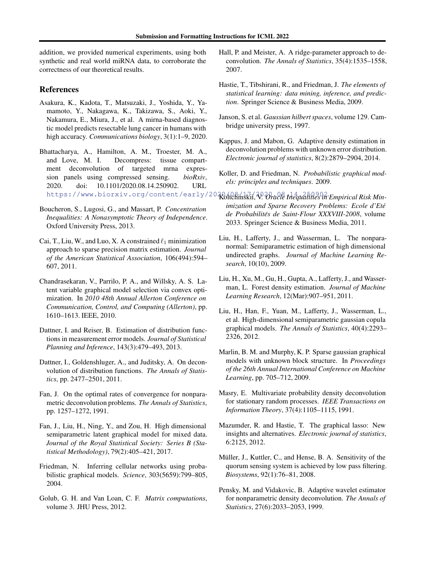addition, we provided numerical experiments, using both synthetic and real world miRNA data, to corroborate the correctness of our theoretical results.

# References

- <span id="page-8-20"></span>Asakura, K., Kadota, T., Matsuzaki, J., Yoshida, Y., Yamamoto, Y., Nakagawa, K., Takizawa, S., Aoki, Y., Nakamura, E., Miura, J., et al. A mirna-based diagnostic model predicts resectable lung cancer in humans with high accuracy. *Communications biology*, 3(1):1–9, 2020.
- <span id="page-8-19"></span>Bhattacharya, A., Hamilton, A. M., Troester, M. A., and Love, M. I. Decompress: tissue compartment deconvolution of targeted mrna expression panels using compressed sensing. *bioRxiv*, 2020. doi: 10.1101/2020.08.14.250902. URL
- <span id="page-8-22"></span>Boucheron, S., Lugosi, G., and Massart, P. *Concentration Inequalities: A Nonasymptotic Theory of Independence*. Oxford University Press, 2013.
- <span id="page-8-2"></span>Cai, T., Liu, W., and Luo, X. A constrained  $\ell_1$  minimization approach to sparse precision matrix estimation. *Journal of the American Statistical Association*, 106(494):594– 607, 2011.
- <span id="page-8-7"></span>Chandrasekaran, V., Parrilo, P. A., and Willsky, A. S. Latent variable graphical model selection via convex optimization. In *2010 48th Annual Allerton Conference on Communication, Control, and Computing (Allerton)*, pp. 1610–1613. IEEE, 2010.
- <span id="page-8-16"></span>Dattner, I. and Reiser, B. Estimation of distribution functions in measurement error models. *Journal of Statistical Planning and Inference*, 143(3):479–493, 2013.
- <span id="page-8-14"></span><span id="page-8-9"></span>Dattner, I., Goldenshluger, A., and Juditsky, A. On deconvolution of distribution functions. *The Annals of Statistics*, pp. 2477–2501, 2011.
- <span id="page-8-12"></span><span id="page-8-11"></span>Fan, J. On the optimal rates of convergence for nonparametric deconvolution problems. *The Annals of Statistics*, pp. 1257–1272, 1991.
- <span id="page-8-8"></span><span id="page-8-5"></span>Fan, J., Liu, H., Ning, Y., and Zou, H. High dimensional semiparametric latent graphical model for mixed data. *Journal of the Royal Statistical Society: Series B (Statistical Methodology)*, 79(2):405–421, 2017.
- <span id="page-8-6"></span><span id="page-8-1"></span>Friedman, N. Inferring cellular networks using probabilistic graphical models. *Science*, 303(5659):799–805, 2004.
- <span id="page-8-18"></span><span id="page-8-15"></span>Golub, G. H. and Van Loan, C. F. *Matrix computations*, volume 3. JHU Press, 2012.
- <span id="page-8-13"></span>Hall, P. and Meister, A. A ridge-parameter approach to deconvolution. *The Annals of Statistics*, 35(4):1535–1558, 2007.
- <span id="page-8-23"></span>Hastie, T., Tibshirani, R., and Friedman, J. *The elements of statistical learning: data mining, inference, and prediction*. Springer Science & Business Media, 2009.
- <span id="page-8-24"></span>Janson, S. et al. *Gaussian hilbert spaces*, volume 129. Cambridge university press, 1997.
- <span id="page-8-17"></span>Kappus, J. and Mabon, G. Adaptive density estimation in deconvolution problems with unknown error distribution. *Electronic journal of statistics*, 8(2):2879–2904, 2014.
- <span id="page-8-21"></span><span id="page-8-10"></span><span id="page-8-4"></span><span id="page-8-3"></span><span id="page-8-0"></span>Koller, D. and Friedman, N. *Probabilistic graphical models: principles and techniques*. 2009.
- https://www.biorxiv.org/content/early/2020dolchinskii, V. *Oracle Inequalities in Empirical Risk Minimization and Sparse Recovery Problems: Ecole d'Ete´ de Probabilites de Saint-Flour XXXVIII-2008 ´* , volume 2033. Springer Science & Business Media, 2011.
	- Liu, H., Lafferty, J., and Wasserman, L. The nonparanormal: Semiparametric estimation of high dimensional undirected graphs. *Journal of Machine Learning Research*, 10(10), 2009.
	- Liu, H., Xu, M., Gu, H., Gupta, A., Lafferty, J., and Wasserman, L. Forest density estimation. *Journal of Machine Learning Research*, 12(Mar):907–951, 2011.
	- Liu, H., Han, F., Yuan, M., Lafferty, J., Wasserman, L., et al. High-dimensional semiparametric gaussian copula graphical models. *The Annals of Statistics*, 40(4):2293– 2326, 2012.
	- Marlin, B. M. and Murphy, K. P. Sparse gaussian graphical models with unknown block structure. In *Proceedings of the 26th Annual International Conference on Machine Learning*, pp. 705–712, 2009.
	- Masry, E. Multivariate probability density deconvolution for stationary random processes. *IEEE Transactions on Information Theory*, 37(4):1105–1115, 1991.
	- Mazumder, R. and Hastie, T. The graphical lasso: New insights and alternatives. *Electronic journal of statistics*, 6:2125, 2012.
	- Müller, J., Kuttler, C., and Hense, B. A. Sensitivity of the quorum sensing system is achieved by low pass filtering. *Biosystems*, 92(1):76–81, 2008.
	- Pensky, M. and Vidakovic, B. Adaptive wavelet estimator for nonparametric density deconvolution. *The Annals of Statistics*, 27(6):2033–2053, 1999.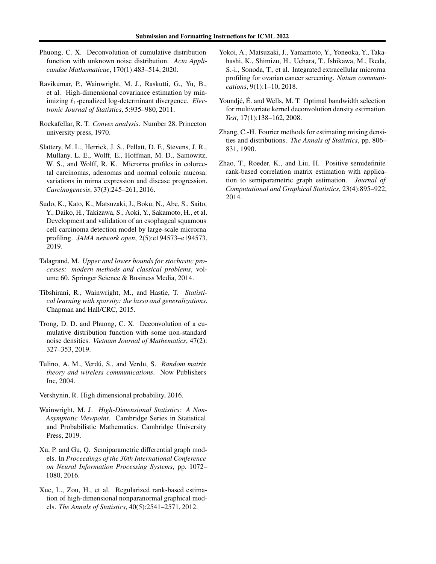- <span id="page-9-9"></span>Phuong, C. X. Deconvolution of cumulative distribution function with unknown noise distribution. *Acta Applicandae Mathematicae*, 170(1):483–514, 2020.
- <span id="page-9-0"></span>Ravikumar, P., Wainwright, M. J., Raskutti, G., Yu, B., et al. High-dimensional covariance estimation by minimizing ℓ1-penalized log-determinant divergence. *Electronic Journal of Statistics*, 5:935–980, 2011.
- <span id="page-9-15"></span>Rockafellar, R. T. *Convex analysis*. Number 28. Princeton university press, 1970.
- <span id="page-9-11"></span>Slattery, M. L., Herrick, J. S., Pellatt, D. F., Stevens, J. R., Mullany, L. E., Wolff, E., Hoffman, M. D., Samowitz, W. S., and Wolff, R. K. Microrna profiles in colorectal carcinomas, adenomas and normal colonic mucosa: variations in mirna expression and disease progression. *Carcinogenesis*, 37(3):245–261, 2016.
- <span id="page-9-12"></span>Sudo, K., Kato, K., Matsuzaki, J., Boku, N., Abe, S., Saito, Y., Daiko, H., Takizawa, S., Aoki, Y., Sakamoto, H., et al. Development and validation of an esophageal squamous cell carcinoma detection model by large-scale microrna profiling. *JAMA network open*, 2(5):e194573–e194573, 2019.
- <span id="page-9-13"></span>Talagrand, M. *Upper and lower bounds for stochastic processes: modern methods and classical problems*, volume 60. Springer Science & Business Media, 2014.
- <span id="page-9-4"></span>Tibshirani, R., Wainwright, M., and Hastie, T. *Statistical learning with sparsity: the lasso and generalizations*. Chapman and Hall/CRC, 2015.
- <span id="page-9-7"></span>Trong, D. D. and Phuong, C. X. Deconvolution of a cumulative distribution function with some non-standard noise densities. *Vietnam Journal of Mathematics*, 47(2): 327–353, 2019.
- <span id="page-9-16"></span>Tulino, A. M., Verdú, S., and Verdu, S. *Random matrix theory and wireless communications*. Now Publishers Inc, 2004.
- <span id="page-9-14"></span>Vershynin, R. High dimensional probability, 2016.
- <span id="page-9-3"></span>Wainwright, M. J. *High-Dimensional Statistics: A Non-Asymptotic Viewpoint*. Cambridge Series in Statistical and Probabilistic Mathematics. Cambridge University Press, 2019.
- <span id="page-9-2"></span>Xu, P. and Gu, Q. Semiparametric differential graph models. In *Proceedings of the 30th International Conference on Neural Information Processing Systems*, pp. 1072– 1080, 2016.
- <span id="page-9-5"></span>Xue, L., Zou, H., et al. Regularized rank-based estimation of high-dimensional nonparanormal graphical models. *The Annals of Statistics*, 40(5):2541–2571, 2012.
- <span id="page-9-10"></span>Yokoi, A., Matsuzaki, J., Yamamoto, Y., Yoneoka, Y., Takahashi, K., Shimizu, H., Uehara, T., Ishikawa, M., Ikeda, S.-i., Sonoda, T., et al. Integrated extracellular microrna profiling for ovarian cancer screening. *Nature communications*, 9(1):1–10, 2018.
- <span id="page-9-8"></span>Youndjé, É. and Wells, M. T. Optimal bandwidth selection for multivariate kernel deconvolution density estimation. *Test*, 17(1):138–162, 2008.
- <span id="page-9-6"></span>Zhang, C.-H. Fourier methods for estimating mixing densities and distributions. *The Annals of Statistics*, pp. 806– 831, 1990.
- <span id="page-9-1"></span>Zhao, T., Roeder, K., and Liu, H. Positive semidefinite rank-based correlation matrix estimation with application to semiparametric graph estimation. *Journal of Computational and Graphical Statistics*, 23(4):895–922, 2014.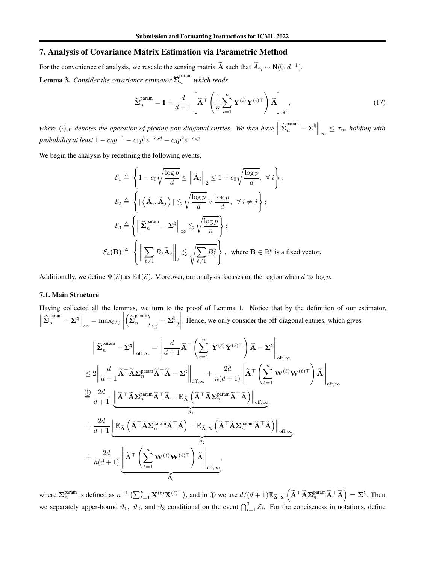# 7. Analysis of Covariance Matrix Estimation via Parametric Method

<span id="page-10-0"></span>For the convenience of analysis, we rescale the sensing matrix  $\widetilde{A}$  such that  $\widetilde{A}_{ij} \sim N(0, d^{-1})$ . **Lemma 3.** *Consider the covariance estimator*  $\widehat{\Sigma}_n^{\text{param}}$  *which reads* 

$$
\widehat{\Sigma}_n^{\text{param}} = \mathbf{I} + \frac{d}{d+1} \left[ \widetilde{\mathbf{A}}^{\top} \left( \frac{1}{n} \sum_{i=1}^n \mathbf{Y}^{(i)} \mathbf{Y}^{(i)\top} \right) \widetilde{\mathbf{A}} \right]_{\text{off}}, \tag{17}
$$

where  $(\cdot)_{\text{off}}$  denotes the operation of picking non-diagonal entries. We then have  $\left\| \hat{\Sigma}_n^{\text{param}} - \Sigma^{\natural} \right\|_{\infty} \leq \tau_{\infty}$  holding with *probability at least*  $1 - c_0 p^{-1} - c_1 p^2 e^{-c_2 d} - c_3 p^2 e^{-c_4 p}$ .

We begin the analysis by redefining the following events,

$$
\mathcal{E}_1 \triangleq \left\{ 1 - c_0 \sqrt{\frac{\log p}{d}} \le \left\| \widetilde{\mathbf{A}}_i \right\|_2 \le 1 + c_0 \sqrt{\frac{\log p}{d}}, \ \forall i \right\};
$$
\n
$$
\mathcal{E}_2 \triangleq \left\{ \left| \left\langle \widetilde{\mathbf{A}}_i, \widetilde{\mathbf{A}}_j \right\rangle \right| \lesssim \sqrt{\frac{\log p}{d}} \vee \frac{\log p}{d}, \ \forall i \ne j \right\};
$$
\n
$$
\mathcal{E}_3 \triangleq \left\{ \left\| \widehat{\mathbf{\Sigma}}_n^{\text{param}} - \mathbf{\Sigma}^\text{h} \right\|_\infty \lesssim \sqrt{\frac{\log p}{n}} \right\};
$$
\n
$$
\mathcal{E}_4(\mathbf{B}) \triangleq \left\{ \left\| \sum_{\ell \ne 1} B_\ell \widetilde{\mathbf{A}}_\ell \right\|_2 \lesssim \sqrt{\sum_{\ell \ne 1} B_\ell^2} \right\}, \ \text{where } \mathbf{B} \in \mathbb{R}^p \text{ is a fixed vector.}
$$

Additionally, we define  $\Psi(\mathcal{E})$  as  $\mathbb{E} \mathbb{1}(\mathcal{E})$ . Moreover, our analysis focuses on the region when  $d \gg \log p$ .

### 7.1. Main Structure

Having collected all the lemmas, we turn to the proof of Lemma 1. Notice that by the definition of our estimator,  $\left\|\widehat{\boldsymbol{\Sigma}}_{n}^{\text{param}}-\boldsymbol{\Sigma}^{\natural}\right\|_{\infty}=\max_{i\neq j}$   $\left(\widehat{\boldsymbol{\Sigma}}^{\text{param}}_{n}\right)$  $\binom{param}{n}$  $\sum_{i,j}^{\natural} - \mathbf{\Sigma}_{i,j}^{\natural}$  . Hence, we only consider the off-diagonal entries, which gives

$$
\begin{split} &\left\|\widehat{\boldsymbol{\Sigma}}^{\text{param}}_{n}-\boldsymbol{\Sigma}^{\natural}\right\|_{\text{off},\infty}=\left\|\frac{d}{d+1}\widetilde{\mathbf{A}}^{\top}\left(\sum_{\ell=1}^{n}\mathbf{Y}^{(\ell)}\mathbf{Y}^{(\ell)\top}\right)\widetilde{\mathbf{A}}-\boldsymbol{\Sigma}^{\natural}\right\|_{\text{off},\infty} \\ &\le 2\left\|\frac{d}{d+1}\widetilde{\mathbf{A}}^{\top}\widetilde{\mathbf{A}}\boldsymbol{\Sigma}^{\text{param}}_{n}\widetilde{\mathbf{A}}^{\top}\widetilde{\mathbf{A}}-\boldsymbol{\Sigma}^{\natural}\right\|_{\text{off},\infty}+\frac{2d}{n(d+1)}\left\|\widetilde{\mathbf{A}}^{\top}\left(\sum_{\ell=1}^{n}\mathbf{W}^{(\ell)}\mathbf{W}^{(\ell)\top}\right)\widetilde{\mathbf{A}}\right\|_{\text{off},\infty} \\ &\stackrel{\bigoplus}{=} \frac{2d}{d+1}\underbrace{\left\|\widetilde{\mathbf{A}}^{\top}\widetilde{\mathbf{A}}\boldsymbol{\Sigma}^{\text{param}}_{n}\widetilde{\mathbf{A}}^{\top}\widetilde{\mathbf{A}}-\mathbb{E}_{\widetilde{\mathbf{A}}}\left(\widetilde{\mathbf{A}}^{\top}\widetilde{\mathbf{A}}\boldsymbol{\Sigma}^{\text{param}}_{n}\widetilde{\mathbf{A}}^{\top}\widetilde{\mathbf{A}}\right)\right\|_{\text{off},\infty}}_{\vartheta_{1}} \\ &+\frac{2d}{d+1}\underbrace{\left\|\mathbb{E}_{\widetilde{\mathbf{A}}}\left(\widetilde{\mathbf{A}}^{\top}\widetilde{\mathbf{A}}\boldsymbol{\Sigma}^{\text{param}}_{n}\widetilde{\mathbf{A}}^{\top}\widetilde{\mathbf{A}}\right)-\mathbb{E}_{\widetilde{\mathbf{A}},\mathbf{X}}\left(\widetilde{\mathbf{A}}^{\top}\widetilde{\mathbf{A}}\boldsymbol{\Sigma}^{\text{param}}_{n}\widetilde{\mathbf{A}}^{\top}\widetilde{\mathbf{A}}\right)\right\|_{\text{off},\infty}}_{\vartheta_{2}} \\ &+\frac{2d}{n(d+1)}\underbrace{\left\|\widetilde{\mathbf{A}}^{\top}\left(\sum_{\ell=
$$

where  $\Sigma_n^{\text{param}}$  is defined as  $n^{-1} \left( \sum_{\ell=1}^n \mathbf{X}^{(\ell)} \mathbf{X}^{(\ell)\top} \right)$ , and in ① we use  $d/(d+1) \mathbb{E}_{\widetilde{\mathbf{A}}, \mathbf{X}} \left( \widetilde{\mathbf{A}}^\top \widetilde{\mathbf{A}} \mathbf{\Sigma}_n^{\text{param}} \widetilde{\mathbf{A}}^\top \widetilde{\mathbf{A}} \right) = \Sigma^{\natural}$ . Then we separately upper-bound  $\vartheta_1$ ,  $\vartheta_2$ , and  $\vartheta_3$  conditional on the event  $\bigcap_{i=1}^3 \mathcal{E}_i$ . For the conciseness in notations, define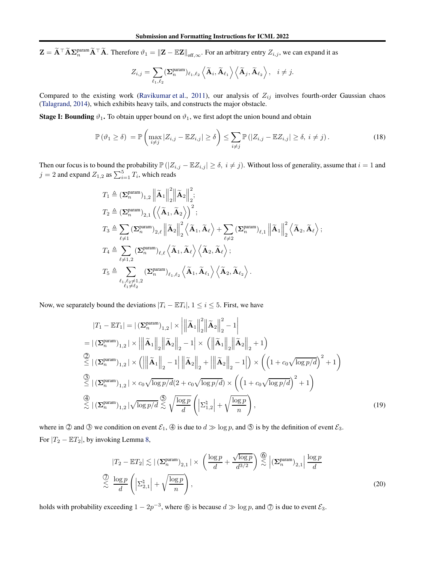$\mathbf{Z} = \widetilde{\mathbf{A}}^\top \widetilde{\mathbf{A}} \mathbf{\Sigma}_n^{\text{param}} \widetilde{\mathbf{A}}^\top \widetilde{\mathbf{A}}$ . Therefore  $\vartheta_1 = ||\mathbf{Z} - \mathbb{E} \mathbf{Z}||_{\text{off},\infty}$ . For an arbitrary entry  $Z_{i,j}$ , we can expand it as

<span id="page-11-2"></span>
$$
Z_{i,j} = \sum_{\ell_1,\ell_2} (\mathbf{\Sigma}_n^{\text{param}})_{\ell_1,\ell_2} \left\langle \widetilde{\mathbf{A}}_i, \widetilde{\mathbf{A}}_{\ell_1} \right\rangle \left\langle \widetilde{\mathbf{A}}_j, \widetilde{\mathbf{A}}_{\ell_2} \right\rangle, \quad i \neq j.
$$

Compared to the existing work [\(Ravikumar et al.,](#page-9-0) [2011\)](#page-9-0), our analysis of  $Z_{ij}$  involves fourth-order Gaussian chaos [\(Talagrand](#page-9-13), [2014\)](#page-9-13), which exhibits heavy tails, and constructs the major obstacle.

**Stage I: Bounding**  $\vartheta_1$ . To obtain upper bound on  $\vartheta_1$ , we first adopt the union bound and obtain

$$
\mathbb{P}\left(\vartheta_{1}\geq\delta\right)=\mathbb{P}\left(\max_{i\neq j}|Z_{i,j}-\mathbb{E}Z_{i,j}|\geq\delta\right)\leq\sum_{i\neq j}\mathbb{P}\left(|Z_{i,j}-\mathbb{E}Z_{i,j}|\geq\delta,\ i\neq j\right).
$$
\n(18)

Then our focus is to bound the probability  $\mathbb{P}(|Z_{i,j} - \mathbb{E}Z_{i,j}| \geq \delta, i \neq j)$ . Without loss of generality, assume that  $i = 1$  and  $j = 2$  and expand  $Z_{1,2}$  as  $\sum_{i=1}^{5} T_i$ , which reads

$$
\begin{aligned} &T_1 \triangleq (\boldsymbol{\Sigma}_n^{\text{param}})_{1,2}\left\|\tilde{\mathbf{A}}_1\right\|_2^2\left\|\tilde{\mathbf{A}}_2\right\|_2^2;\\ &T_2 \triangleq (\boldsymbol{\Sigma}_n^{\text{param}})_{2,1}\left(\left\langle\tilde{\mathbf{A}}_1,\tilde{\mathbf{A}}_2\right\rangle\right)^2;\\ &T_3 \triangleq \sum_{\ell\neq 1}(\boldsymbol{\Sigma}_n^{\text{param}})_{2,\ell}\left\|\tilde{\mathbf{A}}_2\right\|_2^2\left\langle\tilde{\mathbf{A}}_1,\tilde{\mathbf{A}}_\ell\right\rangle + \sum_{\ell\neq 2}(\boldsymbol{\Sigma}_n^{\text{param}})_{\ell,1}\left\|\tilde{\mathbf{A}}_1\right\|_2^2\left\langle\tilde{\mathbf{A}}_2,\tilde{\mathbf{A}}_\ell\right\rangle;\\ &T_4 \triangleq \sum_{\ell\neq 1,2}(\boldsymbol{\Sigma}_n^{\text{param}})_{\ell,\ell}\left\langle\tilde{\mathbf{A}}_1,\tilde{\mathbf{A}}_\ell\right\rangle\left\langle\tilde{\mathbf{A}}_2,\tilde{\mathbf{A}}_\ell\right\rangle;\\ &T_5 \triangleq \sum_{\ell_1,\ell_2\neq 1,2}(\boldsymbol{\Sigma}_n^{\text{param}})_{\ell_1,\ell_2}\left\langle\tilde{\mathbf{A}}_1,\tilde{\mathbf{A}}_{\ell_1}\right\rangle\left\langle\tilde{\mathbf{A}}_2,\tilde{\mathbf{A}}_{\ell_2}\right\rangle.\end{aligned}
$$

Now, we separately bound the deviations  $|T_i - \mathbb{E}T_i|, 1 \le i \le 5$ . First, we have

$$
|T_1 - \mathbb{E}T_1| = |(\mathbf{\Sigma}_n^{\text{param}})_{1,2}| \times ||\mathbf{\tilde{A}}_1||_2^2 ||\mathbf{\tilde{A}}_2||_2^2 - 1|
$$
  
\n
$$
= |(\mathbf{\Sigma}_n^{\text{param}})_{1,2}| \times ||\mathbf{\tilde{A}}_1||_2 ||\mathbf{\tilde{A}}_2||_2 - 1 | \times (||\mathbf{\tilde{A}}_1||_2 ||\mathbf{\tilde{A}}_2||_2 + 1)
$$
  
\n
$$
\overset{\textcircled{2}}{\leq} |(\mathbf{\Sigma}_n^{\text{param}})_{1,2}| \times (||\mathbf{\tilde{A}}_1||_2 - 1 ||\mathbf{\tilde{A}}_2||_2 + ||\mathbf{\tilde{A}}_2||_2 - 1 |) \times ((1 + c_0 \sqrt{\log p/d})^2 + 1)
$$
  
\n
$$
\overset{\textcircled{3}}{\leq} |(\mathbf{\Sigma}_n^{\text{param}})_{1,2}| \times c_0 \sqrt{\log p/d} (2 + c_0 \sqrt{\log p/d}) \times ((1 + c_0 \sqrt{\log p/d})^2 + 1)
$$
  
\n
$$
\overset{\textcircled{4}}{\leq} |(\mathbf{\Sigma}_n^{\text{param}})_{1,2}| \sqrt{\log p/d} \overset{\textcircled{5}}{\leq} \sqrt{\frac{\log p}{d}} (|\mathbf{\Sigma}_{1,2}^{\natural}| + \sqrt{\frac{\log p}{n}}), \qquad (19)
$$

where in  $\mathcal{D}$  and  $\mathcal{D}$  we condition on event  $\mathcal{E}_1$ ,  $\mathcal{D}$  is due to  $d \gg \log p$ , and  $\mathcal{D}$  is by the definition of event  $\mathcal{E}_3$ . For  $|T_2 - \mathbb{E}T_2|$ , by invoking Lemma [8,](#page-13-0)

<span id="page-11-1"></span><span id="page-11-0"></span>
$$
|T_2 - \mathbb{E}T_2| \lesssim |(\mathbf{\Sigma}_n^{\text{param}})_{2,1}| \times \left(\frac{\log p}{d} + \frac{\sqrt{\log p}}{d^{3/2}}\right) \stackrel{\textcircled{\bigcirc}}{\lesssim} |(\mathbf{\Sigma}_n^{\text{param}})_{2,1}| \frac{\log p}{d}
$$
  

$$
\stackrel{\textcircled{\bigcirc}}{\lesssim} \frac{\log p}{d} \left(|\mathbf{\Sigma}_{2,1}^{\text{L}}| + \sqrt{\frac{\log p}{n}}\right), \tag{20}
$$

holds with probability exceeding  $1 - 2p^{-3}$ , where  $\circledcirc$  is because  $d \gg \log p$ , and  $\circledcirc$  is due to event  $\mathcal{E}_3$ .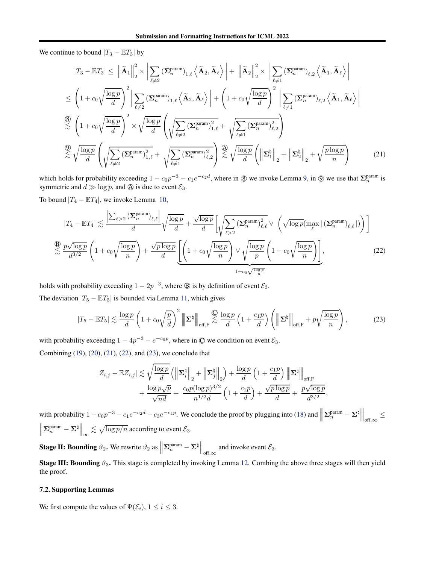We continue to bound  $|T_3 - \mathbb{E}T_3|$  by

<span id="page-12-0"></span>
$$
|T_3 - \mathbb{E}T_3| \leq \left\|\tilde{A}_1\right\|_2^2 \times \left|\sum_{\ell \neq 2} (\Sigma_n^{\text{param}})_{1,\ell} \left\langle \tilde{A}_2, \tilde{A}_\ell \right\rangle \right| + \left\|\tilde{A}_2\right\|_2^2 \times \left|\sum_{\ell \neq 1} (\Sigma_n^{\text{param}})_{\ell,2} \left\langle \tilde{A}_1, \tilde{A}_\ell \right\rangle \right|
$$
  
\n
$$
\leq \left(1 + c_0 \sqrt{\frac{\log p}{d}}\right)^2 \left|\sum_{\ell \neq 2} (\Sigma_n^{\text{param}})_{1,\ell} \left\langle \tilde{A}_2, \tilde{A}_\ell \right\rangle \right| + \left(1 + c_0 \sqrt{\frac{\log p}{d}}\right)^2 \left|\sum_{\ell \neq 1} (\Sigma_n^{\text{param}})_{\ell,2} \left\langle \tilde{A}_1, \tilde{A}_\ell \right\rangle \right|
$$
  
\n
$$
\stackrel{\textcircled{\textrm{8}}}{\lesssim} \left(1 + c_0 \sqrt{\frac{\log p}{d}}\right)^2 \times \sqrt{\frac{\log p}{d}} \left(\sqrt{\sum_{\ell \neq 2} (\Sigma_n^{\text{param}})_{1,\ell}^2} + \sqrt{\sum_{\ell \neq 1} (\Sigma_n^{\text{param}})_{\ell,2}^2}\right)
$$
  
\n
$$
\stackrel{\textcircled{\textrm{9}}}{\lesssim} \sqrt{\frac{\log p}{d}} \left(\sqrt{\sum_{\ell \neq 2} (\Sigma_n^{\text{param}})_{1,\ell}^2} + \sqrt{\sum_{\ell \neq 1} (\Sigma_n^{\text{param}})_{\ell,2}^2}\right) \stackrel{\textcircled{\textrm{9}}}{\lesssim} \sqrt{\frac{\log p}{d}} \left(\left\|\Sigma_1^{\natural}\right\|_2 + \left\|\Sigma_2^{\natural}\right\|_2 + \sqrt{\frac{p \log p}{n}}\right) \tag{21}
$$

which holds for probability exceeding  $1 - c_0 p^{-3} - c_1 e^{-c_2 d}$ , where in  $\circled{8}$  we invoke Lemma [9,](#page-14-0) in  $\circled{9}$  we use that  $\Sigma_n^{\text{param}}$  is symmetric and  $d \gg \log p$ , and  $\Theta$  is due to event  $\mathcal{E}_3$ .

To bound  $|T_4 - \mathbb{E}T_4|$ , we invoke Lemma [10,](#page-15-0)

$$
|T_4 - \mathbb{E}T_4| \lesssim \frac{\left|\sum_{\ell>2} \left(\sum_{n=1}^{\text{param}}\right)_{\ell,\ell}\right|}{d} \sqrt{\frac{\log p}{d}} + \frac{\sqrt{\log p}}{d} \left[\sqrt{\sum_{\ell>2} \left(\sum_{n=1}^{\text{param}}\right)_{\ell,\ell}} \vee \left(\sqrt{\log p} \left(\max_{\ell} |\left(\sum_{n=1}^{\text{param}}\right)_{\ell,\ell}|\right)\right)\right]
$$
  

$$
\lesssim \frac{p\sqrt{\log p}}{d^{3/2}} \left(1 + c_0 \sqrt{\frac{\log p}{n}}\right) + \frac{\sqrt{p \log p}}{d} \left[\left(1 + c_0 \sqrt{\frac{\log p}{n}}\right) \vee \sqrt{\frac{\log p}{p}} \left(1 + c_0 \sqrt{\frac{\log p}{n}}\right)\right],\tag{22}
$$

holds with probability exceeding  $1 - 2p^{-3}$ , where  $\circledB$  is by definition of event  $\mathcal{E}_3$ .

The deviation  $|T_5 - \mathbb{E}T_5|$  is bounded via Lemma [11,](#page-16-0) which gives

$$
|T_5 - \mathbb{E}T_5| \lesssim \frac{\log p}{d} \left( 1 + c_0 \sqrt{\frac{p}{d}} \right)^2 \left\| \Sigma^{\natural} \right\|_{\text{off},F} \lesssim \frac{\log p}{d} \left( 1 + \frac{c_1 p}{d} \right) \left( \left\| \Sigma^{\natural} \right\|_{\text{off},F} + p \sqrt{\frac{\log p}{n}} \right),\tag{23}
$$

with probability exceeding  $1 - 4p^{-3} - e^{-c_0p}$ , where in  $\mathbb{O}$  we condition on event  $\mathcal{E}_3$ .

Combining [\(19\)](#page-11-0), [\(20\)](#page-11-1), [\(21\)](#page-12-0), [\(22\)](#page-12-1), and [\(23\)](#page-12-2), we conclude that

<span id="page-12-2"></span><span id="page-12-1"></span>
$$
\begin{split} |Z_{i,j} - \mathbb{E} Z_{i,j}| &\lesssim \sqrt{\frac{\log p}{d}} \left(\left\|\mathbf{\Sigma}_i^{\natural}\right\|_2 + \left\|\mathbf{\Sigma}_j^{\natural}\right\|_2\right) + \frac{\log p}{d} \left(1 + \frac{c_1 p}{d}\right) \left\|\mathbf{\Sigma}^{\natural}\right\|_{\text{off},\mathrm{F}} \\ &+ \frac{\log p\sqrt{p}}{\sqrt{nd}} + \frac{c_0 p (\log p)^{3/2}}{n^{1/2}d} \left(1 + \frac{c_1 p}{d}\right) + \frac{\sqrt{p \log p}}{d} + \frac{p\sqrt{\log p}}{d^{3/2}}, \end{split}
$$

with probability  $1 - c_0 p^{-3} - c_1 e^{-c_2 d} - c_3 e^{-c_4 p}$ . We conclude the proof by plugging into [\(18\)](#page-11-2) and  $\parallel$  $\parallel$  $\blacksquare$  $\boldsymbol{\Sigma}_n^{\text{param}} - \boldsymbol{\Sigma}^\natural \Big\|$   $\Big\|_{\text{off},\infty}$  ≤  $\biggl\} \biggl[$  $\left\Vert \mathbf{\Sigma}_{n}^{\text{param}}-\mathbf{\Sigma}^{\natural}\right\Vert _{\infty}$  $\lesssim \sqrt{\log p/n}$  according to event  $\mathcal{E}_3$ .

**Stage II: Bounding**  $\vartheta_2$ . We rewrite  $\vartheta_2$  as  $\parallel$  $\sum_{n}^{\text{param}} - \sum^{\natural} \Big\|_{\text{off},\infty}$  and invoke event  $\mathcal{E}_3$ .

**Stage III: Bounding**  $\vartheta_3$ . This stage is completed by invoking Lemma [12.](#page-17-0) Combing the above three stages will then yield the proof.

### 7.2. Supporting Lemmas

We first compute the values of  $\Psi(\mathcal{E}_i)$ ,  $1 \leq i \leq 3$ .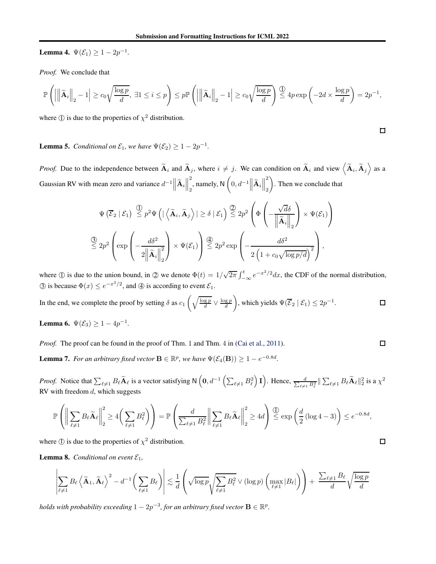**Lemma 4.**  $\Psi(\mathcal{E}_1) \geq 1 - 2p^{-1}$ .

*Proof.* We conclude that

$$
\mathbb{P}\left(\left|\left\|\widetilde{\mathbf{A}}_i\right\|_2 - 1\right| \geq c_0\sqrt{\frac{\log p}{d}},\ \exists 1\leq i\leq p\right) \leq p \mathbb{P}\left(\left|\left\|\widetilde{\mathbf{A}}_i\right\|_2 - 1\right| \geq c_0\sqrt{\frac{\log p}{d}}\right) \stackrel{\textcircled{\tiny 1}}{\leq} 4p\exp\left(-2d\times\frac{\log p}{d}\right) = 2p^{-1},
$$

where  $\Phi$  is due to the properties of  $\chi^2$  distribution.

**Lemma 5.** *Conditional on*  $\mathcal{E}_1$ *, we have*  $\Psi(\mathcal{E}_2) \geq 1 - 2p^{-1}$ *.* 

*Proof.* Due to the independence between  $\tilde{A}_i$  and  $\tilde{A}_j$ , where  $i \neq j$ . We can condition on  $\tilde{A}_i$  and view  $\langle \tilde{A}_i, \tilde{A}_j \rangle$  as a Gaussian RV with mean zero and variance  $d^{-1}$  $\left\|\tilde{A}_i\right\|$ 2  $\sum_{i=1}^{2}$ , namely, N  $\left(0, d^{-1} \middle\|\widetilde{A}_i\right\|$ 2 2  $\overline{\phantom{0}}$ . Then we conclude that

$$
\Psi\left(\overline{\mathcal{E}}_2 \mid \mathcal{E}_1\right) \stackrel{\text{(1)}}{\leq} p^2 \Psi\left(\left|\left\langle \widetilde{\mathbf{A}}_i, \widetilde{\mathbf{A}}_j \right\rangle\right| \geq \delta \mid \mathcal{E}_1\right) \stackrel{\text{(2)}}{\leq} 2p^2 \left(\Phi\left(-\frac{\sqrt{d}\delta}{\left\|\widetilde{\mathbf{A}}_i\right\|_2}\right) \times \Psi(\mathcal{E}_1)\right)
$$
\n
$$
\stackrel{\text{(3)}}{\leq} 2p^2 \left(\exp\left(-\frac{d\delta^2}{2\left\|\widetilde{\mathbf{A}}_i\right\|_2^2}\right) \times \Psi(\mathcal{E}_1)\right) \stackrel{\text{(4)}}{\leq} 2p^2 \exp\left(-\frac{d\delta^2}{2\left(1 + c_0\sqrt{\log p/d}\right)^2}\right),
$$

where  $\mathbb D$  is due to the union bound, in  $\mathbb D$  we denote  $\Phi(t) = 1/\sqrt{2\pi} \int_{-\infty}^t e^{-x^2/2} dx$ , the CDF of the normal distribution, (3) is because  $\Phi(x) \leq e^{-x^2/2}$ , and (4) is according to event  $\mathcal{E}_1$ .

In the end, we complete the proof by setting 
$$
\delta
$$
 as  $c_1 \left( \sqrt{\frac{\log p}{d}} \vee \frac{\log p}{d} \right)$ , which yields  $\Psi(\overline{\mathcal{E}}_2 | \mathcal{E}_1) \leq 2p^{-1}$ .

**Lemma 6.**  $\Psi(\mathcal{E}_3) \ge 1 - 4p^{-1}$ .

*Proof.* The proof can be found in the proof of Thm. 1 and Thm. 4 in [\(Cai et al.](#page-8-2), [2011\)](#page-8-2).

**Lemma 7.** *For an arbitrary fixed vector*  $\mathbf{B} \in \mathbb{R}^p$ , *we have*  $\Psi(\mathcal{E}_4(\mathbf{B})) \geq 1 - e^{-0.8d}$ .

*Proof.* Notice that  $\sum_{\ell \neq 1} B_{\ell} \widetilde{\mathbf{A}}_{\ell}$  is a vector satisfying  $N\left(0, d^{-1}\left(\sum_{\ell \neq 1} B_{\ell}^2\right) \mathbf{I}\right)$ . Hence,  $\frac{d}{\sum_{\ell \neq 1} B_{\ell}^2} \|\sum_{\ell \neq 1} B_{\ell} \widetilde{\mathbf{A}}_{\ell}\|_2^2$  is a  $\chi^2$ RV with freedom  $d$ , which suggests

$$
\mathbb{P}\left(\bigg\|\sum_{\ell\neq 1}B_\ell\widetilde{\mathbf{A}}_\ell\bigg\|_2^2\geq 4\bigg(\sum_{\ell\neq 1}B_\ell^2\bigg)\right)=\mathbb{P}\left(\frac{d}{\sum_{\ell\neq 1}B_\ell^2}\bigg\|\sum_{\ell\neq 1}B_\ell\widetilde{\mathbf{A}}_\ell\bigg\|_2^2\geq 4d\right)\overset{\text{(1)}}{\leq}\exp\left(\frac{d}{2}\left(\log 4-3\right)\right)\leq e^{-0.8d},
$$

where  $\Phi$  is due to the properties of  $\chi^2$  distribution.

<span id="page-13-0"></span>**Lemma 8.** *Conditional on event*  $\mathcal{E}_1$ *,* 

$$
\left|\sum_{\ell\neq 1}B_\ell\left<\widetilde{\mathbf{A}}_1,\widetilde{\mathbf{A}}_\ell\right>^2-d^{-1}\bigg(\sum_{\ell\neq 1}B_\ell\bigg)\right|\lesssim \frac{1}{d}\left(\sqrt{\log p}\sqrt{\sum_{\ell\neq 1}B_\ell^2}\vee(\log p)\left(\max_{\ell\neq 1}|B_\ell|\right)\right)+\frac{\sum_{\ell\neq 1}B_\ell}\sqrt{\frac{\log p}{d}}.
$$

*holds with probability exceeding*  $1 - 2p^{-3}$ *, for an arbitrary fixed vector*  $\mathbf{B} \in \mathbb{R}^p$ *.* 

 $\Box$ 

 $\Box$ 

 $\Box$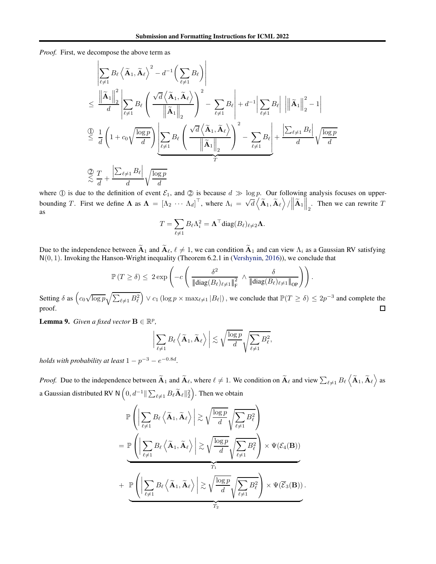$\overline{1}$ 

*Proof.* First, we decompose the above term as

$$
\begin{split} &\left|\sum_{\ell\neq 1}B_{\ell}\left<\widetilde{\mathbf{A}}_{1},\widetilde{\mathbf{A}}_{\ell}\right>^{2}-d^{-1}\left(\sum_{\ell\neq 1}B_{\ell}\right)\right| \\ &\leq \frac{\left\|\widetilde{\mathbf{A}}_{1}\right\|_{2}^{2}}{d}\left|\sum_{\ell\neq 1}B_{\ell}\left(\frac{\sqrt{d}\left<\widetilde{\mathbf{A}}_{1},\widetilde{\mathbf{A}}_{\ell}\right>}{\left\|\widetilde{\mathbf{A}}_{1}\right\|_{2}}\right)^{2}-\sum_{\ell\neq 1}B_{\ell}\right|+d^{-1}\left|\sum_{\ell\neq 1}B_{\ell}\right|\left\|\left\|\widetilde{\mathbf{A}}_{1}\right\|_{2}^{2}-1\right| \\ &\overset{\bigcirc}{\leq} \frac{1}{d}\left(1+c_{0}\sqrt{\frac{\log p}{d}}\right)\left|\sum_{\ell\neq 1}B_{\ell}\left(\frac{\sqrt{d}\left<\widetilde{\mathbf{A}}_{1},\widetilde{\mathbf{A}}_{\ell}\right>}{\left\|\widetilde{\mathbf{A}}_{1}\right\|_{2}}\right)^{2}-\sum_{\ell\neq 1}B_{\ell}\right|+\frac{\left|\sum_{\ell\neq 1}B_{\ell}\right|}{d}\sqrt{\frac{\log p}{d}} \\ &\overset{\bigcirc}{\lesssim} \frac{T}{d}+\frac{\left|\sum_{\ell\neq 1}B_{\ell}\right|}{d}\sqrt{\frac{\log p}{d}} \end{split}
$$

where  $\circled{1}$  is due to the definition of event  $\mathcal{E}_1$ , and  $\circled{2}$  is because  $d \gg \log p$ . Our following analysis focuses on upperbounding T. First we define  $\Lambda$  as  $\Lambda = [\Lambda_2 \cdots \Lambda_d]^\top$ , where  $\Lambda_i = \sqrt{d} \langle \tilde{\mathbf{A}}_1, \tilde{\mathbf{A}}_\ell \rangle / ||\tilde{\mathbf{A}}_1||_2$ . Then we can rewrite T as

$$
T = \sum_{\ell \neq 1} B_{\ell} \Lambda_i^2 = \mathbf{\Lambda}^\top \text{diag}(B_{\ell})_{\ell \neq 2} \mathbf{\Lambda}.
$$

Due to the independence between  $\widetilde{A}_1$  and  $\widetilde{A}_\ell$ ,  $\ell \neq 1$ , we can condition  $\widetilde{A}_1$  and can view  $\Lambda_i$  as a Gaussian RV satisfying N(0, 1). Invoking the Hanson-Wright inequality (Theorem 6.2.1 in [\(Vershynin,](#page-9-14) [2016\)](#page-9-14)), we conclude that

$$
\mathbb{P}(T \geq \delta) \leq 2 \exp \left(-c \left(\frac{\delta^2}{\|\text{diag}(B_{\ell})_{\ell \neq 1}\|_{\text{F}}^2} \wedge \frac{\delta}{\|\text{diag}(B_{\ell})_{\ell \neq 1}\|_{\text{OP}}}\right)\right).
$$

Setting  $\delta$  as  $\left( c_0 \sqrt{\log p} \sqrt{\sum_{\ell \neq 1} B_{\ell}^2} \right)$  $\Big) \vee c_1 (\log p \times \max_{\ell \neq 1} |B_{\ell}|)$ , we conclude that  $\mathbb{P}(T \ge \delta) \le 2p^{-3}$  and complete the proof.  $\Box$ 

<span id="page-14-0"></span>**Lemma 9.** *Given a fixed vector*  $\mathbf{B} \in \mathbb{R}^p$ *,* 

$$
\bigg|\sum_{\ell\neq 1}B_{\ell}\left\langle\widetilde{\mathbf{A}}_{1},\widetilde{\mathbf{A}}_{\ell}\right\rangle\bigg|\lesssim \sqrt{\frac{\log p}{d}}\sqrt{\sum_{\ell\neq 1}B_{\ell}^{2}},
$$

*holds with probability at least*  $1 - p^{-3} - e^{-0.8d}$ .

*Proof.* Due to the independence between  $\widetilde{A}_1$  and  $\widetilde{A}_\ell$ , where  $\ell \neq 1$ . We condition on  $\widetilde{A}_\ell$  and view  $\sum_{\ell \neq 1} B_\ell \left\langle \widetilde{A}_1, \widetilde{A}_\ell \right\rangle$  as a Gaussian distributed RV N  $\left(0, d^{-1} \| \sum_{\ell \neq 1} B_\ell \widetilde{\mathbf{A}}_\ell \|_2^2 \right)$ . Then we obtain

$$
\mathbb{P}\left(\left|\sum_{\ell\neq 1}B_{\ell}\left\langle\widetilde{\mathbf{A}}_{1},\widetilde{\mathbf{A}}_{\ell}\right\rangle\right|\gtrsim\sqrt{\frac{\log p}{d}}\sqrt{\sum_{\ell\neq 1}B_{\ell}^{2}}\right)
$$
\n
$$
=\mathbb{P}\left(\left|\sum_{\ell\neq 1}B_{\ell}\left\langle\widetilde{\mathbf{A}}_{1},\widetilde{\mathbf{A}}_{\ell}\right\rangle\right|\gtrsim\sqrt{\frac{\log p}{d}}\sqrt{\sum_{\ell\neq 1}B_{\ell}^{2}}\right)\times\Psi(\mathcal{E}_{4}(\mathbf{B}))
$$
\n
$$
+\mathbb{P}\left(\left|\sum_{\ell\neq 1}B_{\ell}\left\langle\widetilde{\mathbf{A}}_{1},\widetilde{\mathbf{A}}_{\ell}\right\rangle\right|\gtrsim\sqrt{\frac{\log p}{d}}\sqrt{\sum_{\ell\neq 1}B_{\ell}^{2}}\right)\times\Psi(\overline{\mathcal{E}}_{3}(\mathbf{B}))
$$

.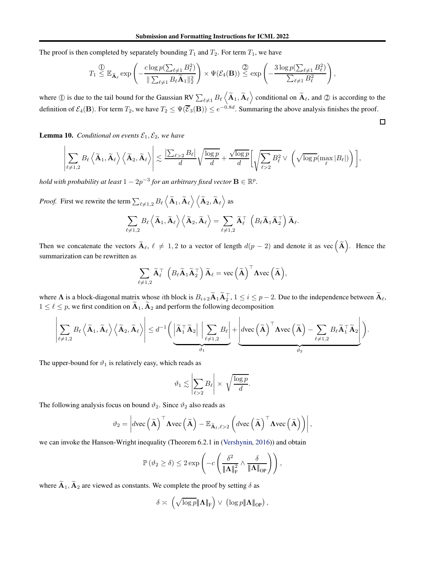The proof is then completed by separately bounding  $T_1$  and  $T_2$ . For term  $T_1$ , we have

$$
T_1 \overset{\text{(1)}}{\leq} \mathbb{E}_{\widetilde{\mathbf{A}}_{\ell}} \exp \left(-\frac{c \log p(\sum_{\ell \neq 1} B_{\ell}^2)}{\|\sum_{\ell \neq 1} B_{\ell} \widetilde{\mathbf{A}}_1\|_2^2}\right) \times \Psi(\mathcal{E}_4(\mathbf{B})) \overset{\text{(2)}}{\leq} \exp \left(-\frac{3 \log p(\sum_{\ell \neq 1} B_{\ell}^2)}{\sum_{\ell \neq 1} B_{\ell}^2}\right),
$$

where  $\circled{1}$  is due to the tail bound for the Gaussian RV  $\sum_{\ell \neq 1} B_{\ell} \langle \widetilde{\mathbf{A}}_1, \widetilde{\mathbf{A}}_{\ell} \rangle$  conditional on  $\widetilde{\mathbf{A}}_{\ell}$ , and  $\circled{2}$  is according to the definition of  $\mathcal{E}_4(\mathbf{B})$ . For term  $T_2$ , we have  $T_2 \leq \Psi(\overline{\mathcal{E}}_3(\mathbf{B})) \leq e^{-0.8d}$ . Summaring the above analysis finishes the proof.

 $\Box$ 

<span id="page-15-0"></span>**Lemma 10.** *Conditional on events*  $\mathcal{E}_1, \mathcal{E}_2$ *, we have* 

$$
\left|\sum_{\ell\neq 1,2}B_{\ell}\left<\widetilde{\mathbf{A}}_1,\widetilde{\mathbf{A}}_{\ell}\right>\left<\widetilde{\mathbf{A}}_2,\widetilde{\mathbf{A}}_{\ell}\right>\right|\lesssim \frac{\left|\sum_{\ell>2}B_{\ell}\right|}{d}\sqrt{\frac{\log p}{d}}+\frac{\sqrt{\log p}}{d}\bigg[\sqrt{\sum_{\ell>2}B_{\ell}^2}\vee\;\bigg(\sqrt{\log p}(\max_{\ell}|B_{\ell}|)\bigg)\bigg],
$$

*hold with probability at least*  $1 - 2p^{-3}$  *for an arbitrary fixed vector*  $\mathbf{B} \in \mathbb{R}^p$ *.* 

*Proof.* First we rewrite the term  $\sum_{\ell \neq 1,2} B_\ell \left\langle \widetilde{\mathbf{A}}_1, \widetilde{\mathbf{A}}_\ell \right\rangle \left\langle \widetilde{\mathbf{A}}_2, \widetilde{\mathbf{A}}_\ell \right\rangle$  as

$$
\sum_{\ell \neq 1,2} B_{\ell} \left\langle \widetilde{\mathbf{A}}_1, \widetilde{\mathbf{A}}_{\ell} \right\rangle \left\langle \widetilde{\mathbf{A}}_2, \widetilde{\mathbf{A}}_{\ell} \right\rangle = \sum_{\ell \neq 1,2} \widetilde{\mathbf{A}}_{\ell}^{\top} \left( B_{\ell} \widetilde{\mathbf{A}}_1 \widetilde{\mathbf{A}}_2^{\top} \right) \widetilde{\mathbf{A}}_{\ell}.
$$

Then we concatenate the vectors  $\widetilde{\mathbf{A}}_{\ell}, \ell \neq 1, 2$  to a vector of length  $d(p-2)$  and denote it as vec  $(\widetilde{\mathbf{A}})$ . Hence the summarization can be rewritten as

$$
\sum_{\ell \neq 1,2} \widetilde{\mathbf{A}}_{\ell}^{\top} \left( B_{\ell} \widetilde{\mathbf{A}}_1 \widetilde{\mathbf{A}}_2^{\top} \right) \widetilde{\mathbf{A}}_{\ell} = \text{vec} \left( \widetilde{\mathbf{A}} \right)^{\top} \Lambda \text{vec} \left( \widetilde{\mathbf{A}} \right),
$$

where  $\Lambda$  is a block-diagonal matrix whose *i*th block is  $B_{i+2} \widetilde{A}_1 \widetilde{A}_2^T$ ,  $1 \le i \le p-2$ . Due to the independence between  $\widetilde{A}_\ell$ ,  $1 \leq \ell \leq p$ , we first condition on  $\tilde{A}_1$ ,  $\tilde{A}_2$  and perform the following decomposition

$$
\left|\sum_{\ell\neq 1,2}B_{\ell}\left<\widetilde{\mathbf{A}}_1,\widetilde{\mathbf{A}}_{\ell}\right>\left<\widetilde{\mathbf{A}}_2,\widetilde{\mathbf{A}}_{\ell}\right>\right|\leq d^{-1}\bigg(\left|\widetilde{\mathbf{A}}_1^{\top}\widetilde{\mathbf{A}}_2\right|\left|\sum_{\ell\neq 1,2}B_{\ell}\right|+\left|d\text{vec}\left(\widetilde{\mathbf{A}}\right)^{\top}\mathbf{\Lambda}\text{vec}\left(\widetilde{\mathbf{A}}\right)-\sum_{\ell\neq 1,2}B_{\ell}\widetilde{\mathbf{A}}_1^{\top}\widetilde{\mathbf{A}}_2\right|\bigg).
$$

The upper-bound for  $\vartheta_1$  is relatively easy, which reads as

$$
\vartheta_1 \lesssim \left|\sum_{\ell>2} B_\ell\right| \times \sqrt{\frac{\log p}{d}}.
$$

The following analysis focus on bound  $\vartheta_2$ . Since  $\vartheta_2$  also reads as

$$
\vartheta_2 = \left| d \text{vec} \left( \widetilde{\mathbf{A}} \right)^{\top} \mathbf{\Lambda} \text{vec} \left( \widetilde{\mathbf{A}} \right) - \mathbb{E}_{\widetilde{\mathbf{A}}_{\ell}, \ell > 2} \left( d \text{vec} \left( \widetilde{\mathbf{A}} \right)^{\top} \mathbf{\Lambda} \text{vec} \left( \widetilde{\mathbf{A}} \right) \right) \right|,
$$

we can invoke the Hanson-Wright inequality (Theorem 6.2.1 in [\(Vershynin](#page-9-14), [2016\)](#page-9-14)) and obtain

$$
\mathbb{P}\left(\vartheta_2 \ge \delta\right) \le 2 \exp\left(-c \left(\frac{\delta^2}{\|\mathbf{\Lambda}\|_{\mathrm{F}}^2} \wedge \frac{\delta}{\|\mathbf{\Lambda}\|_{\mathrm{OP}}}\right)\right),\,
$$

where  $\widetilde{A}_1, \widetilde{A}_2$  are viewed as constants. We complete the proof by setting  $\delta$  as

$$
\delta \asymp \left( \sqrt{\log p} \|\mathbf{\Lambda}\|_{\mathrm{F}} \right) \vee \left( \log p \|\mathbf{\Lambda}\|_{\mathrm{OP}} \right),\,
$$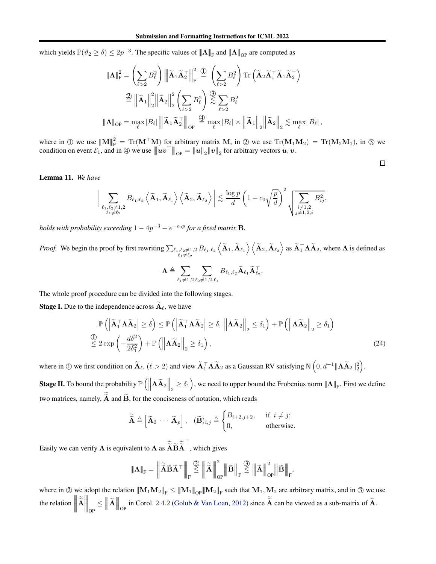which yields  $\mathbb{P}(\vartheta_2 \ge \delta) \le 2p^{-3}$ . The specific values of  $\|\mathbf{\Lambda}\|_{\mathrm{F}}$  and  $\|\mathbf{\Lambda}\|_{\mathrm{OP}}$  are computed as

$$
\begin{aligned}\n\|\mathbf{\Lambda}\|_{\mathrm{F}}^{2} &= \left(\sum_{\ell>2} B_{\ell}^{2}\right) \left\|\tilde{\mathbf{A}}_{1}\tilde{\mathbf{A}}_{2}^{\top}\right\|_{\mathrm{F}}^{2} \stackrel{\text{(1)}}{=} \left(\sum_{\ell>2} B_{\ell}^{2}\right) \mathrm{Tr}\left(\tilde{\mathbf{A}}_{2}\tilde{\mathbf{A}}_{1}^{\top}\tilde{\mathbf{A}}_{1}\tilde{\mathbf{A}}_{2}^{\top}\right) \\
&\stackrel{\text{(2)}}{=} \left\|\tilde{\mathbf{A}}_{1}\right\|_{2}^{2} \left\|\tilde{\mathbf{A}}_{2}\right\|_{2}^{2} \left(\sum_{\ell>2} B_{\ell}^{2}\right) \stackrel{\text{(3)}}{\lesssim} \sum_{\ell>2} B_{\ell}^{2} \\
&\stackrel{\text{(3)}}{=} \mathbf{A}_{\ell} \|\mathbf{A}_{1}\|_{2}^{2} \|\tilde{\mathbf{A}}_{1}\|_{2}^{2} \left\|\tilde{\mathbf{A}}_{1}\right\|_{2} \left\|\tilde{\mathbf{A}}_{2}\right\|_{2} \lesssim \max_{\ell} |B_{\ell}| \,,\n\end{aligned}
$$

where in ① we use  $||M||_F^2 = \text{Tr}(M^{\top}M)$  for arbitrary matrix M, in ② we use  $\text{Tr}(M_1M_2) = \text{Tr}(M_2M_1)$ , in ③ we condition on event  $\mathcal{E}_1^{\parallel}$ , and in  $\oplus$  we use  $\|\hat{u}v^{\top}\|_{\text{OP}} = \|\hat{u}\|_2 \|v\|_2$  for arbitrary vectors  $\hat{u}, \hat{v}$ .

<span id="page-16-1"></span> $\Box$ 

<span id="page-16-0"></span>Lemma 11. *We have*

$$
\bigg|\sum_{\substack{\ell_1,\ell_2\neq 1,2\\ \ell_1\neq \ell_2}} B_{\ell_1,\ell_2} \left\langle \widetilde{\mathbf{A}}_1,\widetilde{\mathbf{A}}_{\ell_1} \right\rangle \left\langle \widetilde{\mathbf{A}}_2,\widetilde{\mathbf{A}}_{\ell_2} \right\rangle \bigg|\lesssim \frac{\log p}{d}\left(1+c_0\sqrt{\frac{p}{d}}\right)^2\sqrt{\sum_{\substack{i\neq 1,2\\ j\neq 1,2,i}} B_{ij}^2},
$$

*holds with probability exceeding*  $1 - 4p^{-3} - e^{-c_0p}$  for a fixed matrix **B**.

*Proof.* We begin the proof by first rewriting  $\sum_{\ell_1,\ell_2\neq 1,2}$  $B_{\ell_1,\ell_2} \left\langle \widetilde{\mathbf{A}}_1, \widetilde{\mathbf{A}}_{\ell_1} \right\rangle \left\langle \widetilde{\mathbf{A}}_2, \widetilde{\mathbf{A}}_{\ell_2} \right\rangle$  as  $\widetilde{\mathbf{A}}_1^{\top} \mathbf{\Lambda} \widetilde{\mathbf{A}}_2$ , where  $\mathbf{\Lambda}$  is defined as

$$
\mathbf{\Lambda}\triangleq\sum_{\ell_1\neq 1,2}\sum_{\ell_2\neq 1,2,\ell_1}B_{\ell_1,\ell_2}\widetilde{\mathbf{A}}_{\ell_1}\widetilde{\mathbf{A}}_{\ell_2}^\top.
$$

The whole proof procedure can be divided into the following stages.

**Stage I.** Due to the independence across  $\widetilde{A}_{\ell}$ , we have

$$
\mathbb{P}\left(\left|\widetilde{\mathbf{A}}_{1}^{\top}\mathbf{\Lambda}\widetilde{\mathbf{A}}_{2}\right|\geq\delta\right)\leq\mathbb{P}\left(\left|\widetilde{\mathbf{A}}_{1}^{\top}\mathbf{\Lambda}\widetilde{\mathbf{A}}_{2}\right|\geq\delta,\,\left\|\mathbf{\Lambda}\widetilde{\mathbf{A}}_{2}\right\|_{2}\leq\delta_{1}\right)+\mathbb{P}\left(\left\|\mathbf{\Lambda}\widetilde{\mathbf{A}}_{2}\right\|_{2}\geq\delta_{1}\right)
$$
\n
$$
\overset{\text{(1)}}{\leq}2\exp\left(-\frac{d\delta^{2}}{2\delta_{1}^{2}}\right)+\mathbb{P}\left(\left\|\mathbf{\Lambda}\widetilde{\mathbf{A}}_{2}\right\|_{2}\geq\delta_{1}\right),\tag{24}
$$

where in ① we first condition on  $\widetilde{\mathbf{A}}_{\ell}$ ,  $(\ell > 2)$  and view  $\widetilde{\mathbf{A}}_{1}^{\top} \mathbf{\Lambda} \widetilde{\mathbf{A}}_{2}$  as a Gaussian RV satisfying N  $(0, d^{-1} \|\mathbf{\Lambda} \widetilde{\mathbf{A}}_{2}\|_{2}^{2})$ .

**Stage II.** To bound the probability  $\mathbb{P}\left(\left\|\mathbf{\Lambda}\widetilde{\mathbf{A}}_{2}\right\|_{2} \geq \delta_{1}\right)$ , we need to upper bound the Frobenius norm  $\|\mathbf{\Lambda}\|_{\mathrm{F}}$ . First we define two matrices, namely,  $\overrightarrow{A}$  and  $\overrightarrow{B}$ , for the conciseness of notation, which reads

$$
\widetilde{\widetilde{\mathbf{A}}} \triangleq \begin{bmatrix} \widetilde{\mathbf{A}}_3 & \cdots & \widetilde{\mathbf{A}}_p \end{bmatrix}, \quad (\widetilde{\mathbf{B}})_{i,j} \triangleq \begin{cases} B_{i+2,j+2}, & \text{if } i \neq j; \\ 0, & \text{otherwise.} \end{cases}
$$

Easily we can verify  $\Lambda$  is equivalent to  $\Lambda$  as  $\widetilde{\widetilde{A}} \widetilde{B} \widetilde{\widetilde{A}}^\top$ , which gives

$$
\mathbf{A}\mathbf{h}_{\mathrm{F}} = \left\| \widetilde{\widetilde{\mathbf{A}}} \widetilde{\mathbf{B}} \widetilde{\mathbf{A}}^{\top} \right\|_{\mathrm{F}} \overset{\mathcal{Q}}{\leq} \left\| \widetilde{\widetilde{\mathbf{A}}} \right\|_{\mathrm{OP}}^{2} \left\| \widetilde{\mathbf{B}} \right\|_{\mathrm{F}} \overset{\mathcal{Q}}{\leq} \left\| \widetilde{\mathbf{A}} \right\|_{\mathrm{OP}}^{2} \left\| \widetilde{\mathbf{B}} \right\|_{\mathrm{F}}^2
$$

where in  $\mathbb{Q}$  we adopt the relation  $||M_1M_2||_F \le ||M_1||_{OP} ||M_2||_F$  such that  $M_1, M_2$  are arbitrary matrix, and in  $\mathbb{Q}$  we use the relation  $\left\| \widetilde{\widetilde{\mathbf{A}}} \right\|$   $\Big\|_{\text{OP}} \leq$  $\begin{array}{c} \hline \end{array}$  $\parallel$  $\|\widetilde{\mathbf{A}}\|$  $\parallel$  $\parallel_{OP}$  in Corol. 2.4.2 [\(Golub & Van Loan,](#page-8-18) [2012\)](#page-8-18) since  $\tilde{\tilde{A}}$  can be viewed as a sub-matrix of  $\tilde{A}$ .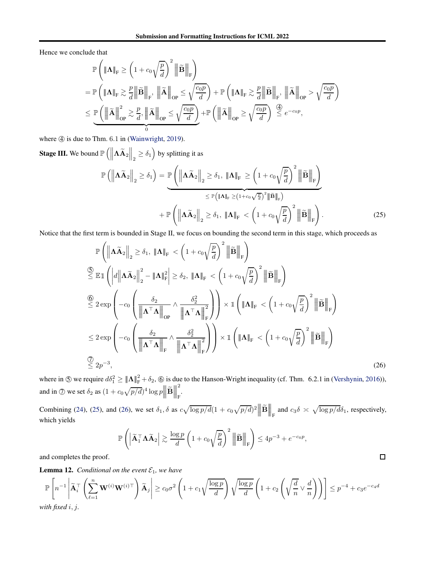Hence we conclude that

$$
\mathbb{P}\left(\|\mathbf{\Lambda}\|_{\mathrm{F}} \geq \left(1 + c_{0}\sqrt{\frac{p}{d}}\right)^{2} \|\widetilde{\mathbf{B}}\|_{\mathrm{F}}\right)
$$
\n
$$
= \mathbb{P}\left(\|\mathbf{\Lambda}\|_{\mathrm{F}} \gtrsim \frac{p}{d} \|\widetilde{\mathbf{B}}\|_{\mathrm{F}}, \|\widetilde{\mathbf{\Lambda}}\|_{\mathrm{OP}} \leq \sqrt{\frac{c_{0}p}{d}}\right) + \mathbb{P}\left(\|\mathbf{\Lambda}\|_{\mathrm{F}} \gtrsim \frac{p}{d} \|\widetilde{\mathbf{B}}\|_{\mathrm{F}}, \|\widetilde{\mathbf{\Lambda}}\|_{\mathrm{OP}} > \sqrt{\frac{c_{0}p}{d}}\right)
$$
\n
$$
\leq \underbrace{\mathbb{P}\left(\|\widetilde{\mathbf{\Lambda}}\|_{\mathrm{OP}}^{2} \gtrsim \frac{p}{d}, \|\widetilde{\mathbf{\Lambda}}\|_{\mathrm{OP}} \leq \sqrt{\frac{c_{0}p}{d}}\right)}_{0} + \mathbb{P}\left(\|\widetilde{\mathbf{\Lambda}}\|_{\mathrm{OP}} \geq \sqrt{\frac{c_{0}p}{d}}\right) \stackrel{\text{(6)}}{\leq} e^{-c_{0}p},
$$

where  $\textcircled{4}$  is due to Thm. 6.1 in [\(Wainwright](#page-9-3), [2019](#page-9-3)).

**Stage III.** We bound  $\mathbb{P}\left(\left\|\mathbf{\Lambda}\widetilde{\mathbf{A}}_2\right\|_2 \geq \delta_1\right)$  by splitting it as

$$
\mathbb{P}\left(\left\|\mathbf{\Lambda}\widetilde{\mathbf{A}}_{2}\right\|_{2} \geq \delta_{1}\right) = \underbrace{\mathbb{P}\left(\left\|\mathbf{\Lambda}\widetilde{\mathbf{A}}_{2}\right\|_{2} \geq \delta_{1}, \left\|\mathbf{\Lambda}\right\|_{\mathrm{F}} \geq \left(1 + c_{0}\sqrt{\frac{p}{d}}\right)^{2} \left\|\widetilde{\mathbf{B}}\right\|_{\mathrm{F}}\right)}_{\leq \mathbb{P}\left(\left\|\mathbf{\Lambda}\right\|_{\mathrm{F}} \geq (1 + c_{0}\sqrt{\frac{p}{d}})^{2} \left\|\widetilde{\mathbf{B}}\right\|_{\mathrm{F}}\right)} + \mathbb{P}\left(\left\|\mathbf{\Lambda}\widetilde{\mathbf{A}}_{2}\right\|_{2} \geq \delta_{1}, \left\|\mathbf{\Lambda}\right\|_{\mathrm{F}} < \left(1 + c_{0}\sqrt{\frac{p}{d}}\right)^{2} \left\|\widetilde{\mathbf{B}}\right\|_{\mathrm{F}}\right).
$$
\n(25)

Notice that the first term is bounded in Stage II, we focus on bounding the second term in this stage, which proceeds as

$$
\mathbb{P}\left(\left\|\mathbf{A}\widetilde{\mathbf{A}}_{2}\right\|_{2} \geq \delta_{1}, \left\|\mathbf{A}\right\|_{\mathrm{F}} < \left(1 + c_{0}\sqrt{\frac{p}{d}}\right)^{2} \left\|\widetilde{\mathbf{B}}\right\|_{\mathrm{F}}\right)
$$
\n
$$
\begin{aligned}\n\frac{\mathbb{S}}{\leq} \mathbb{E}\mathbb{1}\left(\left|d\left\|\mathbf{A}\widetilde{\mathbf{A}}_{2}\right\|_{2}^{2} - \left\|\mathbf{A}\right\|_{\mathrm{F}}^{2}\right| \geq \delta_{2}, \left\|\mathbf{A}\right\|_{\mathrm{F}} < \left(1 + c_{0}\sqrt{\frac{p}{d}}\right)^{2} \left\|\widetilde{\mathbf{B}}\right\|_{\mathrm{F}}\right)\n\end{aligned}
$$
\n
$$
\begin{aligned}\n\frac{\mathbb{S}}{\leq} 2 \exp\left(-c_{0}\left(\frac{\delta_{2}}{\left\|\mathbf{A}^{\top}\mathbf{A}\right\|_{\mathrm{OP}}}\wedge\frac{\delta_{2}^{2}}{\left\|\mathbf{A}^{\top}\mathbf{A}\right\|_{\mathrm{F}}^{2}}\right)\right) \times \mathbb{1}\left(\left\|\mathbf{A}\right\|_{\mathrm{F}} < \left(1 + c_{0}\sqrt{\frac{p}{d}}\right)^{2} \left\|\widetilde{\mathbf{B}}\right\|_{\mathrm{F}}\right)\n\end{aligned}
$$
\n
$$
\leq 2 \exp\left(-c_{0}\left(\frac{\delta_{2}}{\left\|\mathbf{A}^{\top}\mathbf{A}\right\|_{\mathrm{F}}}\wedge\frac{\delta_{2}^{2}}{\left\|\mathbf{A}^{\top}\mathbf{A}\right\|_{\mathrm{F}}^{2}}\right)\right) \times \mathbb{1}\left(\left\|\mathbf{A}\right\|_{\mathrm{F}} < \left(1 + c_{0}\sqrt{\frac{p}{d}}\right)^{2} \left\|\widetilde{\mathbf{B}}\right\|_{\mathrm{F}}\right)
$$
\n
$$
\begin{aligned}\n\frac{\mathbb{S}}{\leq} 2 \exp\left(-c_{0}\left(\frac{\delta_{2}}{\left\|\mathbf{A}^{\top}\mathbf{A}\right\|_{\mathrm{F}}}\wedge\frac{\delta_{2}^{2}}{\left
$$

where in  $\circledS$  we require  $d\delta_1^2 \geq ||\mathbf{\Lambda}||^2_F + \delta_2$ ,  $\circledS$  is due to the Hanson-Wright inequality (cf. Thm. 6.2.1 in [\(Vershynin,](#page-9-14) [2016\)](#page-9-14)), and in  $\oslash$  we set  $\delta_2$  as  $(1 + c_0 \sqrt{p/d})^4 \log p$  $\parallel$  $\left\| \widetilde{\mathbf{B}} \right\|$  $\parallel$  $\blacksquare$ 2 .<br>F

Combining [\(24\)](#page-16-1), [\(25\)](#page-17-1), and [\(26\)](#page-17-2), we set  $\delta_1$ ,  $\delta$  as  $c\sqrt{\log p/d}(1 + c_0\sqrt{p/d})^2$   $\left\| \widetilde{\mathbf{B}} \right\|$  $\parallel$  $\Big\|_{\mathrm{F}}$  and  $c_3 \delta \asymp \sqrt{\log p / d} \delta_1$ , respectively, which yields

$$
\mathbb{P}\left(\left|\widetilde{\mathbf{A}}_1^{\top}\mathbf{\Lambda}\widetilde{\mathbf{A}}_2\right| \gtrsim \frac{\log p}{d}\left(1 + c_0\sqrt{\frac{p}{d}}\right)^2 \left\|\widetilde{\mathbf{B}}\right\|_{\mathrm{F}}\right) \le 4p^{-3} + e^{-c_0 p},
$$

<span id="page-17-2"></span><span id="page-17-1"></span> $\Box$ 

and completes the proof.

<span id="page-17-0"></span>**Lemma 12.** *Conditional on the event*  $\mathcal{E}_1$ *, we have* 

$$
\mathbb{P}\left[n^{-1}\left|\widetilde{\mathbf{A}}_{i}^{\top}\left(\sum_{\ell=1}^{n}\mathbf{W}^{(i)}\mathbf{W}^{(i)\top}\right)\widetilde{\mathbf{A}}_{j}\right|\geq c_{0}\sigma^{2}\left(1+c_{1}\sqrt{\frac{\log p}{d}}\right)\sqrt{\frac{\log p}{d}}\left(1+c_{2}\left(\sqrt{\frac{d}{n}}\vee\frac{d}{n}\right)\right)\right]\leq p^{-4}+c_{3}e^{-c_{4}d}
$$
\nwith fixed  $i, j$ .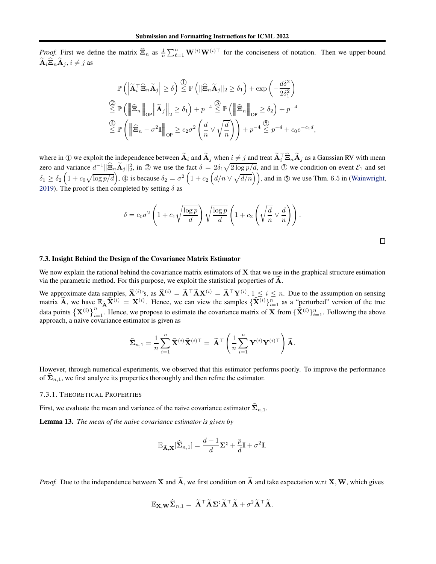*Proof.* First we define the matrix  $\hat{\Xi}_n$  as  $\frac{1}{n} \sum_{\ell=1}^n \mathbf{W}^{(i)} \mathbf{W}^{(i)\top}$  for the conciseness of notation. Then we upper-bound  $\widetilde{\mathbf{A}}_i \widehat{\mathbf{\Xi}}_n \widetilde{\mathbf{A}}_j, i \neq j$  as

$$
\mathbb{P}\left(\left|\tilde{\mathbf{A}}_{i}^{\top}\widehat{\mathbf{\Xi}}_{n}\widetilde{\mathbf{A}}_{j}\right| \geq \delta\right) \stackrel{\text{(1)}}{\leq} \mathbb{P}\left(\left\|\widehat{\mathbf{\Xi}}_{n}\widetilde{\mathbf{A}}_{j}\right\|_{2} \geq \delta_{1}\right) + \exp\left(-\frac{d\delta^{2}}{2\delta_{1}^{2}}\right)
$$
\n
$$
\stackrel{\text{(2)}}{\leq} \mathbb{P}\left(\left\|\widehat{\mathbf{\Xi}}_{n}\right\|_{\text{OP}}\left\|\widetilde{\mathbf{A}}_{j}\right\|_{2} \geq \delta_{1}\right) + p^{-4} \stackrel{\text{(3)}}{\leq} \mathbb{P}\left(\left\|\widehat{\mathbf{\Xi}}_{n}\right\|_{\text{OP}} \geq \delta_{2}\right) + p^{-4}
$$
\n
$$
\stackrel{\text{(4)}}{\leq} \mathbb{P}\left(\left\|\widehat{\mathbf{\Xi}}_{n} - \sigma^{2}\mathbf{I}\right\|_{\text{OP}} \geq c_{2}\sigma^{2}\left(\frac{d}{n}\vee\sqrt{\frac{d}{n}}\right)\right) + p^{-4} \stackrel{\text{(5)}}{\leq} p^{-4} + c_{0}e^{-c_{1}d},
$$

where in ① we exploit the independence between  $\widetilde{A}_i$  and  $\widetilde{A}_j$  when  $i \neq j$  and treat  $\widetilde{A}_i^T \widehat{\Xi}_n \widetilde{A}_j$  as a Gaussian RV with mean zero and variance  $d^{-1} \|\widehat{\Xi}_n \widetilde{A}_j\|_2^2$ , in  $\oslash$  we use the fact  $\delta = 2\delta_1 \sqrt{2 \log p/d}$ , and in  $\oslash$  we condition on event  $\mathcal{E}_1$  and set  $\delta_1 \geq \delta_2 \left(1 + c_0 \sqrt{\log p/d}\right)$ ,  $\textcircled{4}$  is because  $\delta_2 = \sigma^2 \left(1 + c_2 \left(d/n \vee \sqrt{d/n}\right)\right)$ , and in  $\textcircled{5}$  we use Thm. 6.5 in [\(Wainwright](#page-9-3), [2019\)](#page-9-3). The proof is then completed by setting  $\delta$  as

$$
\delta = c_0 \sigma^2 \left( 1 + c_1 \sqrt{\frac{\log p}{d}} \right) \sqrt{\frac{\log p}{d}} \left( 1 + c_2 \left( \sqrt{\frac{d}{n}} \vee \frac{d}{n} \right) \right).
$$

#### 7.3. Insight Behind the Design of the Covariance Matrix Estimator

We now explain the rational behind the covariance matrix estimators of  $X$  that we use in the graphical structure estimation via the parametric method. For this purpose, we exploit the statistical properties of  $A$ .

We approximate data samples,  $\hat{\mathbf{X}}^{(i)}$ 's, as  $\hat{\mathbf{X}}^{(i)} = \tilde{\mathbf{A}}^\top \tilde{\mathbf{A}} \mathbf{X}^{(i)} = \tilde{\mathbf{A}}^\top \mathbf{Y}^{(i)}$ ,  $1 \leq i \leq n$ . Due to the assumption on sensing matrix  $\widetilde{A}$ , we have  $\mathbb{E}_{\widetilde{A}} \widehat{X}^{(i)} = X^{(i)}$ . Hence, we can view the samples  $\{\widehat{X}^{(i)}\}_{i=1}^n$  as a "perturbed" version of the true data points  $\left\{ \mathbf{X}^{(i)} \right\}_{i=1}^n$ . Hence, we propose to estimate the covariance matrix of **X** from  $\{\hat{\mathbf{X}}^{(i)}\}_{i=1}^n$ . Following the above approach, a naive covariance estimator is given as

$$
\widehat{\mathbf{\Sigma}}_{n,1} = \frac{1}{n} \sum_{i=1}^{n} \widehat{\mathbf{X}}^{(i)} \widehat{\mathbf{X}}^{(i)\top} = \widetilde{\mathbf{A}}^{\top} \left( \frac{1}{n} \sum_{i=1}^{n} \mathbf{Y}^{(i)} \mathbf{Y}^{(i)\top} \right) \widetilde{\mathbf{A}}.
$$

However, through numerical experiments, we observed that this estimator performs poorly. To improve the performance of  $\Sigma_{n,1}$ , we first analyze its properties thoroughly and then refine the estimator.

#### 7.3.1. THEORETICAL PROPERTIES

First, we evaluate the mean and variance of the naive covariance estimator  $\hat{\Sigma}_{n,1}$ .

<span id="page-18-0"></span>Lemma 13. *The mean of the naive covariance estimator is given by*

$$
\mathbb{E}_{\widetilde{\mathbf{A}},\mathbf{X}}[\widehat{\mathbf{\Sigma}}_{n,1}] = \frac{d+1}{d}\mathbf{\Sigma}^{\natural} + \frac{p}{d}\mathbf{I} + \sigma^2 \mathbf{I}.
$$

*Proof.* Due to the independence between **X** and  $\tilde{A}$ , we first condition on  $\tilde{A}$  and take expectation w.r.t **X**, **W**, which gives

$$
\mathbb{E}_{\mathbf{X},\mathbf{W}}\widehat{\mathbf{\Sigma}}_{n,1}=\widetilde{\mathbf{A}}^\top \widetilde{\mathbf{A}} \mathbf{\Sigma}^\natural \widetilde{\mathbf{A}}^\top \widetilde{\mathbf{A}} + \sigma^2 \widetilde{\mathbf{A}}^\top \widetilde{\mathbf{A}}.
$$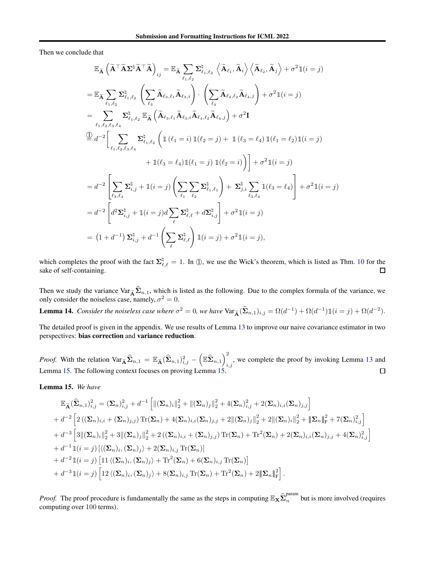Then we conclude that

$$
\mathbb{E}_{\widetilde{\mathbf{A}}} \left( \widetilde{\mathbf{A}}^{\top} \widetilde{\mathbf{A}} \mathbf{\Sigma}^{\natural} \widetilde{\mathbf{A}}^{\top} \widetilde{\mathbf{A}} \right)_{ij} = \mathbb{E}_{\widetilde{\mathbf{A}}} \sum_{\ell_{1},\ell_{2}} \sum_{\ell_{1},\ell_{2}}^{\natural} \left\langle \widetilde{\mathbf{A}}_{\ell_{1}},\widetilde{\mathbf{A}}_{i} \right\rangle \left\langle \widetilde{\mathbf{A}}_{\ell_{2}},\widetilde{\mathbf{A}}_{j} \right\rangle + \sigma^{2} \mathbb{1}(i=j)
$$
\n
$$
= \mathbb{E}_{\widetilde{\mathbf{A}}} \sum_{\ell_{1},\ell_{2}} \sum_{\ell_{1},\ell_{2}}^{\natural} \left( \sum_{\ell_{3}} \widetilde{\mathbf{A}}_{\ell_{3},\ell_{1}} \widetilde{\mathbf{A}}_{\ell_{3},i} \right) \cdot \left( \sum_{\ell_{4}} \widetilde{\mathbf{A}}_{\ell_{4},\ell_{2}} \widetilde{\mathbf{A}}_{\ell_{4},i} \right) + \sigma^{2} \mathbb{1}(i=j)
$$
\n
$$
= \sum_{\ell_{1},\ell_{2},\ell_{3},\ell_{4}} \sum_{\ell_{1},\ell_{2}}^{\natural} \mathbb{E}_{\widetilde{\mathbf{A}}} \left( \widetilde{\mathbf{A}}_{\ell_{3},\ell_{1}} \widetilde{\mathbf{A}}_{\ell_{3},i} \widetilde{\mathbf{A}}_{\ell_{4},\ell_{2}} \widetilde{\mathbf{A}}_{\ell_{4},j} \right) + \sigma^{2} \mathbb{I}
$$
\n
$$
\overset{\text{(1)}}{=} d^{-2} \bigg[ \sum_{\ell_{1},\ell_{2},\ell_{3},\ell_{4}} \Sigma_{\ell_{1},\ell_{2}}^{\natural} \left( \mathbb{1} \left( \ell_{1}=i \right) \mathbb{1}(\ell_{2}=j) + \mathbb{1} \left( \ell_{3}= \ell_{4} \right) \mathbb{1}(\ell_{1}= \ell_{2}) \mathbb{1}(i=j)
$$
\n
$$
+ \mathbb{1}(\ell_{3}= \ell_{4}) \mathbb{1}(\ell_{1}=j) \mathbb{1}(\ell_{2}=i)
$$

which completes the proof with the fact  $\Sigma_{\ell,\ell}^{\natural} = 1$ . In ①, we use the Wick's theorem, which is listed as Thm. [10](#page-42-0) for the sake of self-containing.

Then we study the variance  $\text{Var}_{\tilde{\mathbf{A}}} \hat{\Sigma}_{n,1}$ , which is listed as the following. Due to the complex formula of the variance, we only consider the noiseless case, namely,  $\sigma^2 = 0$ .

<span id="page-19-1"></span>**Lemma 14.** *Consider the noiseless case where*  $\sigma^2 = 0$ *, we have*  $\text{Var}_{\tilde{\mathbf{A}}}(\hat{\Sigma}_{n,1})_{i,j} = \Omega(d^{-1}) + \Omega(d^{-1})\mathbb{1}(i=j) + \Omega(d^{-2})$ *.* 

The detailed proof is given in the appendix. We use results of Lemma [13](#page-18-0) to improve our naive covariance estimator in two perspectives: bias correction and variance reduction.

 $\left(\mathbb{E}\widehat{\mathbf{\Sigma}}_{n,1}\right)^2_i$ *Proof.* With the relation  $\text{Var}_{\widetilde{\mathbf{A}}}\widehat{\Sigma}_{n,1} = \mathbb{E}_{\widetilde{\mathbf{A}}}(\widehat{\Sigma}_{n,1})_{i,j}^2$  –  $i,j$ , we complete the proof by invoking Lemma [13](#page-18-0) and Lemma [15.](#page-19-0) The following context focuses on proving Lemma [15.](#page-19-0)  $\Box$ 

<span id="page-19-0"></span>Lemma 15. *We have*

$$
\mathbb{E}_{\widetilde{\mathbf{A}}}(\widehat{\mathbf{\Sigma}}_{n,1})_{i,j}^{2} = (\mathbf{\Sigma}_{n})_{i,j}^{2} + d^{-1} \left[ \|(\mathbf{\Sigma}_{n})_{i}\|_{2}^{2} + \|(\mathbf{\Sigma}_{n})_{j}\|_{2}^{2} + 4(\mathbf{\Sigma}_{n})_{i,j}^{2} + 2(\mathbf{\Sigma}_{n})_{i,i}(\mathbf{\Sigma}_{n})_{j,j} \right] \n+ d^{-2} \left[ 2\left( (\mathbf{\Sigma}_{n})_{i,i} + (\mathbf{\Sigma}_{n})_{j,j} \right) \text{Tr}(\mathbf{\Sigma}_{n}) + 4(\mathbf{\Sigma}_{n})_{i,i} (\mathbf{\Sigma}_{n})_{j,j} + 2\|(\mathbf{\Sigma}_{n})_{j}\|_{2}^{2} + 2\|(\mathbf{\Sigma}_{n})_{i}\|_{2}^{2} + \|\mathbf{\Sigma}_{n}\|_{\mathrm{F}}^{2} + 7(\mathbf{\Sigma}_{n})_{i,j}^{2} \right] \n+ d^{-3} \left[ 3\|(\mathbf{\Sigma}_{n})_{i}\|_{2}^{2} + 3\|(\mathbf{\Sigma}_{n})_{j}\|_{2}^{2} + 2\left( (\mathbf{\Sigma}_{n})_{i,i} + (\mathbf{\Sigma}_{n})_{j,j} \right) \text{Tr}(\mathbf{\Sigma}_{n}) + \text{Tr}^{2}(\mathbf{\Sigma}_{n}) + 2(\mathbf{\Sigma}_{n})_{i,i}(\mathbf{\Sigma}_{n})_{j,j} + 4(\mathbf{\Sigma}_{n})_{i,j}^{2} \right] \n+ d^{-1} \mathbb{I}(i = j) \left[ \langle (\mathbf{\Sigma}_{n})_{i}, (\mathbf{\Sigma}_{n})_{j} \rangle + 2(\mathbf{\Sigma}_{n})_{i,j} \text{Tr}(\mathbf{\Sigma}_{n}) \right] \n+ d^{-2} \mathbb{I}(i = j) \left[ 11 \langle (\mathbf{\Sigma}_{n})_{i}, (\mathbf{\Sigma}_{n})_{j} \rangle + \text{Tr}^{2}(\mathbf{\Sigma}_{n}) + 6(\mathbf{\Sigma}_{n})_{i,j} \text{Tr}(\mathbf{\Sigma}_{n}) \right] \n+ d^{-3} \mathbb{I}(i = j) \left[ 12 \langle (\mathbf{\Sigma}_{n})_{i}, (\mathbf{\Sigma}_{n})_{j} \rangle + 8(\mathbf{\Sigma}_{n})_{i,j} \text{Tr}(\mathbf{\Sigma}_{n}) + \text{Tr}^{2}(\mathbf{\Sigma
$$

*Proof.* The proof procedure is fundamentally the same as the steps in computing  $\mathbb{E}_{\mathbf{X}} \hat{\Sigma}_n^{\text{param}}$  $\sum_{n=1}^{\infty}$  but is more involved (requires computing over 100 terms).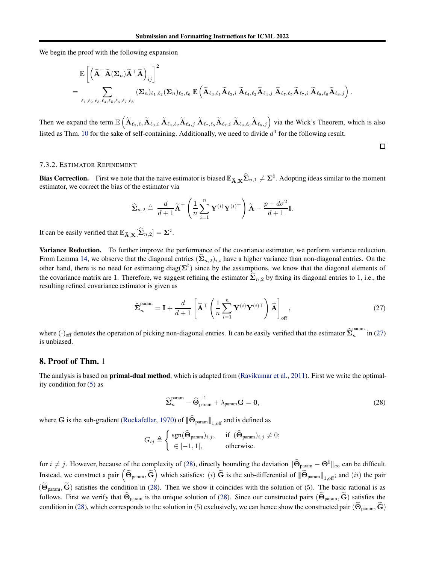We begin the proof with the following expansion

$$
\mathbb{E}\left[\left(\widetilde{\mathbf{A}}^{\top}\widetilde{\mathbf{A}}(\mathbf{\Sigma}_{n})\widetilde{\mathbf{A}}^{\top}\widetilde{\mathbf{A}}\right)_{ij}\right]^{2} \\
= \sum_{\ell_{1},\ell_{2},\ell_{3},\ell_{4},\ell_{5},\ell_{6},\ell_{7},\ell_{8}} \left(\mathbf{\Sigma}_{n}\right)_{\ell_{1},\ell_{2}} \left(\mathbf{\Sigma}_{n}\right)_{\ell_{5},\ell_{6}} \mathbb{E}\left(\widetilde{\mathbf{A}}_{\ell_{3},\ell_{1}}\widetilde{\mathbf{A}}_{\ell_{3},i}\ \widetilde{\mathbf{A}}_{\ell_{4},\ell_{2}}\widetilde{\mathbf{A}}_{\ell_{4},j}\ \widetilde{\mathbf{A}}_{\ell_{7},\ell_{5}}\widetilde{\mathbf{A}}_{\ell_{7},i}\ \widetilde{\mathbf{A}}_{\ell_{8},\ell_{6}}\widetilde{\mathbf{A}}_{\ell_{8},j}\right)\n\tag{2.7}
$$

Then we expand the term  $\mathbb{E}\left(\widetilde{\mathbf{A}}_{\ell_3,\ell_1}\widetilde{\mathbf{A}}_{\ell_3,i} \ \widetilde{\mathbf{A}}_{\ell_4,\ell_2}\widetilde{\mathbf{A}}_{\ell_4,j} \ \widetilde{\mathbf{A}}_{\ell_7,\ell_5}\widetilde{\mathbf{A}}_{\ell_7,i} \ \widetilde{\mathbf{A}}_{\ell_8,\ell_6}\widetilde{\mathbf{A}}_{\ell_8,j}\right)$  via the Wick's Theorem, which is also listed as Thm. [10](#page-42-0) for the sake of self-containing. Additionally, we need to divide  $d^4$  for the following result.

#### 7.3.2. ESTIMATOR REFINEMENT

**Bias Correction.** First we note that the naive estimator is biased  $\mathbb{E}_{\widetilde{\mathbf{A}},\mathbf{X}}\widehat{\Sigma}_{n,1} \neq \Sigma^{\natural}$ . Adopting ideas similar to the moment estimator, we correct the bias of the estimator via

$$
\widehat{\mathbf{\Sigma}}_{n,2} \triangleq \frac{d}{d+1} \widetilde{\mathbf{A}}^{\top} \left( \frac{1}{n} \sum_{i=1}^{n} \mathbf{Y}^{(i)} \mathbf{Y}^{(i)\top} \right) \widetilde{\mathbf{A}} - \frac{p + d\sigma^2}{d+1} \mathbf{I}.
$$

It can be easily verified that  $\mathbb{E}_{\widetilde{\mathbf{A}},\mathbf{X}}[\widehat{\boldsymbol{\Sigma}}_{n,2}] = \boldsymbol{\Sigma}^\natural$ .

Variance Reduction. To further improve the performance of the covariance estimator, we perform variance reduction. From Lemma [14,](#page-19-1) we observe that the diagonal entries  $(\hat{\Sigma}_{n,2})_{i,i}$  have a higher variance than non-diagonal entries. On the other hand, there is no need for estimating diag( $\Sigma^{\natural}$ ) since by the assumptions, we know that the diagonal elements of the covariance matrix are 1. Therefore, we suggest refining the estimator  $\hat{\Sigma}_{n,2}$  by fixing its diagonal entries to 1, i.e., the resulting refined covariance estimator is given as

$$
\widehat{\boldsymbol{\Sigma}}_n^{\text{param}} = \mathbf{I} + \frac{d}{d+1} \left[ \widetilde{\mathbf{A}}^\top \left( \frac{1}{n} \sum_{i=1}^n \mathbf{Y}^{(i)} \mathbf{Y}^{(i)\top} \right) \widetilde{\mathbf{A}} \right]_{\text{off}}, \tag{27}
$$

.

<span id="page-20-0"></span> $\Box$ 

where  $(\cdot)_{\text{off}}$  denotes the operation of picking non-diagonal entries. It can be easily verified that the estimator  $\hat{\Sigma}_n^{\text{param}}$  in [\(27\)](#page-20-0) is unbiased.

## 8. Proof of Thm. 1

The analysis is based on **primal-dual method**, which is adapted from [\(Ravikumar et al.,](#page-9-0) [2011\)](#page-9-0). First we write the optimality condition for [\(5\)](#page-3-1) as

<span id="page-20-1"></span>
$$
\widehat{\Sigma}_n^{\text{param}} - \widehat{\Theta}_{\text{param}}^{-1} + \lambda_{\text{param}} \mathbf{G} = \mathbf{0},\tag{28}
$$

where G is the sub-gradient [\(Rockafellar,](#page-9-15) [1970](#page-9-15)) of  $\|\hat{\Theta}_{\text{param}}\|_{1,\text{off}}$  and is defined as

$$
G_{ij} \triangleq \left\{ \begin{array}{l} \mathrm{sgn}(\hat{\Theta}_{\mathrm{param}})_{i,j}, \hspace{0.5cm} \text{ if } \ (\hat{\Theta}_{\mathrm{param}})_{i,j} \neq 0; \\ \in [-1,1], \hspace{1cm} \text{ otherwise}. \end{array} \right.
$$

for  $i \neq j$ . However, because of the complexity of [\(28\)](#page-20-1), directly bounding the deviation  $\|\widehat{\Theta}_{\text{param}} - \Theta^{\dagger}\|_{\infty}$  can be difficult. Instead, we construct a pair  $(\tilde{\Theta}_{\text{param}} , \tilde{G})$  which satisfies: (i)  $\tilde{G}$  is the sub-differential of  $\|\tilde{\Theta}_{\text{param}}\|_{1,\text{off}}$ ; and (ii) the pair  $(\widetilde{\Theta}_{\text{param}}$ ,  $\widetilde{G}$ ) satisfies the condition in [\(28\)](#page-20-1). Then we show it coincides with the solution of (5). The basic rational is as follows. First we verify that  $\hat{\Theta}_{\text{param}}$  is the unique solution of [\(28\)](#page-20-1). Since our constructed pairs  $(\hat{\Theta}_{\text{param}}, \hat{\mathbf{G}})$  satisfies the condition in [\(28\)](#page-20-1), which corresponds to the solution in (5) exclusively, we can hence show the constructed pair  $(\Theta_{\text{param}}, \mathbf{G})$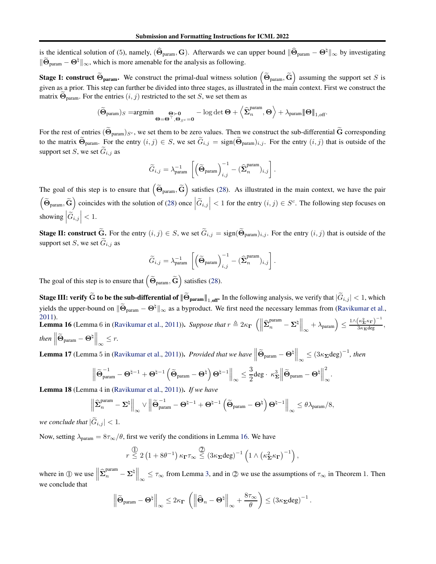is the identical solution of (5), namely,  $(\hat{\Theta}_{\text{param}}$ , G). Afterwards we can upper bound  $\|\hat{\Theta}_{\text{param}} - \Theta^{\natural}\|_{\infty}$  by investigating  $\|\widetilde{\Theta}_{\text{param}} - \Theta^{\natural}\|_{\infty}$ , which is more amenable for the analysis as following.

**Stage I: construct**  $\widetilde{\Theta}_{\text{param}}$ . We construct the primal-dual witness solution  $\left(\widetilde{\Theta}_{\text{param}}, \widetilde{\mathbf{G}}\right)$  assuming the support set S is given as a prior. This step can further be divided into three stages, as illustrated in the main context. First we construct the matrix  $\Theta_{\text{param}}$ . For the entries  $(i, j)$  restricted to the set S, we set them as

$$
(\widetilde{\boldsymbol{\Theta}}_{\mathrm{param}})_S = \hspace{-10pt}\text{argmin} \, \underset{\boldsymbol{\Theta} = \boldsymbol{\Theta}^\top, \, \boldsymbol{\Theta}_{S^c} = \boldsymbol{0}}{\underbrace{\boldsymbol{\Theta} \succ \boldsymbol{0}}}-\log \det \boldsymbol{\Theta} + \left\langle \widehat{\boldsymbol{\Sigma}}^{\mathrm{param}}_n, \boldsymbol{\Theta} \right\rangle + \lambda_{\mathrm{param}} \|\boldsymbol{\Theta}\|_{1,\mathrm{off}}.
$$

For the rest of entries  $(\Theta_{\text{param}})_{S^c}$ , we set them to be zero values. Then we construct the sub-differential  $\tilde{G}$  corresponding to the matrix  $\widetilde{\Theta}_{\text{param}}$ . For the entry  $(i, j) \in S$ , we set  $\widetilde{G}_{i,j} = \text{sign}(\widetilde{\Theta}_{\text{param}})_{i,j}$ . For the entry  $(i, j)$  that is outside of the support set  $S$ , we set  $G_{i,j}$  as

$$
\widetilde{G}_{i,j} = \lambda_{\text{param}}^{-1} \, \left[ \left( \widetilde{\boldsymbol{\Theta}}_{\text{param}} \right)_{i,j}^{-1} - (\widehat{\boldsymbol{\Sigma}}^{\text{param}}_{n})_{i,j} \right].
$$

The goal of this step is to ensure that  $(\tilde{\Theta}_{\text{param}}, \tilde{G})$  satisfies [\(28\)](#page-20-1). As illustrated in the main context, we have the pair  $\left(\widetilde{\Theta}_{\text{param}}, \widetilde{\mathbf{G}}\right)$  coincides with the solution of [\(28\)](#page-20-1) once  $\left|\widetilde{G}_{i,j}\right| < 1$  for the entry  $(i, j) \in S^c$ . The following step focuses on showing  $\left|\widetilde{G}_{i,j}\right| < 1$ .

**Stage II: construct**  $\widetilde{G}$ . For the entry  $(i, j) \in S$ , we set  $\widetilde{G}_{i,j} = sign(\widetilde{\Theta}_{\text{param}})_{i,j}$ . For the entry  $(i, j)$  that is outside of the support set  $S$ , we set  $G_{i,j}$  as

$$
\widetilde{G}_{i,j} = \lambda_{\text{param}}^{-1} \, \left[ \left( \widetilde{\boldsymbol{\Theta}}_{\text{param}} \right)_{i,j}^{-1} - (\widehat{\boldsymbol{\Sigma}}^{\text{param}}_{n})_{i,j} \right].
$$

The goal of this step is to ensure that  $(\widetilde{\Theta}_{\text{param}}, \widetilde{\mathbf{G}})$  satisfies [\(28\)](#page-20-1).

**Stage III: verify G to be the sub-differential of**  $\|\widetilde{\Theta}_{\text{param}}\|_{1, \text{ off}}$ **.** In the following analysis, we verify that  $|\widetilde{G}_{i,j}| < 1$ , which yields the upper-bound on  $\|\widetilde{\Theta}_{\text{param}} - \Theta^{\natural}\|_{\infty}$  as a byproduct. We first need the necessary lemmas from [\(Ravikumar et al.](#page-9-0), [2011\)](#page-9-0). **Lemma 16** (Lemma 6 in [\(Ravikumar et al.,](#page-9-0) [2011\)](#page-9-0)). *Suppose that*  $r \triangleq 2\kappa_{\mathbf{\Gamma}} \left( \left\| \hat{\Sigma}_n^{\text{param}} - \Sigma^{\natural} \right\|_{\infty} + \lambda_{\text{param}} \right) \leq$  $\frac{1 \wedge (\kappa_{\mathbf{\Sigma}}^2 \kappa_{\mathbf{\Gamma}})^{-1}}{3 \kappa_{\mathbf{\Sigma}} \text{deg}},$  $then \left\Vert \widetilde{\Theta}_{\text{param}} - \Theta^{\natural} \right\Vert_{\infty} \leq r.$ 

<span id="page-21-1"></span><span id="page-21-0"></span>**Lemma 17** (Lemma 5 in [\(Ravikumar et al.](#page-9-0), [2011](#page-9-0))). *Provided that we have*  $\left\|\widetilde{\Theta}_{\text{param}} - \Theta^{\sharp}\right\|_{\infty} \leq (3\kappa_{\Sigma} \text{deg})^{-1}$ , then

$$
\left\|\widetilde{\Theta}_{\textup{param}}^{-1}-\Theta^{\natural-1}+\Theta^{\natural-1}\left(\widetilde{\Theta}_{\textup{param}}-\Theta^{\natural}\right)\Theta^{\natural-1}\right\|_{\infty}\leq \frac{3}{2} \textup{deg}\cdot\ \kappa_{\bm{\Sigma}}^3\left\|\widetilde{\Theta}_{\textup{param}}-\Theta^{\natural}\right\|_{\infty}^2.
$$

<span id="page-21-2"></span>Lemma 18 (Lemma 4 in [\(Ravikumar et al.](#page-9-0), [2011](#page-9-0))). *If we have*

$$
\left\| \widehat{\boldsymbol{\Sigma}}^{\text{param}}_{n} - \boldsymbol{\Sigma}^{\natural} \right\|_{\infty} \vee \left\| \widetilde{\boldsymbol{\Theta}}^{-1}_{\text{param}} - \boldsymbol{\Theta}^{\natural - 1} + \boldsymbol{\Theta}^{\natural - 1} \left( \widetilde{\boldsymbol{\Theta}}_{\text{param}} - \boldsymbol{\Theta}^{\natural} \right) \boldsymbol{\Theta}^{\natural - 1} \right\|_{\infty} \leq \theta \lambda_{\text{param}} / 8,
$$

*we conclude that*  $|\tilde{G}_{i,j}| < 1$ *.* 

Now, setting  $\lambda_{\text{param}} = 8\tau_{\infty}/\theta$ , first we verify the conditions in Lemma [16.](#page-21-0) We have

$$
r \stackrel{\text{(1)}}{\leq} 2 \left(1 + 8\theta^{-1}\right) \kappa_{\mathbf{\Gamma}} \tau_{\infty} \stackrel{\text{(2)}}{\leq} \left(3\kappa_{\mathbf{\Sigma}} \text{deg}\right)^{-1} \left(1 \wedge \left(\kappa_{\mathbf{\Sigma}}^2 \kappa_{\mathbf{\Gamma}}\right)^{-1}\right),
$$

where in ① we use  $\left\|\hat{\Sigma}_n^{\text{param}} - \Sigma^{\natural}\right\|_{\infty} \leq \tau_{\infty}$  from Lemma [3,](#page-10-0) and in ② we use the assumptions of  $\tau_{\infty}$  in Theorem 1. Then we conclude that

$$
\left\|\widetilde{\Theta}_{\text{param}}-\Theta^{\natural}\right\|_{\infty}\leq 2\kappa_{\boldsymbol{\Gamma}}\,\left(\left\|\widehat{\Theta}_{n}-\Theta^{\natural}\right\|_{\infty}+\frac{8\tau_{\infty}}{\theta}\right)\leq \left(3\kappa_{\boldsymbol{\Sigma}}\text{deg}\right)^{-1}.
$$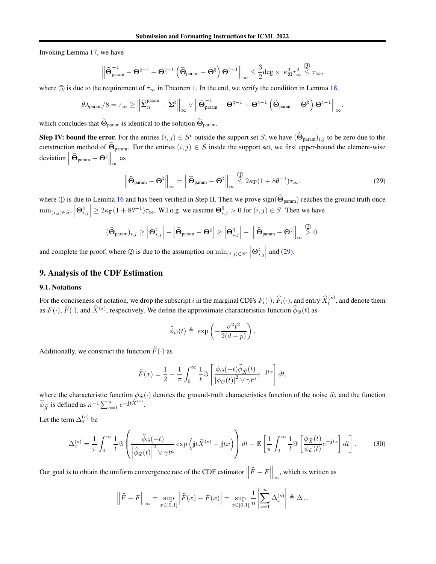Invoking Lemma [17,](#page-21-1) we have

$$
\left\|\widetilde{\boldsymbol{\Theta}}_{\textup{param}}^{-1}-\boldsymbol{\Theta}^{\natural-1}+\boldsymbol{\Theta}^{\natural-1}\left(\widetilde{\boldsymbol{\Theta}}_{\textup{param}}-\boldsymbol{\Theta}^{\natural}\right)\boldsymbol{\Theta}^{\natural-1}\right\|_{\infty}\leq \frac{3}{2}deg\times \; \kappa_{\boldsymbol{\Sigma}}^3\tau_{\infty}^2\overset{\textcircled{\$}}{\leq} \tau_{\infty},
$$

where  $\circled{3}$  is due to the requirement of  $\tau_{\infty}$  in Theorem 1. In the end, we verify the condition in Lemma [18,](#page-21-2)

$$
\theta \lambda_{\text{param}}/8 = \tau_\infty \geq \left\|\widehat{\boldsymbol{\Sigma}}^{\text{param}}_{n} - \boldsymbol{\Sigma}^\natural\right\|_\infty \vee \left\|\widetilde{\boldsymbol{\Theta}}^{-1}_{\text{param}} - \boldsymbol{\Theta}^{\natural - 1} + \boldsymbol{\Theta}^{\natural - 1}\left(\widetilde{\boldsymbol{\Theta}}_{\text{param}} - \boldsymbol{\Theta}^\natural\right)\boldsymbol{\Theta}^{\natural - 1}\right\|_\infty.
$$

which concludes that  $\widetilde{\Theta}_{\text{param}}$  is identical to the solution  $\widehat{\Theta}_{\text{param}}$ .

**Step IV: bound the error.** For the entries  $(i, j) \in S^c$  outside the support set S, we have  $(\widehat{\Theta}_{\text{param}})_{i,j}$  to be zero due to the construction method of  $\widetilde{\Theta}_{\text{param}}$ . For the entries  $(i, j) \in S$  inside the support set, we first upper-bound the element-wise deviation  $\left\|\widehat{\Theta}_{\text{param}} - \Theta^{\natural}\right\|_{\infty}$ as

<span id="page-22-0"></span>
$$
\left\|\widehat{\Theta}_{\text{param}} - \mathbf{\Theta}^{\natural}\right\|_{\infty} = \left\|\widetilde{\Theta}_{\text{param}} - \mathbf{\Theta}^{\natural}\right\|_{\infty} \stackrel{\textcircled{1}}{\leq} 2\kappa_{\Gamma}(1 + 8\theta^{-1})\tau_{\infty},\tag{29}
$$

where ① is due to Lemma [16](#page-21-0) and has been verified in Step II. Then we prove sign( $\hat{\Theta}_{\text{param}}$ ) reaches the ground truth once  $\min_{(i,j)\in S^c}$  $\bm{\Theta}_{i,j}^{\natural}$  $\left| \geq 2\kappa_{\Gamma}(1 + 8\theta^{-1})\tau_{\infty}$ . W.l.o.g. we assume  $\Theta_{i,j}^{\natural} > 0$  for  $(i,j) \in S$ . Then we have

$$
(\widehat{\boldsymbol{\Theta}}_{\text{param}})_{i,j} \geq \left|\boldsymbol{\Theta}_{i,j}^{\natural}\right|-\left|\widehat{\boldsymbol{\Theta}}_{\text{param}}-\boldsymbol{\Theta}^{\natural}\right| \geq \left|\boldsymbol{\Theta}_{i,j}^{\natural}\right|-\left\|\widehat{\boldsymbol{\Theta}}_{\text{param}}-\boldsymbol{\Theta}^{\natural}\right\|_{\infty} \stackrel{\textcircled{\boldsymbol{2}}}{\gt} 0,
$$

and complete the proof, where  $\mathcal{Q}$  is due to the assumption on  $\min_{(i,j)\in S^c}$  $\bm{\Theta}_{i,j}^{\natural}$ and  $(29)$ .

### 9. Analysis of the CDF Estimation

#### 9.1. Notations

For the conciseness of notation, we drop the subscript i in the marginal CDFs  $F_i(\cdot)$ ,  $\widehat{F}_i(\cdot)$ , and entry  $\widehat{X}_i^{(s)}$ , and denote them as  $F(\cdot)$ ,  $\widehat{F}(\cdot)$ , and  $\widehat{X}^{(s)}$ , respectively. We define the approximate characteristics function  $\phi_{\widehat{w}}(t)$  as

<span id="page-22-1"></span>
$$
\widehat{\phi}_{\widehat{w}}(t) \triangleq \exp\left(-\frac{\sigma^2 t^2}{2(d-p)}\right).
$$

Additionally, we construct the function  $\widetilde{F}(\cdot)$  as

$$
\widetilde{F}(x) = \frac{1}{2} - \frac{1}{\pi} \int_0^\infty \frac{1}{t} \Im \left[ \frac{\phi_{\widehat{w}}(-t)\widehat{\phi}_{\widehat{X}}(t)}{|\phi_{\widehat{w}}(t)|^2 \vee \gamma t^a} e^{-jtx} \right] dt,
$$

where the characteristic function  $\phi_{\hat{w}}(\cdot)$  denotes the ground-truth characteristics function of the noise  $\hat{w}$ , and the function  $\widehat{\phi}_{\widehat{X}}$  is defined as  $n^{-1} \sum_{s=1}^n e^{-jt \widehat{X}^{(s)}}$ .

Let the term  $\Delta_x^{(s)}$  be

$$
\Delta_x^{(s)} = \frac{1}{\pi} \int_0^\infty \frac{1}{t} \Im \left( \frac{\widehat{\phi}_{\widehat{w}}(-t)}{\left| \widehat{\phi}_{\widehat{w}}(t) \right|^2 \vee \gamma t^a} \exp \left( \mathrm{j} t \widehat{X}^{(s)} - \mathrm{j} t x \right) \right) dt - \mathbb{E} \left[ \frac{1}{\pi} \int_0^\infty \frac{1}{t} \Im \left[ \frac{\phi_{\widehat{X}}(t)}{\phi_{\widehat{w}}(t)} e^{-\mathrm{j} t x} \right] dt \right]. \tag{30}
$$

Our goal is to obtain the uniform convergence rate of the CDF estimator  $\left\|\widehat{F} - F\right\|_{\infty}$ , which is written as

$$
\left\|\widehat{F} - F\right\|_{\infty} = \sup_{x \in [0,1]} \left|\widehat{F}(x) - F(x)\right| = \sup_{x \in [0,1]} \frac{1}{n} \left|\sum_{s=1}^{n} \Delta_x^{(s)}\right| \triangleq \Delta_x.
$$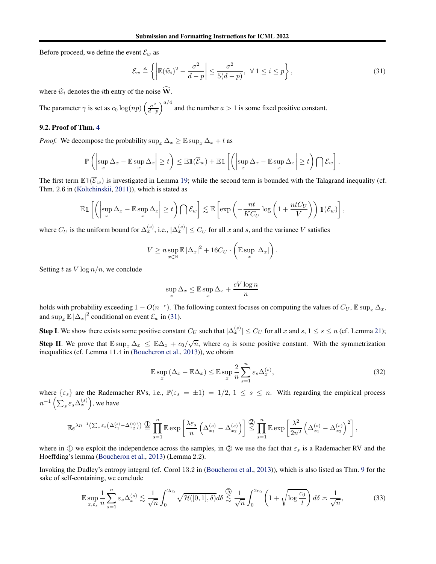Before proceed, we define the event  $\mathcal{E}_w$  as

<span id="page-23-0"></span>
$$
\mathcal{E}_w \triangleq \left\{ \left| \mathbb{E}(\widehat{w}_i)^2 - \frac{\sigma^2}{d - p} \right| \le \frac{\sigma^2}{5(d - p)}, \ \forall \ 1 \le i \le p \right\},\tag{31}
$$

where  $\widehat{w}_i$  denotes the *i*th entry of the noise  $\widehat{W}$ .

The parameter  $\gamma$  is set as  $c_0 \log(np) \left( \frac{\sigma^2}{d-p} \right)$ d−p  $\int_{0}^{a/4}$  and the number  $a > 1$  is some fixed positive constant.

#### 9.2. Proof of Thm. [4](#page-5-0)

*Proof.* We decompose the probability  $\sup_x \Delta_x \geq \mathbb{E} \sup_x \Delta_x + t$  as

$$
\mathbb{P}\left(\left|\sup_x \Delta_x - \mathbb{E}\sup_x \Delta_x\right| \geq t\right) \leq \mathbb{E}1(\overline{\mathcal{E}}_w) + \mathbb{E}1\left[\left(\left|\sup_x \Delta_x - \mathbb{E}\sup_x \Delta_x\right| \geq t\right)\bigcap \mathcal{E}_w\right].
$$

The first term  $\mathbb{E} \mathbb{1}(\overline{\mathcal{E}}_w)$  is investigated in Lemma [19;](#page-24-0) while the second term is bounded with the Talagrand inequality (cf. Thm. 2.6 in [\(Koltchinskii,](#page-8-21) [2011\)](#page-8-21)), which is stated as

$$
\mathbb{E} \mathbb{1}\left[\left(\left|\sup_x \Delta_x - \mathbb{E}\sup_x \Delta_x\right| \geq t\right) \bigcap \mathcal{E}_w\right] \lesssim \mathbb{E}\left[\exp\left(-\frac{nt}{KC_U}\log\left(1 + \frac{ntC_U}{V}\right)\right) \mathbb{1}(\mathcal{E}_w)\right],
$$

where  $C_U$  is the uniform bound for  $\Delta_x^{(s)}$ , i.e.,  $|\Delta_x^{(s)}| \le C_U$  for all x and s, and the variance V satisfies

$$
V \geq n \sup_{x \in \mathbb{R}} \mathbb{E} |\Delta_x|^2 + 16C_U \cdot \left( \mathbb{E} \sup_x |\Delta_x| \right).
$$

Setting t as  $V \log n/n$ , we conclude

$$
\sup_{x} \Delta_x \le \mathbb{E} \sup_{x} \Delta_x + \frac{cV \log n}{n}
$$

holds with probability exceeding  $1 - O(n^{-c})$ . The following context focuses on computing the values of  $C_U$ ,  $\mathbb{E} \sup_x \Delta_x$ , and  $\sup_x \mathbb{E} |\Delta_x|^2$  conditional on event  $\mathcal{E}_w$  in [\(31\)](#page-23-0).

**Step I**. We show there exists some positive constant  $C_U$  such that  $|\Delta_x^{(s)}| \leq C_U$  for all x and  $s, 1 \leq s \leq n$  (cf. Lemma [21\)](#page-25-0); Step II. We prove that  $\mathbb{E} \sup_x \Delta_x \leq \mathbb{E} \Delta_x + c_0/\sqrt{n}$ , where  $c_0$  is some positive constant. With the symmetrization inequalities (cf. Lemma 11.4 in [\(Boucheron et al.,](#page-8-22) [2013\)](#page-8-22)), we obtain

<span id="page-23-2"></span><span id="page-23-1"></span>
$$
\mathbb{E}\sup_{x} \left(\Delta_x - \mathbb{E}\Delta_x\right) \leq \mathbb{E}\sup_{x} \frac{2}{n} \sum_{s=1}^{n} \varepsilon_s \Delta_x^{(s)},\tag{32}
$$

where  $\{\varepsilon_s\}$  are the Rademacher RVs, i.e.,  $\mathbb{P}(\varepsilon_s = \pm 1) = 1/2, 1 \leq s \leq n$ . With regarding the empirical process  $n^{-1}\left(\sum_{s} \varepsilon_{s} \Delta_{x}^{(s)}\right)$ , we have

$$
\mathbb{E}e^{\lambda n^{-1}\left(\sum_{s} \varepsilon_{s}\left(\Delta_{x_{1}}^{(s)}-\Delta_{x_{2}}^{(s)}\right)\right)}\stackrel{\text{(1)}}{=} \prod_{s=1}^{n} \mathbb{E} \exp\left[\frac{\lambda \varepsilon_{s}}{n}\left(\Delta_{x_{1}}^{(s)}-\Delta_{x_{2}}^{(s)}\right)\right] \stackrel{\text{(2)}}{\leq} \prod_{s=1}^{n} \mathbb{E} \exp\left[\frac{\lambda^{2}}{2n^{2}}\left(\Delta_{x_{1}}^{(s)}-\Delta_{x_{2}}^{(s)}\right)^{2}\right],
$$

where in ① we exploit the independence across the samples, in ② we use the fact that  $\varepsilon_s$  is a Rademacher RV and the Hoeffding's lemma [\(Boucheron et al.,](#page-8-22) [2013\)](#page-8-22) (Lemma 2.2).

Invoking the Dudley's entropy integral (cf. Corol 13.2 in [\(Boucheron et al.,](#page-8-22) [2013\)](#page-8-22)), which is also listed as Thm. [9](#page-42-1) for the sake of self-containing, we conclude

$$
\mathbb{E}\sup_{x,\varepsilon_s} \frac{1}{n} \sum_{s=1}^n \varepsilon_s \Delta_x^{(s)} \lesssim \frac{1}{\sqrt{n}} \int_0^{2c_0} \sqrt{\mathcal{H}([0,1],\delta)} d\delta \stackrel{\textcircled{3}}{\lesssim} \frac{1}{\sqrt{n}} \int_0^{2c_0} \left(1 + \sqrt{\log\frac{c_0}{t}}\right) d\delta \asymp \frac{1}{\sqrt{n}},\tag{33}
$$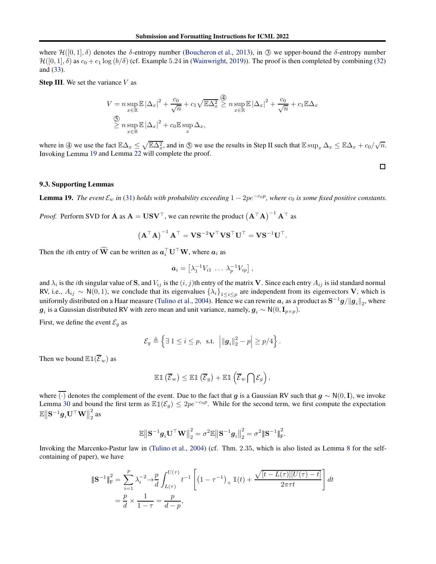where  $\mathcal{H}([0,1],\delta)$  denotes the  $\delta$ -entropy number [\(Boucheron et al.,](#page-8-22) [2013\)](#page-8-22), in  $\Im$  we upper-bound the  $\delta$ -entropy number  $\mathcal{H}([0,1], \delta)$  as  $c_0 + c_1 \log (b/\delta)$  (cf. Example 5.24 in [\(Wainwright,](#page-9-3) [2019](#page-9-3))). The proof is then completed by combining [\(32\)](#page-23-1) and [\(33\)](#page-23-2).

**Step III.** We set the variance  $V$  as

$$
V = n \sup_{x \in \mathbb{R}} \mathbb{E} |\Delta_x|^2 + \frac{c_0}{\sqrt{n}} + c_1 \sqrt{\mathbb{E} \Delta_x^2} \ge n \sup_{x \in \mathbb{R}} \mathbb{E} |\Delta_x|^2 + \frac{c_0}{\sqrt{n}} + c_1 \mathbb{E} \Delta_x
$$
  

$$
\sum_{x \in \mathbb{R}} n \sup_{x \in \mathbb{R}} \mathbb{E} |\Delta_x|^2 + c_0 \mathbb{E} \sup_x \Delta_x,
$$

where in  $\textcircled{4}$  we use the fact  $\mathbb{E}\Delta_x \leq \sqrt{\mathbb{E}\Delta_x^2}$ , and in  $\textcircled{5}$  we use the results in Step II such that  $\mathbb{E}\sup_x \Delta_x \leq \mathbb{E}\Delta_x + c_0/\sqrt{n}$ . Invoking Lemma [19](#page-24-0) and Lemma [22](#page-26-0) will complete the proof.

#### 9.3. Supporting Lemmas

<span id="page-24-0"></span>**Lemma 19.** *The event*  $\mathcal{E}_w$  *in* [\(31\)](#page-23-0) *holds with probability exceeding*  $1 - 2pe^{-c_0p}$ *, where*  $c_0$  *is some fixed positive constants.* 

*Proof.* Perform SVD for **A** as  $A = USV^{\top}$ , we can rewrite the product  $(A^{\top}A)^{-1}A^{\top}$  as

$$
\left(\mathbf{A}^{\top}\mathbf{A}\right)^{-1}\mathbf{A}^{\top} = \mathbf{V}\mathbf{S}^{-2}\mathbf{V}^{\top}\mathbf{V}\mathbf{S}^{\top}\mathbf{U}^{\top} = \mathbf{V}\mathbf{S}^{-1}\mathbf{U}^{\top}.
$$

Then the *i*th entry of  $\widehat{W}$  can be written as  $a_i^{\top} U^{\top} W$ , where  $a_i$  as

$$
\boldsymbol{a}_i = \left[ \lambda_1^{-1} V_{i1} \ \ldots \ \lambda_p^{-1} V_{ip} \right],
$$

and  $\lambda_i$  is the *i*th singular value of **S**, and  $V_{ij}$  is the  $(i, j)$ th entry of the matrix **V**. Since each entry  $A_{ij}$  is iid standard normal RV, i.e.,  $A_{ij} \sim N(0, 1)$ , we conclude that its eigenvalues  $\{\lambda_i\}_{1 \leq i \leq p}$  are independent from its eigenvectors V, which is uniformly distributed on a Haar measure [\(Tulino et al.,](#page-9-16) [2004](#page-9-16)). Hence we can rewrite  $a_i$  as a product as  $S^{-1}g/||g_i||_2$ , where  $g_i$  is a Gaussian distributed RV with zero mean and unit variance, namely,  $g_i \sim N(0, I_{p \times p})$ .

First, we define the event  $\mathcal{E}_g$  as

$$
\mathcal{E}_g \triangleq \left\{ \exists \ 1 \leq i \leq p, \ \text{s.t.} \ \left| \|\boldsymbol{g}_i\|_2^2 - p \right| \geq p/4 \right\}.
$$

Then we bound  $\mathbb{E} \mathbb{1}(\overline{\mathcal{E}}_w)$  as

$$
\mathbb{E} \mathbb{1} \left( \overline{\mathcal{E}}_w \right) \leq \mathbb{E} \mathbb{1} \left( \overline{\mathcal{E}}_g \right) + \mathbb{E} \mathbb{1} \left( \overline{\mathcal{E}}_w \bigcap \mathcal{E}_g \right),
$$

where  $\overline{(\cdot)}$  denotes the complement of the event. Due to the fact that g is a Gaussian RV such that  $g \sim N(0, I)$ , we invoke Lemma [30](#page-41-1) and bound the first term as  $\mathbb{E} \mathbb{1}(\mathcal{E}_g) \leq 2p e^{-c_0 p}$ . While for the second term, we first compute the expectation  $\mathbb{E}\big\|\mathbf{S}^{-1}\bm{g}_i\mathbf{U}^\top\mathbf{W}\big\|_2^2$  $\frac{2}{2}$  as

$$
\mathbb{E} \big\| \mathbf{S}^{-1} \boldsymbol{g}_i \mathbf{U}^\top \mathbf{W} \big\|_2^2 = \sigma^2 \mathbb{E} \big\| \mathbf{S}^{-1} \boldsymbol{g}_i \big\|_2^2 = \sigma^2 \|\mathbf{S}^{-1}\|_{\mathrm{F}}^2.
$$

Invoking the Marcenko-Pastur law in [\(Tulino et al.,](#page-9-16) [2004\)](#page-9-16) (cf. Thm. 2.35, which is also listed as Lemma [8](#page-41-2) for the selfcontaining of paper), we have

$$
\begin{split} \left\| \mathbf{S}^{-1} \right\|_{\mathrm{F}}^{2} &= \sum_{i=1}^{p} \lambda_{i}^{-2} \rightarrow \frac{p}{d} \int_{L(\tau)}^{U(\tau)} t^{-1} \left[ \left( 1 - \tau^{-1} \right)_{+} \mathbbm{1}(t) + \frac{\sqrt{[t - L(\tau)][U(\tau) - t]}}{2\pi\tau t} \right] dt \\ &= \frac{p}{d} \times \frac{1}{1 - \tau} = \frac{p}{d - p}, \end{split}
$$

 $\Box$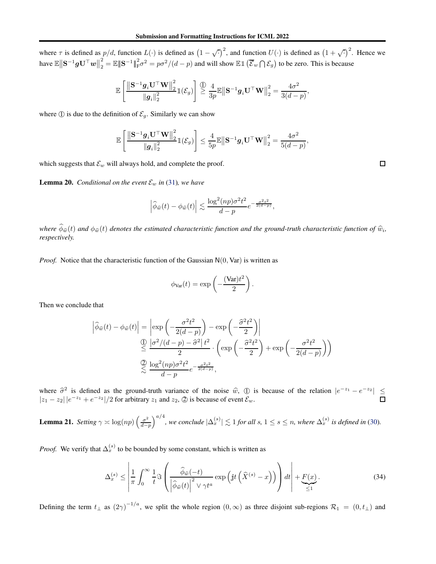where  $\tau$  is defined as  $p/d$ , function  $L(\cdot)$  is defined as  $(1 - \sqrt{\cdot})^2$ , and function  $U(\cdot)$  is defined as  $(1 + \sqrt{\cdot})^2$ . Hence we have  $\mathbb{E} \big\| \mathbf{S}^{-1} \bm{g} \mathbf{U}^\top \bm{w} \big\|_2^2$  $\frac{2}{2} = \mathbb{E} \|\mathbf{S}^{-1}\|_{\mathbb{F}}^2 \sigma^2 = p\sigma^2/(d-p)$  and will show  $\mathbb{E} \mathbb{1}(\overline{\mathcal{E}}_w \cap \mathcal{E}_g)$  to be zero. This is because

$$
\mathbb{E}\left[\frac{\left\|\mathbf{S}^{-1}\bm{g}_i\mathbf{U}^\top\mathbf{W}\right\|_2^2}{\left\|\bm{g}_i\right\|_2^2}\mathbb{1}(\mathcal{E}_g)\right] \overset{\text{(1)}}{\geq} \frac{4}{3p}\mathbb{E}\left\|\mathbf{S}^{-1}\bm{g}_i\mathbf{U}^\top\mathbf{W}\right\|_2^2 = \frac{4\sigma^2}{3(d-p)}
$$

where  $\circled{1}$  is due to the definition of  $\mathcal{E}_g$ . Similarly we can show

$$
\mathbb{E}\left[\frac{\left\|\mathbf{S}^{-1}\mathbf{g}_i\mathbf{U}^{\top}\mathbf{W}\right\|_2^2}{\left\|\mathbf{g}_i\right\|_2^2}\mathbb{1}(\mathcal{E}_g)\right] \leq \frac{4}{5p}\mathbb{E}\left\|\mathbf{S}^{-1}\mathbf{g}_i\mathbf{U}^{\top}\mathbf{W}\right\|_2^2 = \frac{4\sigma^2}{5(d-p)},
$$

which suggests that  $\mathcal{E}_w$  will always hold, and complete the proof.

<span id="page-25-2"></span>**Lemma 20.** *Conditional on the event*  $\mathcal{E}_w$  *in* [\(31\)](#page-23-0)*, we have* 

$$
\left|\widehat{\phi}_{\widehat{w}}(t) - \phi_{\widehat{w}}(t)\right| \lesssim \frac{\log^2 (np)\sigma^2 t^2}{d-p} e^{-\frac{\sigma^2 t^2}{2(d-p)}},
$$

*where*  $\phi_{\widehat{w}}(t)$  and  $\phi_{\widehat{w}}(t)$  denotes the estimated characteristic function and the ground-truth characteristic function of  $\widehat{w}_i$ , *respectively.*

*Proof.* Notice that the characteristic function of the Gaussian N(0, Var) is written as

$$
\phi_{\text{Var}}(t) = \exp\left(-\frac{(\text{Var})t^2}{2}\right).
$$

Then we conclude that

$$
\left| \hat{\phi}_{\widehat{w}}(t) - \phi_{\widehat{w}}(t) \right| = \left| \exp\left( -\frac{\sigma^2 t^2}{2(d-p)} \right) - \exp\left( -\frac{\widehat{\sigma}^2 t^2}{2} \right) \right|
$$
  

$$
\stackrel{\text{(1)}{=}}{\leq} \frac{|\sigma^2/(d-p) - \widehat{\sigma}^2| t^2}{2} \cdot \left( \exp\left( -\frac{\widehat{\sigma}^2 t^2}{2} \right) + \exp\left( -\frac{\sigma^2 t^2}{2(d-p)} \right) \right)
$$
  

$$
\stackrel{\text{(2)}{=} \frac{\log^2(np)\sigma^2 t^2}{d-p} e^{-\frac{\sigma^2 t^2}{2(d-p)}},
$$

where  $\hat{\sigma}^2$  is defined as the ground-truth variance of the noise  $\hat{w}$ ,  $\hat{w}$  is because of the relation  $|e^{-z_1} - e^{-z_2}| \le$  $|z_1 - z_2| |e^{-z_1} + e^{-z_2}|/2$  for arbitrary  $z_1$  and  $z_2$ ,  $\oslash$  is because of event  $\mathcal{E}_w$ .

<span id="page-25-0"></span>**Lemma 21.** *Setting*  $\gamma \asymp \log(np) \left( \frac{\sigma^2}{d-p} \right)$ d−p  $\int^{a/4}$ , we conclude  $|\Delta_x^{(s)}| \lesssim 1$  for all s,  $1 \leq s \leq n$ , where  $\Delta_x^{(s)}$  is defined in [\(30\)](#page-22-1).

*Proof.* We verify that  $\Delta_x^{(s)}$  to be bounded by some constant, which is written as

<span id="page-25-1"></span>
$$
\Delta_x^{(s)} \le \left| \frac{1}{\pi} \int_0^\infty \frac{1}{t} \Im \left( \frac{\widehat{\phi}_{\widehat{w}}(-t)}{\left| \widehat{\phi}_{\widehat{w}}(t) \right|^2 \vee \gamma t^a} \exp \left( j t \left( \widehat{X}^{(s)} - x \right) \right) \right) dt \right| + \underbrace{F(x)}_{\le 1}.
$$
\n(34)

Defining the term  $t_{\perp}$  as  $(2\gamma)^{-1/a}$ , we split the whole region  $(0, \infty)$  as three disjoint sub-regions  $\mathcal{R}_1 = (0, t_{\perp})$  and

 $\Box$ 

,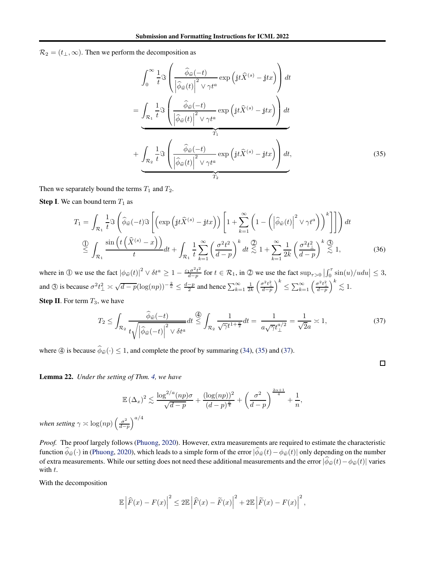$\mathcal{R}_2 = (t_{\perp}, \infty)$ . Then we perform the decomposition as

$$
\int_{0}^{\infty} \frac{1}{t} \Im \left( \frac{\widehat{\phi}_{\widehat{w}}(-t)}{\left| \widehat{\phi}_{\widehat{w}}(t) \right|^{2} \vee \gamma t^{a}} \exp \left( \mathrm{j} t \widehat{X}^{(s)} - \mathrm{j} t x \right) \right) dt
$$
\n
$$
= \underbrace{\int_{\mathcal{R}_{1}} \frac{1}{t} \Im \left( \frac{\widehat{\phi}_{\widehat{w}}(-t)}{\left| \widehat{\phi}_{\widehat{w}}(t) \right|^{2} \vee \gamma t^{a}} \exp \left( \mathrm{j} t \widehat{X}^{(s)} - \mathrm{j} t x \right) \right) dt}_{T_{1}}
$$
\n
$$
+ \underbrace{\int_{\mathcal{R}_{2}} \frac{1}{t} \Im \left( \frac{\widehat{\phi}_{\widehat{w}}(-t)}{\left| \widehat{\phi}_{\widehat{w}}(t) \right|^{2} \vee \gamma t^{a}} \exp \left( \mathrm{j} t \widehat{X}^{(s)} - \mathrm{j} t x \right) \right) dt}_{T_{2}}, \tag{35}
$$

Then we separately bound the terms  $T_1$  and  $T_2$ .

**Step I.** We can bound term  $T_1$  as

$$
T_{1} = \int_{\mathcal{R}_{1}} \frac{1}{t} \Im\left(\widehat{\phi}_{\widehat{w}}(-t) \Im\left[\left(\exp\left(jt\widehat{X}^{(s)} - jtx\right)\right) \left[1 + \sum_{k=1}^{\infty} \left(1 - \left(\left|\widehat{\phi}_{\widehat{w}}(t)\right|^{2} \vee \gamma t^{a}\right)\right)^{k}\right]\right]\right) dt
$$
  

$$
\stackrel{\text{(1)}{=} \int_{\mathcal{R}_{1}} \frac{\sin\left(t\left(\widehat{X}^{(s)} - x\right)\right)}{t} dt + \int_{\mathcal{R}_{1}} \frac{1}{t} \sum_{k=1}^{\infty} \left(\frac{\sigma^{2} t^{2}}{d - p}\right)^{k} dt \stackrel{\text{(2)}}{\lesssim} 1 + \sum_{k=1}^{\infty} \frac{1}{2k} \left(\frac{\sigma^{2} t^{2}}{d - p}\right)^{k} \stackrel{\text{(3)}}{\lesssim} 1, \tag{36}
$$

where in ① we use the fact  $|\phi_{\hat{w}}(t)|^2 \vee \delta t^a \geq 1 - \frac{c_1 \sigma^2 t^2}{d-p}$  $\frac{d_1\sigma^2t^2}{d-p}$  for  $t \in \mathcal{R}_1$ , in  $\mathcal{D}$  we use the fact  $\sup_{\tau>0} \left| \int_0^{\tau} \sin(u)/u du \right| \leq 3$ , and ③ is because  $\sigma^2 t_\perp^2 \asymp \sqrt{d-p}(\log(np))^{-\frac{2}{a}} \le \frac{d-p}{2}$  and hence  $\sum_{k=1}^{\infty} \frac{1}{2k}$  $\Big(\frac{\sigma^2 t_\perp^2}{d-p}$  $\setminus^k$  $\leq \sum_{k=1}^{\infty} \left( \frac{\sigma^2 t_{\perp}^2}{d-p} \right)$  $\big)^k \lesssim 1.$ 

**Step II**. For term  $T_3$ , we have

$$
T_2 \le \int_{\mathcal{R}_2} \frac{\widehat{\phi}_{\widehat{w}}(-t)}{t \sqrt{\left|\widehat{\phi}_{\widehat{w}}(-t)\right|^2 \vee \delta t^a}} dt \stackrel{\text{(B)}}{\le} \int_{\mathcal{R}_2} \frac{1}{\sqrt{\gamma} t^{1+\frac{a}{2}}} dt = \frac{1}{a\sqrt{\gamma}t_{\perp}^{a/2}} = \frac{1}{\sqrt{2}a} \asymp 1,
$$
\n(37)

<span id="page-26-2"></span><span id="page-26-1"></span> $\Box$ 

where  $\textcircled{4}$  is because  $\widehat{\phi}_{\widehat{w}}(\cdot) \leq 1$ , and complete the proof by summaring [\(34\)](#page-25-1), [\(35\)](#page-26-1) and [\(37\)](#page-26-2).

<span id="page-26-0"></span>Lemma 22. *Under the setting of Thm. [4,](#page-5-0) we have*

$$
\mathbb{E}(\Delta_x)^2 \lesssim \frac{\log^{2/a}(np)\sigma}{\sqrt{d-p}} + \frac{(\log(np))^2}{(d-p)^{\frac{a}{4}}} + \left(\frac{\sigma^2}{d-p}\right)^{\frac{2\alpha+1}{4}} + \frac{1}{n},
$$

*when setting*  $\gamma \asymp \log(np) \left( \frac{\sigma^2}{d-p} \right)$ d−p  $\setminus a/4$ 

*Proof.* The proof largely follows [\(Phuong,](#page-9-9) [2020](#page-9-9)). However, extra measurements are required to estimate the characteristic function  $\phi_{\hat{w}}(\cdot)$  in [\(Phuong,](#page-9-9) [2020\)](#page-9-9), which leads to a simple form of the error  $|\phi_{\hat{w}}(t)-\phi_{\hat{w}}(t)|$  only depending on the number of extra measurements. While our setting does not need these additional measurements and the error  $|\phi_{\hat{w}}(t)-\phi_{\hat{w}}(t)|$  varies with t.

With the decomposition

$$
\mathbb{E}\left|\widehat{F}(x) - F(x)\right|^2 \le 2\mathbb{E}\left|\widehat{F}(x) - \widetilde{F}(x)\right|^2 + 2\mathbb{E}\left|\widetilde{F}(x) - F(x)\right|^2,
$$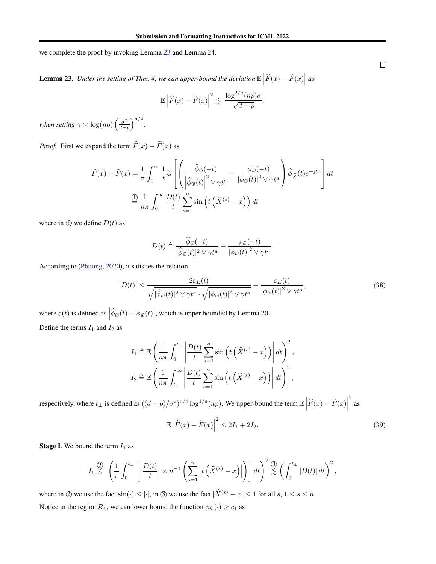we complete the proof by invoking Lemma [23](#page-27-0) and Lemma [24.](#page-29-0)

<span id="page-27-0"></span>**Lemma 23.** Under the setting of Thm. [4,](#page-5-0) we can upper-bound the deviation  $\mathbb{E}\left|\widehat{F}(x) - \widetilde{F}(x)\right|$  as

$$
\mathbb{E}\left|\widehat{F}(x)-\widetilde{F}(x)\right|^2 \lesssim \frac{\log^{2/a}(np)\sigma}{\sqrt{d-p}},
$$

*when setting*  $\gamma \asymp \log(np) \left( \frac{\sigma^2}{d-p} \right)$ d−p  $\big)^{a/4}.$ 

*Proof.* First we expand the term  $\widehat{F}(x) - \widetilde{F}(x)$  as

$$
\widehat{F}(x) - \widetilde{F}(x) = \frac{1}{\pi} \int_0^\infty \frac{1}{t} \Im \left[ \left( \frac{\widehat{\phi}_{\widehat{w}}(-t)}{\left| \widehat{\phi}_{\widehat{w}}(t) \right|^2 \vee \gamma t^a} - \frac{\phi_{\widehat{w}}(-t)}{\left| \phi_{\widehat{w}}(t) \right|^2 \vee \gamma t^a} \right) \widehat{\phi}_{\widehat{X}}(t) e^{-jtx} \right] dt
$$

$$
\stackrel{\text{(1)}}{=} \frac{1}{n\pi} \int_0^\infty \frac{D(t)}{t} \sum_{s=1}^n \sin \left( t \left( \widehat{X}^{(s)} - x \right) \right) dt
$$

where in  $\Phi$  we define  $D(t)$  as

$$
D(t) \triangleq \frac{\widehat{\phi}_{\widehat{w}}(-t)}{|\widehat{\phi}_{\widehat{w}}(t)|^2 \vee \gamma t^a} - \frac{\phi_{\widehat{w}}(-t)}{|\phi_{\widehat{w}}(t)|^2 \vee \gamma t^a}.
$$

According to [\(Phuong,](#page-9-9) [2020\)](#page-9-9), it satisfies the relation

$$
|D(t)| \le \frac{2\varepsilon_E(t)}{\sqrt{|\hat{\phi}_{\widehat{w}}(t)|^2 \vee \gamma t^a} \cdot \sqrt{|\phi_{\widehat{w}}(t)|^2 \vee \gamma t^a}} + \frac{\varepsilon_E(t)}{|\phi_{\widehat{w}}(t)|^2 \vee \gamma t^a},\tag{38}
$$

where  $\varepsilon(t)$  is defined as  $\left|\hat{\phi}_{\hat{w}}(t) - \phi_{\hat{w}}(t)\right|$ , which is upper bounded by Lemma [20.](#page-25-2) Define the terms  $I_1$  and  $I_2$  as

$$
I_1 \triangleq \mathbb{E}\left(\frac{1}{n\pi}\int_0^{t_\perp} \left|\frac{D(t)}{t}\sum_{s=1}^n \sin\left(t\left(\hat{X}^{(s)} - x\right)\right)\right| dt\right)^2,
$$
  

$$
I_2 \triangleq \mathbb{E}\left(\frac{1}{n\pi}\int_{t_\perp}^\infty \left|\frac{D(t)}{t}\sum_{s=1}^n \sin\left(t\left(\hat{X}^{(s)} - x\right)\right)\right| dt\right)^2,
$$

respectively, where  $t_{\perp}$  is defined as  $((d-p)/\sigma^2)^{1/4} \log^{1/a}(np)$ . We upper-bound the term  $\mathbb{E} \left| \widehat{F}(x) - \widetilde{F}(x) \right|$ 2 as

<span id="page-27-2"></span>
$$
\mathbb{E}\left|\widehat{F}(x)-\widetilde{F}(x)\right|^2 \le 2I_1 + 2I_2. \tag{39}
$$

**Stage I.** We bound the term  $I_1$  as

$$
I_1 \overset{\mathbb{Q}}{\leq} \left( \frac{1}{\pi} \int_0^{t_\perp} \left[ \left| \frac{D(t)}{t} \right| \times n^{-1} \left( \sum_{s=1}^n \left| t \left( \widehat{X}^{(s)} - x \right) \right| \right) \right] dt \right)^2 \overset{\mathbb{Q}}{\lesssim} \left( \int_0^{t_\perp} |D(t)| dt \right)^2,
$$

where in  $\mathcal{Q}$  we use the fact sin(·)  $\leq$  |·|, in  $\mathcal{Q}$  we use the fact  $|\widehat{X}^{(s)} - x| \leq 1$  for all  $s, 1 \leq s \leq n$ . Notice in the region  $\mathcal{R}_1$ , we can lower bound the function  $\phi_{\hat{w}}(\cdot) \geq c_1$  as

<span id="page-27-1"></span> $\Box$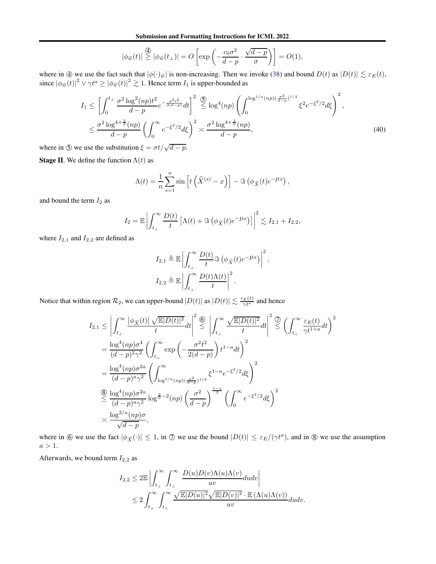Submission and Formatting Instructions for ICML 2022

$$
|\phi_{\widehat{w}}(t)| \stackrel{\textcircled{4}}{\geq} |\phi_{\widehat{w}}(t_{\perp})| = O\left[\exp\left(-\frac{c_0\sigma^2}{d-p} \cdot \frac{\sqrt{d-p}}{\sigma}\right)\right] = O(1),
$$

where in  $\textcircled{4}$  we use the fact such that  $|\phi(\cdot)_{\hat{w}}|$  is non-increasing. Then we invoke [\(38\)](#page-27-1) and bound  $D(t)$  as  $|D(t)| \lesssim \varepsilon_E(t)$ , since  $|\phi_{\hat{w}}(t)|^2 \vee \gamma t^a \ge |\phi_{\hat{w}}(t)|^2 \gtrsim 1$ . Hence term  $I_1$  is upper-bounded as

$$
I_{1} \leq \left[ \int_{0}^{t_{\perp}} \frac{\sigma^{2} \log^{2}(np)t^{2}}{d-p} e^{-\frac{\sigma^{2} t^{2}}{2(d-p)}} dt \right]^{2} \leq \log^{4}(np) \left( \int_{0}^{\log^{1/a}(np)(\frac{\sigma^{2}}{d-p})^{1/4}} \xi^{2} e^{-\xi^{2}/2} d\xi \right)^{2},
$$
  

$$
\leq \frac{\sigma^{2} \log^{4 + \frac{2}{\alpha}}(np)}{d-p} \left( \int_{0}^{\infty} e^{-\xi^{2}/2} d\xi \right)^{2} \asymp \frac{\sigma^{2} \log^{4 + \frac{2}{\alpha}}(np)}{d-p}, \tag{40}
$$

where in  $\circledS$  we use the substitution  $\xi = \sigma t / \sqrt{d - p}$ .

**Stage II**. We define the function  $\Lambda(t)$  as

<span id="page-28-0"></span>
$$
\Lambda(t) = \frac{1}{n} \sum_{s=1}^{n} \sin\left[t\left(\widehat{X}^{(s)} - x\right)\right] - \Im\left(\phi_{\widehat{X}}(t)e^{-jtx}\right),
$$

and bound the term  $I_2$  as

$$
I_2 = \mathbb{E} \left| \int_{t_\perp}^{\infty} \frac{D(t)}{t} \left[ \Lambda(t) + \Im \left( \phi_{\widehat{X}}(t) e^{-jtx} \right) \right] \right|^2 \lesssim I_{2,1} + I_{2,2},
$$

where  $I_{2,1}$  and  $I_{2,2}$  are defined as

$$
I_{2,1} \triangleq \mathbb{E} \left| \int_{t_{\perp}}^{\infty} \frac{D(t)}{t} \Im \left( \phi_{\widehat{X}}(t) e^{-jtx} \right) \right|^2,
$$
  

$$
I_{2,2} \triangleq \mathbb{E} \left| \int_{t_{\perp}}^{\infty} \frac{D(t) \Lambda(t)}{t} \right|^2.
$$

Notice that within region  $\mathcal{R}_2$ , we can upper-bound  $|D(t)|$  as  $|D(t)| \lesssim \frac{\varepsilon_E(t)}{\gamma t^a}$  and hence

$$
I_{2,1} \leq \left| \int_{t_{\perp}}^{\infty} \frac{|\phi_{\hat{X}}(t)| \sqrt{\mathbb{E}|D(t)|^2}}{t} dt \right|^2 \stackrel{\textcircled{\bigcirc}}{\leq} \left| \int_{t_{\perp}}^{\infty} \frac{\sqrt{\mathbb{E}|D(t)|^2}}{t} dt \right|^2 \stackrel{\textcircled{\bigcirc}}{\leq} \left( \int_{t_{\perp}}^{\infty} \frac{\varepsilon_E(t)}{\gamma t^{1+a}} dt \right)^2
$$
\n
$$
= \frac{\log^4(np)\sigma^4}{(d-p)^2\gamma^2} \left( \int_{t_{\perp}}^{\infty} \exp\left(-\frac{\sigma^2 t^2}{2(d-p)}\right) t^{1-a} dt \right)^2
$$
\n
$$
= \frac{\log^4(np)\sigma^{2a}}{(d-p)^a\gamma^2} \left( \int_{\log^{1/a}(np)(\frac{\sigma^2}{d-p})^{1/4}}^{\infty} \xi^{1-a} e^{-\xi^2/2} d\xi \right)^2
$$
\n
$$
\stackrel{\textcircled{\bigcirc}}{\leq} \frac{\log^4(np)\sigma^{2a}}{(d-p)^a\gamma^2} \log^{\frac{2}{a}-2}(np) \left( \frac{\sigma^2}{d-p} \right)^{\frac{1-a}{2}} \left( \int_0^{\infty} e^{-\xi^2/2} d\xi \right)^2
$$
\n
$$
\times \frac{\log^{2/a}(np)\sigma}{\sqrt{d-p}},
$$

where in  $\circledA$  we use the fact  $|\phi_{\hat{X}}(\cdot)| \leq 1$ , in  $\circledD$  we use the bound  $|D(t)| \leq \varepsilon_E/(\gamma t^a)$ , and in  $\circledB$  we use the assumption  $a>1.$ 

Afterwards, we bound term  $I_{2,2}$  as

$$
I_{2,2} \leq 2\mathbb{E}\left|\int_{t_{\perp}}^{\infty}\int_{t_{\perp}}^{\infty}\frac{D(u)D(v)\Lambda(u)\Lambda(v)}{uv}dudv\right|
$$
  

$$
\leq 2\int_{t_{\perp}}^{\infty}\int_{t_{\perp}}^{\infty}\frac{\sqrt{\mathbb{E}|D(u)|^2}\sqrt{\mathbb{E}|D(v)|^2}\cdot\mathbb{E}\left(\Lambda(u)\Lambda(v)\right)}{uv}dudv.
$$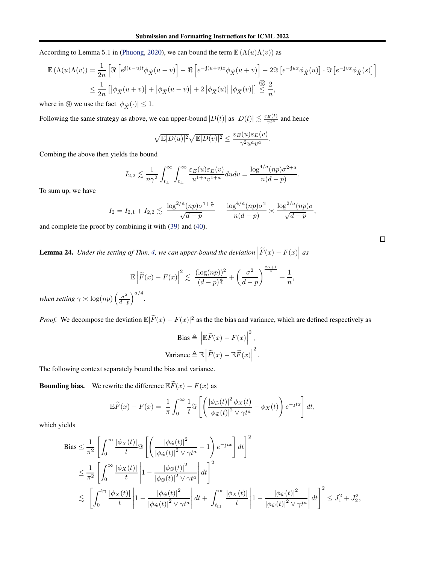According to Lemma 5.1 in [\(Phuong,](#page-9-9) [2020\)](#page-9-9), we can bound the term  $\mathbb{E}(\Lambda(u)\Lambda(v))$  as

$$
\mathbb{E}(\Lambda(u)\Lambda(v)) = \frac{1}{2n} \left[ \Re \left[ e^{j(v-u)t} \phi_{\widehat{X}}(u-v) \right] - \Re \left[ e^{-j(u+v)x} \phi_{\widehat{X}}(u+v) \right] - 2\Im \left[ e^{-jux} \phi_{\widehat{X}}(u) \right] \cdot \Im \left[ e^{-jvx} \phi_{\widehat{X}}(s) \right] \right]
$$
  

$$
\leq \frac{1}{2n} \left[ \left| \phi_{\widehat{X}}(u+v) \right| + \left| \phi_{\widehat{X}}(u-v) \right| + 2 \left| \phi_{\widehat{X}}(u) \right| \left| \phi_{\widehat{X}}(v) \right| \right] \stackrel{\textcircled{0}}{\leq} \frac{2}{n},
$$

where in  $\circled{9}$  we use the fact  $|\phi_{\hat{X}}(\cdot)| \leq 1$ .

Following the same strategy as above, we can upper-bound  $|D(t)|$  as  $|D(t)| \lesssim \frac{\varepsilon_E(t)}{\gamma t^a}$  and hence

$$
\sqrt{\mathbb{E}|D(u)|^2}\sqrt{\mathbb{E}|D(v)|^2} \le \frac{\varepsilon_E(u)\varepsilon_E(v)}{\gamma^2 u^a v^a}.
$$

Combing the above then yields the bound

$$
I_{2,2} \lesssim \frac{1}{n\gamma^2} \int_{t_\perp}^{\infty} \int_{t_\perp}^{\infty} \frac{\varepsilon_E(u)\varepsilon_E(v)}{u^{1+a}v^{1+a}} du dv = \frac{\log^{4/a}(np)\sigma^{2+a}}{n(d-p)}
$$

.

To sum up, we have

$$
I_2 = I_{2,1} + I_{2,2} \lesssim \frac{\log^{2/a}(np)\sigma^{1+\frac{a}{2}}}{\sqrt{d-p}} + \frac{\log^{4/a}(np)\sigma^2}{n(d-p)} \gtrsim \frac{\log^{2/a}(np)\sigma}{\sqrt{d-p}},
$$

and complete the proof by combining it with [\(39\)](#page-27-2) and [\(40\)](#page-28-0).

<span id="page-29-0"></span>**Lemma 24.** Under the setting of Thm. [4,](#page-5-0) we can upper-bound the deviation  $\left| \widetilde{F}(x) - F(x) \right|$  as

$$
\mathbb{E}\left|\widetilde{F}(x) - F(x)\right|^2 \lesssim \frac{(\log(np))^2}{(d-p)^{\frac{\alpha}{4}}} + \left(\frac{\sigma^2}{d-p}\right)^{\frac{2\alpha+1}{4}} + \frac{1}{n},
$$
  
 $\sum_{n=1}^{\infty} a/4$ 

*when setting*  $\gamma \asymp \log(np) \left( \frac{\sigma^2}{d-p} \right)$ d−p  $\big)^{a/4}.$ 

*Proof.* We decompose the deviation  $\mathbb{E}|\tilde{F}(x) - F(x)|^2$  as the the bias and variance, which are defined respectively as

$$
\text{Bias} \triangleq \left| \mathbb{E}\widetilde{F}(x) - F(x) \right|^2,
$$
\n
$$
\text{Variance} \triangleq \mathbb{E} \left| \widetilde{F}(x) - \mathbb{E}\widetilde{F}(x) \right|^2.
$$

The following context separately bound the bias and variance.

**Bounding bias.** We rewrite the difference  $\mathbb{E}\widetilde{F}(x) - F(x)$  as

$$
\mathbb{E}\widetilde{F}(x) - F(x) = \frac{1}{\pi} \int_0^\infty \frac{1}{t} \Im \left[ \left( \frac{|\phi_{\widehat{w}}(t)|^2 \phi_X(t)}{|\phi_{\widehat{w}}(t)|^2 \vee \gamma t^a} - \phi_X(t) \right) e^{-jtx} \right] dt,
$$

which yields

$$
\begin{split} \text{Bias} &\leq \frac{1}{\pi^2} \left[ \int_0^\infty \frac{|\phi_X(t)|}{t} \Im \left[ \left( \frac{|\phi_{\widehat{w}}(t)|^2}{|\phi_{\widehat{w}}(t)|^2 \vee \gamma t^a} - 1 \right) e^{-jtx} \right] dt \right]^2 \\ &\leq \frac{1}{\pi^2} \left[ \int_0^\infty \frac{|\phi_X(t)|}{t} \left| 1 - \frac{|\phi_{\widehat{w}}(t)|^2}{|\phi_{\widehat{w}}(t)|^2 \vee \gamma t^a} \right| dt \right]^2 \\ &\lesssim \left[ \int_0^{t_{\square}} \frac{|\phi_X(t)|}{t} \left| 1 - \frac{|\phi_{\widehat{w}}(t)|^2}{|\phi_{\widehat{w}}(t)|^2 \vee \gamma t^a} \right| dt + \int_{t_{\square}}^\infty \frac{|\phi_X(t)|}{t} \left| 1 - \frac{|\phi_{\widehat{w}}(t)|^2}{|\phi_{\widehat{w}}(t)|^2 \vee \gamma t^a} \right| dt \right]^2 \leq J_1^2 + J_2^2, \end{split}
$$

 $\Box$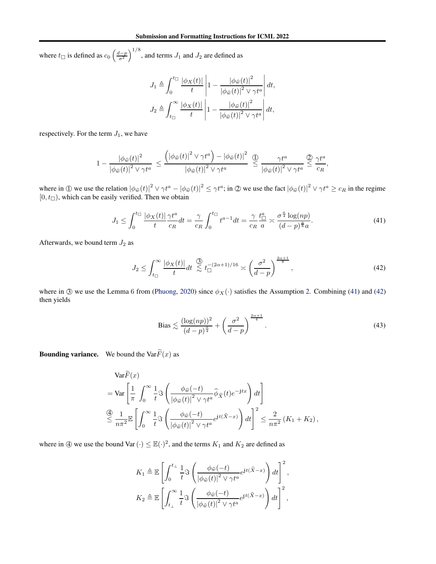where  $t_{\Box}$  is defined as  $c_0 \left( \frac{d-p}{\sigma^2} \right)$  $\big)^{1/8}$ , and terms  $J_1$  and  $J_2$  are defined as

$$
J_1 \triangleq \int_0^{t_{\Box}} \frac{|\phi_X(t)|}{t} \left| 1 - \frac{|\phi_{\widehat{w}}(t)|^2}{|\phi_{\widehat{w}}(t)|^2 \vee \gamma t^a} \right| dt,
$$
  

$$
J_2 \triangleq \int_{t_{\Box}}^{\infty} \frac{|\phi_X(t)|}{t} \left| 1 - \frac{|\phi_{\widehat{w}}(t)|^2}{|\phi_{\widehat{w}}(t)|^2 \vee \gamma t^a} \right| dt,
$$

respectively. For the term  $J_1$ , we have

$$
1 - \frac{\left|\phi_{\widehat{w}}(t)\right|^2}{\left|\phi_{\widehat{w}}(t)\right|^2 \vee \gamma t^a} \leq \frac{\left(\left|\phi_{\widehat{w}}(t)\right|^2 \vee \gamma t^a\right) - \left|\phi_{\widehat{w}}(t)\right|^2}{\left|\phi_{\widehat{w}}(t)\right|^2 \vee \gamma t^a} \stackrel{\textcircled{D}}{\leq} \frac{\gamma t^a}{\left|\phi_{\widehat{w}}(t)\right|^2 \vee \gamma t^a} \stackrel{\textcircled{D}}{\leq} \frac{\gamma t^a}{c_R},
$$

where in  $\left(\int \mathbb{D} \mathbf{w} \cos \theta \, d\theta \right) \propto \left| \phi \hat{\mathbf{w}}(t) \right|^2 \left| \phi \hat{\mathbf{w}}(t) \right|^2 \leq \gamma t^a$ ; in  $\mathbb{D} \mathbf{w}$  we use the fact  $\left| \phi \hat{\mathbf{w}}(t) \right|^2 \vee \gamma t^a \geq c_R$  in the regime  $[0, t]$ , which can be easily verified. Then we obtain

$$
J_1 \le \int_0^{t_{\square}} \frac{|\phi_X(t)|}{t} \frac{\gamma t^a}{c_R} dt = \frac{\gamma}{c_R} \int_0^{t_{\square}} t^{a-1} dt = \frac{\gamma}{c_R} \frac{t_{\square}^a}{a} \approx \frac{\sigma^{\frac{a}{4}} \log(np)}{(d-p)^{\frac{a}{8}} a}.
$$
 (41)

Afterwards, we bound term  $J_2$  as

$$
J_2 \le \int_{t_{\Box}}^{\infty} \frac{|\phi_X(t)|}{t} dt \stackrel{\text{(3)}}{\lesssim} t_{\Box}^{-(2\alpha+1)/16} \asymp \left(\frac{\sigma^2}{d-p}\right)^{\frac{2\alpha+1}{8}},\tag{42}
$$

where in  $\circled{3}$  we use the Lemma 6 from [\(Phuong,](#page-9-9) [2020\)](#page-9-9) since  $\phi_X(\cdot)$  satisfies the Assumption [2.](#page-5-1) Combining [\(41\)](#page-30-0) and [\(42\)](#page-30-1) then yields

<span id="page-30-2"></span><span id="page-30-1"></span><span id="page-30-0"></span>
$$
\text{Bias} \lesssim \frac{(\log(np))^2}{(d-p)^{\frac{\alpha}{4}}} + \left(\frac{\sigma^2}{d-p}\right)^{\frac{2\alpha+1}{4}}.\tag{43}
$$

**Bounding variance.** We bound the Var $\widetilde{F}(x)$  as

$$
\operatorname{Var}\!\bar{F}(x)
$$
\n
$$
= \operatorname{Var}\left[\frac{1}{\pi} \int_0^\infty \frac{1}{t} \Im \left(\frac{\phi_{\widehat{w}}(-t)}{|\phi_{\widehat{w}}(t)|^2 \vee \gamma t^a} \widehat{\phi}_{\widehat{X}}(t) e^{-jtx}\right) dt\right]
$$
\n
$$
\stackrel{\text{(A)}}{\leq} \frac{1}{n\pi^2} \mathbb{E}\left[\int_0^\infty \frac{1}{t} \Im \left(\frac{\phi_{\widehat{w}}(-t)}{|\phi_{\widehat{w}}(t)|^2 \vee \gamma t^a} e^{jt(\widehat{X}-x)}\right) dt\right]^2 \leq \frac{2}{n\pi^2} (K_1 + K_2),
$$

where in  $\circled{4}$  we use the bound Var  $(\cdot) \leq \mathbb{E}(\cdot)^2$ , and the terms  $K_1$  and  $K_2$  are defined as

$$
K_1 \triangleq \mathbb{E}\left[\int_0^{t_\perp} \frac{1}{t} \Im\left(\frac{\phi_{\widehat{w}}(-t)}{|\phi_{\widehat{w}}(t)|^2 \vee \gamma t^a} e^{\mathrm{j}t(\widehat{X}-x)}\right) dt\right]^2,
$$
  

$$
K_2 \triangleq \mathbb{E}\left[\int_{t_\perp}^{\infty} \frac{1}{t} \Im\left(\frac{\phi_{\widehat{w}}(-t)}{|\phi_{\widehat{w}}(t)|^2 \vee \gamma t^a} e^{\mathrm{j}t(\widehat{X}-x)}\right) dt\right]^2,
$$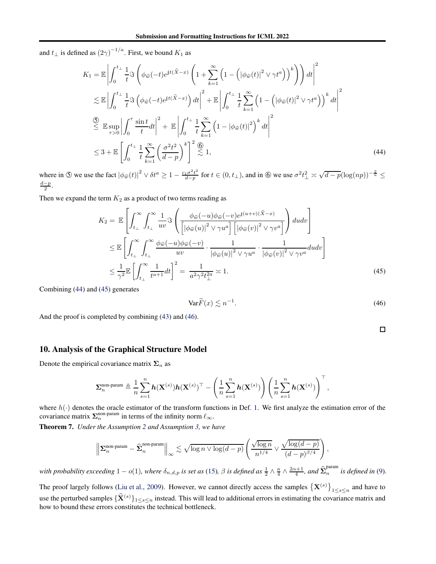and  $t_{\perp}$  is defined as  $(2\gamma)^{-1/a}$ . First, we bound  $K_1$  as

$$
K_{1} = \mathbb{E}\left|\int_{0}^{t_{\perp}} \frac{1}{t} \Im\left(\phi_{\widehat{w}}(-t)e^{jt(\widehat{X}-x)}\left(1+\sum_{k=1}^{\infty}\left(1-\left(|\phi_{\widehat{w}}(t)|^{2} \vee \gamma t^{a}\right)\right)^{k}\right)\right)dt\right|^{2}
$$
  
\n
$$
\lesssim \mathbb{E}\left|\int_{0}^{t_{\perp}} \frac{1}{t} \Im\left(\phi_{\widehat{w}}(-t)e^{jt(\widehat{X}-x)}\right)dt\right|^{2} + \mathbb{E}\left|\int_{0}^{t_{\perp}} \frac{1}{t}\sum_{k=1}^{\infty}\left(1-\left(|\phi_{\widehat{w}}(t)|^{2} \vee \gamma t^{a}\right)\right)^{k}dt\right|^{2}
$$
  
\n
$$
\stackrel{\text{(3)}}{\leq} \mathbb{E}\sup_{\tau>0}\left|\int_{0}^{\tau}\frac{\sin t}{t}dt\right|^{2} + \mathbb{E}\left|\int_{0}^{t_{\perp}} \frac{1}{t}\sum_{k=1}^{\infty}\left(1-|\phi_{\widehat{w}}(t)|^{2}\right)^{k}dt\right|^{2}
$$
  
\n
$$
\leq 3 + \mathbb{E}\left[\int_{0}^{t_{\perp}} \frac{1}{t}\sum_{k=1}^{\infty}\left(\frac{\sigma^{2}t^{2}}{d-p}\right)^{k}\right]^{2}\bigg|_{\infty}^{2} 1,
$$
  
\n(44)

where in  $\circledS$  we use the fact  $|\phi_{\hat{w}}(t)|^2 \vee \delta t^a \geq 1 - \frac{c_1 \sigma^2 t^2}{d-p}$  $\frac{d_1\sigma^2t^2}{d-p}$  for  $t \in (0, t_\perp)$ , and in  $\circledS$  we use  $\sigma^2t_\perp^2 \asymp \sqrt{d-p}(\log(np))^{-\frac{2}{\alpha}} \le$  $\frac{d-p}{2}$ .

Then we expand the term  $K_2$  as a product of two terms reading as

$$
K_{2} = \mathbb{E}\left[\int_{t_{\perp}}^{\infty} \int_{t_{\perp}}^{\infty} \frac{1}{uv} \Im\left(\frac{\phi_{\widehat{w}}(-u)\phi_{\widehat{w}}(-v)e^{j(u+v)(\widehat{X}-x)}}{\left[|\phi_{\widehat{w}}(u)|^{2} \vee \gamma u^{a}\right| \left[|\phi_{\widehat{w}}(v)|^{2} \vee \gamma v^{a}\right]}\right) du dv\right]
$$
  

$$
\leq \mathbb{E}\left[\int_{t_{\perp}}^{\infty} \int_{t_{\perp}}^{\infty} \frac{\phi_{\widehat{w}}(-u)\phi_{\widehat{w}}(-v)}{uv} \cdot \frac{1}{|\phi_{\widehat{w}}(u)|^{2} \vee \gamma u^{a}} \cdot \frac{1}{|\phi_{\widehat{w}}(v)|^{2} \vee \gamma v^{a}} du dv\right]
$$
  

$$
\leq \frac{1}{\gamma^{2}} \mathbb{E}\left[\int_{t_{\perp}}^{\infty} \frac{1}{t^{a+1}} dt\right]^{2} = \frac{1}{a^{2} \gamma^{2} t_{\perp}^{2a}} \asymp 1.
$$
 (45)

Combining [\(44\)](#page-31-0) and [\(45\)](#page-31-1) generates

$$
\text{Var}\tilde{F}(x) \lesssim n^{-1}.\tag{46}
$$

And the proof is completed by combining [\(43\)](#page-30-2) and [\(46\)](#page-31-2).

<span id="page-31-2"></span><span id="page-31-1"></span><span id="page-31-0"></span> $\Box$ 

### 10. Analysis of the Graphical Structure Model

Denote the empirical covariance matrix  $\Sigma_n$  as

$$
\boldsymbol{\Sigma}_n^{\text{non-param}} \triangleq \frac{1}{n} \sum_{s=1}^n \boldsymbol{h}(\mathbf{X}^{(s)}) \boldsymbol{h}(\mathbf{X}^{(s)})^\top - \left(\frac{1}{n} \sum_{s=1}^n \boldsymbol{h}(\mathbf{X}^{(s)})\right) \left(\frac{1}{n} \sum_{s=1}^n \boldsymbol{h}(\mathbf{X}^{(s)})\right)^\top,
$$

where  $h(\cdot)$  denotes the oracle estimator of the transform functions in Def. [1.](#page-3-5) We first analyze the estimation error of the covariance matrix  $\Sigma_n^{\text{non-param}}$  in terms of the infinity norm  $\ell_{\infty}$ .

<span id="page-31-3"></span>Theorem 7. *Under the Assumption [2](#page-5-1) and Assumption [3,](#page-5-2) we have*

$$
\left\| \mathbf{\Sigma}_n^{\text{non-param}} - \widehat{\mathbf{\Sigma}}_n^{\text{non-param}} \right\|_\infty \lesssim \sqrt{\log n \vee \log(d-p)} \left( \frac{\sqrt{\log n}}{n^{1/4}} \vee \frac{\sqrt{\log(d-p)}}{(d-p)^{\beta/4}} \right),
$$

*with probability exceeding*  $1-o(1)$ *, where*  $\delta_{n,d,p}$  *is set as* [\(15\)](#page-5-3)*,*  $\beta$  *is defined as*  $\frac{1}{2} \wedge \frac{a}{4} \wedge \frac{2\alpha+1}{4}$ *, and*  $\widehat{\Sigma}_n^{\text{param}}$  $\int_{n}^{\frac{1}{2}}$  *is defined in* [\(9\)](#page-4-4).

The proof largely follows [\(Liu et al.,](#page-8-3) [2009\)](#page-8-3). However, we cannot directly access the samples  $\{X^{(s)}\}$  $1 \leq s \leq n$  and have to use the perturbed samples  $\{\hat{\mathbf{X}}^{(s)}\}_{1\leq s\leq n}$  instead. This will lead to additional errors in estimating the covariance matrix and how to bound these errors constitutes the technical bottleneck.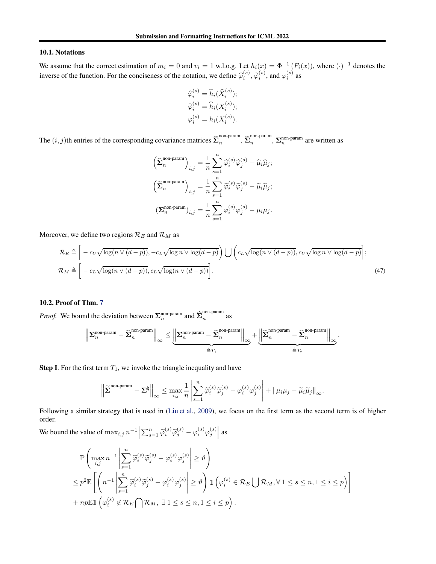#### 10.1. Notations

We assume that the correct estimation of  $m_i = 0$  and  $v_i = 1$  w.l.o.g. Let  $h_i(x) = \Phi^{-1}(F_i(x))$ , where  $(\cdot)^{-1}$  denotes the inverse of the function. For the conciseness of the notation, we define  $\hat{\varphi}_i^{(s)}$ ,  $\tilde{\varphi}_i^{(s)}$ , and  $\varphi_i^{(s)}$  as

$$
\widehat{\varphi}_i^{(s)} = \widehat{h}_i(\widehat{X}_i^{(s)});
$$
  
\n
$$
\widetilde{\varphi}_i^{(s)} = \widehat{h}_i(X_i^{(s)});
$$
  
\n
$$
\varphi_i^{(s)} = h_i(X_i^{(s)}).
$$

The  $(i, j)$ th entries of the corresponding covariance matrices  $\hat{\Sigma}_n^{\text{non-param}}$ ,  $\tilde{\Sigma}_n^{\text{non-param}}$ ,  $\Sigma_n^{\text{non-param}}$  are written as

<span id="page-32-0"></span>
$$
\label{eq:2} \begin{aligned} \left(\widehat{\pmb{\Sigma}}^{\text{non-param}}_{n}\right)_{i,j} &= \frac{1}{n}\sum_{s=1}^{n}\widehat{\varphi}_{i}^{(s)}\widehat{\varphi}_{j}^{(s)} - \widehat{\mu}_{i}\widehat{\mu}_{j};\\ \left(\widetilde{\pmb{\Sigma}}^{\text{non-param}}_{n}\right)_{i,j} &= \frac{1}{n}\sum_{s=1}^{n}\widetilde{\varphi}_{i}^{(s)}\widetilde{\varphi}_{j}^{(s)} - \widetilde{\mu}_{i}\widetilde{\mu}_{j};\\ \left(\pmb{\Sigma}^{\text{non-param}}_{n}\right)_{i,j} &= \frac{1}{n}\sum_{s=1}^{n}\varphi_{i}^{(s)}\varphi_{j}^{(s)} - \mu_{i}\mu_{j}. \end{aligned}
$$

Moreover, we define two regions  $\mathcal{R}_E$  and  $\mathcal{R}_M$  as

$$
\mathcal{R}_E \triangleq \left[ -c_U \sqrt{\log(n \vee (d-p))}, -c_L \sqrt{\log n \vee \log(d-p)} \right) \bigcup \left( c_L \sqrt{\log(n \vee (d-p))}, c_U \sqrt{\log n \vee \log(d-p)} \right];
$$
\n
$$
\mathcal{R}_M \triangleq \left[ -c_L \sqrt{\log(n \vee (d-p))}, c_L \sqrt{\log(n \vee (d-p))} \right].
$$
\n(47)

### 10.2. Proof of Thm. [7](#page-31-3)

*Proof.* We bound the deviation between  $\Sigma_n^{\text{non-param}}$  and  $\widehat{\Sigma}_n^{\text{non-param}}$  $\frac{n}{n}$  as

$$
\left\|\Sigma_n^{\mathrm{non-param}}-\hat{\Sigma}_n^{\mathrm{non-param}}\right\|_\infty\leq\underbrace{\left\|\Sigma_n^{\mathrm{non-param}}-\tilde{\Sigma}_n^{\mathrm{non-param}}\right\|_\infty}_{\triangleq T_1}+\underbrace{\left\|\tilde{\Sigma}_n^{\mathrm{non-param}}-\hat{\Sigma}_n^{\mathrm{non-param}}\right\|_\infty}_{\triangleq T_2}.
$$

**Step I.** For the first term  $T_1$ , we invoke the triangle inequality and have

$$
\left\| \widetilde{\boldsymbol{\Sigma}}^{\text{non-param}} - \boldsymbol{\Sigma}^{\natural} \right\|_{\infty} \leq \max_{i,j} \frac{1}{n} \left| \sum_{s=1}^{n} \widetilde{\varphi}_{i}^{(s)} \widetilde{\varphi}_{j}^{(s)} - \varphi_{i}^{(s)} \varphi_{j}^{(s)} \right| + \left\| \mu_{i} \mu_{j} - \widetilde{\mu}_{i} \widetilde{\mu}_{j} \right\|_{\infty}.
$$

Following a similar strategy that is used in [\(Liu et al.](#page-8-3), [2009\)](#page-8-3), we focus on the first term as the second term is of higher order.

We bound the value of  $\max_{i,j} n^{-1} \left| \sum_{s=1}^n \widetilde{\varphi}_i^{(s)} \widetilde{\varphi}_j^{(s)} - \varphi_i^{(s)} \varphi_j^{(s)} \right|$    as

$$
\mathbb{P}\left(\max_{i,j} n^{-1} \left| \sum_{s=1}^n \widetilde{\varphi}_i^{(s)} \widetilde{\varphi}_j^{(s)} - \varphi_i^{(s)} \varphi_j^{(s)} \right| \geq \vartheta \right)
$$
\n
$$
\leq p^2 \mathbb{E}\left[\left(n^{-1} \left| \sum_{s=1}^n \widetilde{\varphi}_i^{(s)} \widetilde{\varphi}_j^{(s)} - \varphi_i^{(s)} \varphi_j^{(s)} \right| \geq \vartheta \right) \mathbb{1}\left(\varphi_i^{(s)} \in \mathcal{R}_E \bigcup \mathcal{R}_M, \forall 1 \leq s \leq n, 1 \leq i \leq p\right) \right]
$$
\n
$$
+ np \mathbb{E}\mathbb{1}\left(\varphi_i^{(s)} \notin \mathcal{R}_E \bigcap \mathcal{R}_M, \exists 1 \leq s \leq n, 1 \leq i \leq p\right).
$$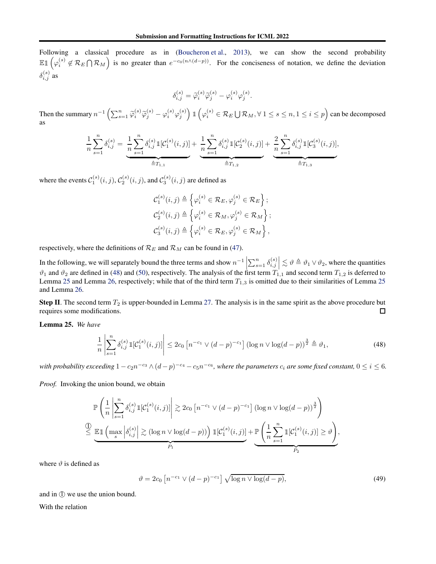Following a classical procedure as in [\(Boucheron et al.,](#page-8-22) [2013\)](#page-8-22), we can show the second probability  $\mathbb{E} \mathbb{1}$   $\left( \varphi_i^{(s)} \right)$  $_{i}^{\left( s\right) }\not\in\mathcal{R}_{E}\bigcap\mathcal{R}_{M}$ is no greater than  $e^{-c_0(n\wedge (d-p))}$ . For the conciseness of notation, we define the deviation  $\delta_{i,j}^{(s)}$  as

$$
\delta_{i,j}^{(s)} = \tilde{\varphi}_i^{(s)} \tilde{\varphi}_j^{(s)} - \varphi_i^{(s)} \varphi_j^{(s)}.
$$

Then the summary  $n^{-1} \left( \sum_{s=1}^n \widetilde{\varphi}_i^{(s)} \widetilde{\varphi}_j^{(s)} - \varphi_i^{(s)} \varphi_j^{(s)} \right) \mathbb{1} \left( \varphi_i^{(s)} \in \mathcal{R}_E \bigcup \mathcal{R}_M, \forall 1 \le s \le n, 1 \le i \le p \right)$  can be decomposed as

$$
\frac{1}{n} \sum_{s=1}^{n} \delta_{i,j}^{(s)} = \underbrace{\frac{1}{n} \sum_{s=1}^{n} \delta_{i,j}^{(s)} \mathbb{1}[C_1^{(s)}(i,j)]}_{\text{if } T_{1,1}} + \underbrace{\frac{1}{n} \sum_{s=1}^{n} \delta_{i,j}^{(s)} \mathbb{1}[C_2^{(s)}(i,j)]}_{\text{if } T_{1,2}} + \underbrace{\frac{2}{n} \sum_{s=1}^{n} \delta_{i,j}^{(s)} \mathbb{1}[C_3^{(s)}(i,j)]}_{\text{if } T_{1,3}},
$$

where the events  $\mathcal{C}_1^{(s)}(i,j), \mathcal{C}_2^{(s)}(i,j)$ , and  $\mathcal{C}_3^{(s)}(i,j)$  are defined as

<span id="page-33-0"></span>
$$
\mathcal{C}_{1}^{(s)}(i,j) \triangleq \left\{ \varphi_{i}^{(s)} \in \mathcal{R}_{E}, \varphi_{j}^{(s)} \in \mathcal{R}_{E} \right\};
$$
  

$$
\mathcal{C}_{2}^{(s)}(i,j) \triangleq \left\{ \varphi_{i}^{(s)} \in \mathcal{R}_{M}, \varphi_{j}^{(s)} \in \mathcal{R}_{M} \right\};
$$
  

$$
\mathcal{C}_{3}^{(s)}(i,j) \triangleq \left\{ \varphi_{i}^{(s)} \in \mathcal{R}_{E}, \varphi_{j}^{(s)} \in \mathcal{R}_{M} \right\},
$$

respectively, where the definitions of  $\mathcal{R}_E$  and  $\mathcal{R}_M$  can be found in [\(47\)](#page-32-0).

In the following, we will separately bound the three terms and show  $n^{-1}\left|\sum_{s=1}^{n} \delta_{i,j}^{(s)}\right|$  $\vert \lesssim \vartheta \triangleq \vartheta_1 \vee \vartheta_2$ , where the quantities  $\vartheta_1$  and  $\vartheta_2$  are defined in [\(48\)](#page-33-0) and [\(50\)](#page-34-0), respectively. The analysis of the first term  $T_{1,1}$  and second term  $T_{1,2}$  is deferred to Lemma [25](#page-33-1) and Lemma [26,](#page-34-1) respectively; while that of the third term  $T_{1,3}$  is omitted due to their similarities of Lemma 25 and Lemma [26.](#page-34-1)

**Step II**. The second term  $T_2$  is upper-bounded in Lemma [27.](#page-36-0) The analysis is in the same spirit as the above procedure but requires some modifications.  $\Box$ 

<span id="page-33-1"></span>Lemma 25. *We have*

$$
\frac{1}{n} \left| \sum_{s=1}^{n} \delta_{i,j}^{(s)} \mathbb{1}[\mathcal{C}_1^{(s)}(i,j)] \right| \le 2c_0 \left[ n^{-c_1} \vee (d-p)^{-c_1} \right] \left( \log n \vee \log(d-p) \right)^{\frac{3}{2}} \triangleq \vartheta_1,
$$
\n(48)

with probability exceeding  $1-c_2n^{-c_3}\wedge(d-p)^{-c_4}-c_5n^{-c_6}$ , where the parameters  $c_i$  are some fixed constant,  $0\leq i\leq 6$ .

*Proof.* Invoking the union bound, we obtain

$$
\mathbb{P}\left(\frac{1}{n}\left|\sum_{s=1}^n \delta_{i,j}^{(s)} \mathbb{I}[\mathcal{C}_1^{(s)}(i,j)]\right| \gtrsim 2c_0 \left[n^{-c_1} \vee (d-p)^{-c_1}\right] \left(\log n \vee \log(d-p)\right)^{\frac{3}{2}}\right)
$$
  

$$
\leq \underbrace{\mathbb{E} \mathbb{I} \left(\max_s \left|\delta_{i,j}^{(s)}\right| \gtrsim (\log n \vee \log(d-p))\right) \mathbb{I}[\mathcal{C}_1^{(s)}(i,j)]}_{P_1} + \underbrace{\mathbb{P} \left(\frac{1}{n}\sum_{s=1}^n \mathbb{I}[\mathcal{C}_1^{(s)}(i,j)] \geq \vartheta\right)}_{P_2},
$$

where  $\vartheta$  is defined as

<span id="page-33-2"></span>
$$
\vartheta = 2c_0 \left[ n^{-c_1} \vee (d-p)^{-c_1} \right] \sqrt{\log n \vee \log(d-p)},\tag{49}
$$

and in  $\mathbb D$  we use the union bound.

With the relation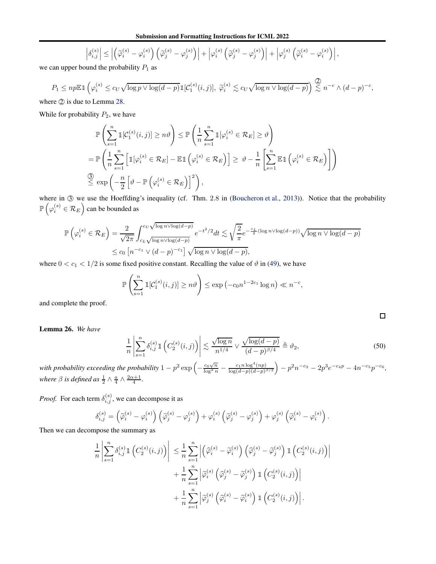$$
\left|\delta_{i,j}^{(s)}\right| \leq \left| \left(\widetilde{\varphi}_i^{(s)} - \varphi_i^{(s)}\right) \left(\widetilde{\varphi}_j^{(s)} - \varphi_j^{(s)}\right) \right| + \left|\varphi_i^{(s)}\left(\widetilde{\varphi}_j^{(s)} - \varphi_j^{(s)}\right) \right| + \left|\varphi_j^{(s)}\left(\widetilde{\varphi}_i^{(s)} - \varphi_i^{(s)}\right) \right|,
$$

we can upper bound the probability  $P_1$  as

$$
P_1 \le np \mathbb{E} \mathbb{1}\left(\varphi_i^{(s)} \le c_U \sqrt{\log p \vee \log(d-p)} \mathbb{1}[C_1^{(s)}(i,j)], \ \widetilde{\varphi}_i^{(s)} \lesssim c_U \sqrt{\log n \vee \log(d-p)}\right) \stackrel{\textcircled{2}}{\lesssim} n^{-c} \wedge (d-p)^{-c},
$$

where  $\oslash$  is due to Lemma [28.](#page-37-0)

While for probability  $P_2$ , we have

$$
\mathbb{P}\left(\sum_{s=1}^{n} \mathbb{1}[\mathcal{C}_{1}^{(s)}(i,j)] \geq n\vartheta\right) \leq \mathbb{P}\left(\frac{1}{n}\sum_{s=1}^{n} \mathbb{1}[\varphi_{i}^{(s)} \in \mathcal{R}_{E}] \geq \vartheta\right)
$$
\n
$$
= \mathbb{P}\left(\frac{1}{n}\sum_{s=1}^{n} \left[\mathbb{1}[\varphi_{i}^{(s)} \in \mathcal{R}_{E}] - \mathbb{E}\mathbb{1}\left(\varphi_{i}^{(s)} \in \mathcal{R}_{E}\right)\right] \geq \vartheta - \frac{1}{n}\left[\sum_{s=1}^{n} \mathbb{E}\mathbb{1}\left(\varphi_{i}^{(s)} \in \mathcal{R}_{E}\right)\right]\right)
$$
\n
$$
\stackrel{\text{(3)}}{\leq} \exp\left(-\frac{n}{2}\left[\vartheta - \mathbb{P}\left(\varphi_{i}^{(s)} \in \mathcal{R}_{E}\right)\right]^{2}\right),
$$

where in  $\circled{3}$  we use the Hoeffding's inequality (cf. Thm. 2.8 in [\(Boucheron et al.,](#page-8-22) [2013\)](#page-8-22)). Notice that the probability  $\mathbb{P}\left(\varphi^{(s)}_i \in \mathcal{R}_E\right)$  $\sum_{n=1}^{\infty}$  can be bounded as

$$
\mathbb{P}\left(\varphi_i^{(s)} \in \mathcal{R}_E\right) = \frac{2}{\sqrt{2\pi}} \int_{c_L \sqrt{\log n \vee \log(d-p)}}^{c_U \sqrt{\log n \vee \log(d-p)}} e^{-t^2/2} dt \lesssim \sqrt{\frac{2}{\pi}} e^{-\frac{c_L}{2}(\log n \vee \log(d-p))} \sqrt{\log n \vee \log(d-p)}
$$
  

$$
\leq c_0 \left[ n^{-c_1} \vee (d-p)^{-c_1} \right] \sqrt{\log n \vee \log(d-p)},
$$

where  $0 < c_1 < 1/2$  is some fixed positive constant. Recalling the value of  $\vartheta$  in [\(49\)](#page-33-2), we have

$$
\mathbb{P}\left(\sum_{s=1}^n \mathbb{1}[\mathcal{C}_1^{(s)}(i,j)] \ge n\vartheta\right) \le \exp\left(-c_0 n^{1-2c_1} \log n\right) \ll n^{-c},
$$

and complete the proof.

<span id="page-34-1"></span>Lemma 26. *We have*

$$
\frac{1}{n} \left| \sum_{s=1}^{n} \delta_{i,j}^{(s)} \mathbb{1} \left( C_2^{(s)}(i,j) \right) \right| \lesssim \frac{\sqrt{\log n}}{n^{1/4}} \vee \frac{\sqrt{\log(d-p)}}{(d-p)^{\beta/4}} \triangleq \vartheta_2,
$$
\n(50)

with probability exceeding the probability  $1-p^2\exp\left(-\frac{c_0\sqrt{n}}{\log^2 n}-\frac{c_1n\log^4(np)}{\log(d-p)(d-p)^i}\right)$  $log(d-p)(d-p)^{\beta/2}$  $\Big) - p^2 n^{-c_3} - 2p^3 e^{-c_4 p} - 4n^{-c_5} p^{-c_6},$ *where*  $\beta$  *is defined as*  $\frac{1}{2} \wedge \frac{a}{4} \wedge \frac{2\alpha+1}{4}$ *.* 

*Proof.* For each term  $\delta_{i,j}^{(s)}$ , we can decompose it as

$$
\delta_{i,j}^{(s)} = \left(\widetilde{\varphi}_i^{(s)} - \varphi_i^{(s)}\right) \left(\widetilde{\varphi}_j^{(s)} - \varphi_j^{(s)}\right) + \varphi_i^{(s)} \left(\widetilde{\varphi}_j^{(s)} - \varphi_j^{(s)}\right) + \varphi_j^{(s)} \left(\widetilde{\varphi}_i^{(s)} - \varphi_i^{(s)}\right).
$$

Then we can decompose the summary as

$$
\frac{1}{n} \left| \sum_{s=1}^{n} \delta_{i,j}^{(s)} \mathbb{1} \left( C_2^{(s)}(i,j) \right) \right| \leq \frac{1}{n} \sum_{s=1}^{n} \left| \left( \hat{\varphi}_i^{(s)} - \tilde{\varphi}_i^{(s)} \right) \left( \hat{\varphi}_j^{(s)} - \tilde{\varphi}_j^{(s)} \right) \mathbb{1} \left( C_2^{(s)}(i,j) \right) \right|
$$

$$
+ \frac{1}{n} \sum_{s=1}^{n} \left| \hat{\varphi}_i^{(s)} \left( \hat{\varphi}_j^{(s)} - \tilde{\varphi}_j^{(s)} \right) \mathbb{1} \left( C_2^{(s)}(i,j) \right) \right|
$$

$$
+ \frac{1}{n} \sum_{s=1}^{n} \left| \hat{\varphi}_j^{(s)} \left( \hat{\varphi}_i^{(s)} - \tilde{\varphi}_i^{(s)} \right) \mathbb{1} \left( C_2^{(s)}(i,j) \right) \right|.
$$

<span id="page-34-0"></span> $\Box$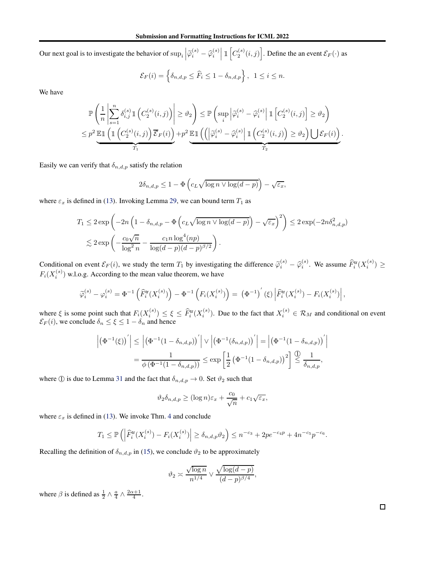Our next goal is to investigate the behavior of  $\sup_i \left| \widetilde{\varphi}_i^{(s)} - \widehat{\varphi}_i^{(s)} \right|$  $\left[ \mathbbm{1}\left[C_2^{(s)}(i,j)\right].$  Define the an event  $\mathcal{E}_F(\cdot)$  as

$$
\mathcal{E}_F(i) = \left\{ \delta_{n,d,p} \leq \widehat{F}_i \leq 1 - \delta_{n,d,p} \right\}, \ \ 1 \leq i \leq n.
$$

We have

$$
\mathbb{P}\left(\frac{1}{n}\left|\sum_{s=1}^n \delta_{i,j}^{(s)}\mathbbm{1}\left(C_2^{(s)}(i,j)\right)\right| \geq \vartheta_2\right) \leq \mathbb{P}\left(\sup_i \left|\tilde{\varphi}_i^{(s)} - \hat{\varphi}_i^{(s)}\right|\mathbbm{1}\left[C_2^{(s)}(i,j)\right] \geq \vartheta_2\right)
$$
  

$$
\leq p^2 \underbrace{\mathbb{E}\mathbb{1}\left(\mathbbm{1}\left(C_2^{(s)}(i,j)\right)\overline{\mathcal{E}}_F(i)\right)}_{T_1} + p^2 \underbrace{\mathbb{E}\mathbb{1}\left(\left(\left|\tilde{\varphi}_i^{(s)} - \hat{\varphi}_i^{(s)}\right|\mathbbm{1}\left(C_2^{(s)}(i,j)\right) \geq \vartheta_2\right)\bigcup \mathcal{E}_F(i)\right)}_{T_2}.
$$

Easily we can verify that  $\delta_{n,d,p}$  satisfy the relation

$$
2\delta_{n,d,p} \le 1 - \Phi\left(c_L \sqrt{\log n \vee \log(d-p)}\right) - \sqrt{\varepsilon_x},
$$

where  $\varepsilon_x$  is defined in [\(13\)](#page-5-5). Invoking Lemma [29,](#page-37-1) we can bound term  $T_1$  as

$$
T_1 \le 2 \exp\left(-2n\left(1 - \delta_{n,d,p} - \Phi\left(c_L\sqrt{\log n \vee \log(d-p)}\right) - \sqrt{\varepsilon_x}\right)^2\right) \le 2 \exp(-2n\delta_{n,d,p}^2)
$$
  

$$
\lesssim 2 \exp\left(-\frac{c_0\sqrt{n}}{\log^2 n} - \frac{c_1n\log^4(np)}{\log(d-p)(d-p)^{\beta/2}}\right).
$$

Conditional on event  $\mathcal{E}_F(i)$ , we study the term  $T_1$  by investigating the difference  $\widetilde{\varphi}_i^{(s)} - \widehat{\varphi}_i^{(s)}$ . We assume  $\widehat{F}_i^{\text{tr}}(X_i^{(s)}) \ge$  $F_i(X_i^{(s)})$  w.l.o.g. According to the mean value theorem, we have

$$
\widetilde{\varphi}_i^{(s)} - \varphi_i^{(s)} = \Phi^{-1}\left(\widehat{F}_i^{\text{tr}}(X_i^{(s)})\right) - \Phi^{-1}\left(F_i(X_i^{(s)})\right) = (\Phi^{-1})^{'}(\xi)\left|\widehat{F}_i^{\text{tr}}(X_i^{(s)}) - F_i(X_i^{(s)})\right|,
$$

where  $\xi$  is some point such that  $F_i(X_i^{(s)})$  $\widehat{F}_i^{(s)}$ )  $\leq \xi \leq \widehat{F}_i^{\text{tr}}(X_i^{(s)})$  $\mathcal{L}_{i}^{(s)}$ ). Due to the fact that  $X_{i}^{(s)} \in \mathcal{R}_{M}$  and conditional on event  $\mathcal{E}_F(i)$ , we conclude  $\delta_n \leq \xi \leq 1 - \delta_n$  and hence

$$
\left| \left( \Phi^{-1}(\xi) \right)' \right| \le \left| \left( \Phi^{-1} (1 - \delta_{n,d,p}) \right)' \right| \vee \left| \left( \Phi^{-1} (\delta_{n,d,p}) \right)' \right| = \left| \left( \Phi^{-1} (1 - \delta_{n,d,p}) \right)' \right|
$$

$$
= \frac{1}{\phi(\Phi^{-1} (1 - \delta_{n,d,p}))} \le \exp \left[ \frac{1}{2} \left( \Phi^{-1} (1 - \delta_{n,d,p}) \right)^2 \right] \stackrel{\text{(1)}}{\le} \frac{1}{\delta_{n,d,p}},
$$

where ① is due to Lemma [31](#page-42-2) and the fact that  $\delta_{n,d,p} \to 0$ . Set  $\vartheta_2$  such that

$$
\vartheta_2 \delta_{n,d,p} \ge (\log n) \varepsilon_x + \frac{c_0}{\sqrt{n}} + c_1 \sqrt{\varepsilon_x},
$$

where  $\varepsilon_x$  is defined in [\(13\)](#page-5-5). We invoke Thm. [4](#page-5-0) and conclude

$$
T_1 \le \mathbb{P}\left(\left|\widehat{F}_i^{\text{tr}}(X_i^{(s)}) - F_i(X_i^{(s)})\right| \ge \delta_{n,d,p}\vartheta_2\right) \le n^{-c_3} + 2pe^{-c_4p} + 4n^{-c_5}p^{-c_6}.
$$

Recalling the definition of  $\delta_{n,d,p}$  in [\(15\)](#page-5-3), we conclude  $\vartheta_2$  to be approximately

$$
\vartheta_2 \asymp \frac{\sqrt{\log n}}{n^{1/4}} \vee \frac{\sqrt{\log(d-p)}}{(d-p)^{\beta/4}},
$$

where  $\beta$  is defined as  $\frac{1}{2} \wedge \frac{a}{4} \wedge \frac{2\alpha+1}{4}$ .

 $\Box$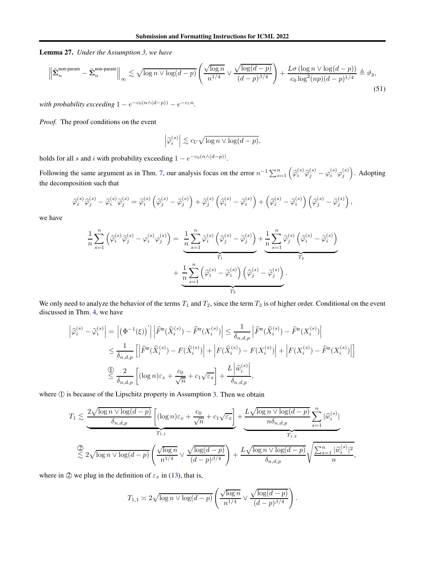<span id="page-36-0"></span>Lemma 27. *Under the Assumption [3,](#page-5-2) we have*

$$
\left\| \widehat{\Sigma}_n^{\text{non-param}} - \widetilde{\Sigma}_n^{\text{non-param}} \right\|_{\infty} \lesssim \sqrt{\log n \vee \log(d-p)} \left( \frac{\sqrt{\log n}}{n^{1/4}} \vee \frac{\sqrt{\log(d-p)}}{(d-p)^{\beta/4}} \right) + \frac{L\sigma(\log n \vee \log(d-p))}{c_0 \log^2(np)(d-p)^{1/4}} \triangleq \vartheta_3,
$$
\n(51)

*with probability exceeding*  $1 - e^{-c_0(n \wedge (d-p))} - e^{-c_1 n}$ .

*Proof.* The proof conditions on the event

$$
\left|\widetilde{\varphi}_i^{(s)}\right| \lesssim c_U \sqrt{\log n \vee \log(d-p)},
$$

holds for all s and i with probability exceeding  $1 - e^{-c_0(n \wedge (d-p))}$ .

Following the same argument as in Thm. [7,](#page-31-3) our analysis focus on the error  $n^{-1} \sum_{s=1}^{n} (\hat{\varphi}_i^{(s)} \hat{\varphi}_j^{(s)} - \varphi_i^{(s)} \varphi_j^{(s)})$ . Adopting the decomposition such that

$$
\widehat{\varphi}_i^{(s)} \widehat{\varphi}_j^{(s)} - \widetilde{\varphi}_i^{(s)} \widetilde{\varphi}_j^{(s)} = \widetilde{\varphi}_i^{(s)} \left( \widehat{\varphi}_j^{(s)} - \widetilde{\varphi}_j^{(s)} \right) + \widetilde{\varphi}_j^{(s)} \left( \widehat{\varphi}_i^{(s)} - \widetilde{\varphi}_i^{(s)} \right) + \left( \widehat{\varphi}_i^{(s)} - \widetilde{\varphi}_i^{(s)} \right) \left( \widehat{\varphi}_j^{(s)} - \widetilde{\varphi}_j^{(s)} \right),
$$

we have

$$
\frac{1}{n} \sum_{s=1}^{n} \left( \widehat{\varphi}_i^{(s)} \widehat{\varphi}_j^{(s)} - \varphi_i^{(s)} \varphi_j^{(s)} \right) = \underbrace{\frac{1}{n} \sum_{s=1}^{n} \widetilde{\varphi}_i^{(s)} \left( \widehat{\varphi}_j^{(s)} - \widetilde{\varphi}_j^{(s)} \right)}_{T_1} + \underbrace{\frac{1}{n} \sum_{s=1}^{n} \widetilde{\varphi}_i^{(s)} \left( \widehat{\varphi}_i^{(s)} - \widetilde{\varphi}_j^{(s)} \right)}_{T_2} + \underbrace{\frac{1}{n} \sum_{s=1}^{n} \left( \widehat{\varphi}_i^{(s)} - \widetilde{\varphi}_i^{(s)} \right) \left( \widehat{\varphi}_j^{(s)} - \widetilde{\varphi}_j^{(s)} \right)}_{T_3}.
$$

We only need to analyze the behavior of the terms  $T_1$  and  $T_2$ , since the term  $T_3$  is of higher order. Conditional on the event discussed in Thm. [4,](#page-5-0) we have

$$
\left| \hat{\varphi}_i^{(s)} - \tilde{\varphi}_i^{(s)} \right| = \left| \left( \Phi^{-1}(\xi) \right)' \right| \left| \hat{F}^{\text{tr}}(\hat{X}_i^{(s)}) - \hat{F}^{\text{tr}}(X_i^{(s)}) \right| \le \frac{1}{\delta_{n,d,p}} \left| \hat{F}^{\text{tr}}(\hat{X}_i^{(s)}) - \hat{F}^{\text{tr}}(X_i^{(s)}) \right|
$$
  

$$
\le \frac{1}{\delta_{n,d,p}} \left[ \left| \hat{F}^{\text{tr}}(\hat{X}_i^{(s)}) - F(\hat{X}_i^{(s)}) \right| + \left| F(\hat{X}_i^{(s)}) - F(X_i^{(s)}) \right| + \left| F(X_i^{(s)}) - \hat{F}^{\text{tr}}(X_i^{(s)}) \right| \right]
$$
  

$$
\stackrel{\text{(1)}{\le} \frac{2}{\delta_{n,d,p}} \left[ \left( \log n \right) \varepsilon_x + \frac{c_0}{\sqrt{n}} + c_1 \sqrt{\varepsilon_x} \right] + \frac{L \left| \hat{w}_i^{(s)} \right|}{\delta_{n,d,p}},
$$

where  $\Phi$  is because of the Lipschitz property in Assumption [3.](#page-5-2) Then we obtain

$$
T_1 \lesssim \underbrace{\frac{2\sqrt{\log n \vee \log(d-p)}}{\delta_{n,d,p}} \left[ (\log n)\varepsilon_x + \frac{c_0}{\sqrt{n}} + c_1 \sqrt{\varepsilon_x} \right]}_{T_{1,1}} + \underbrace{\frac{L\sqrt{\log n \vee \log(d-p)}}{n\delta_{n,d,p}} \sum_{s=1}^n |\widehat{w}_i^{(s)}|}_{T_{1,2}} \right]}_{T_{1,2}} \lesssim 2\sqrt{\log n \vee \log(d-p)} \left( \frac{\sqrt{\log n}}{n^{1/4}} \vee \frac{\sqrt{\log(d-p)}}{(d-p)^{\beta/4}} \right) + \frac{L\sqrt{\log n \vee \log(d-p)}}{\delta_{n,d,p}} \sqrt{\frac{\sum_{s=1}^n |\widehat{w}_i^{(s)}|^2}{n}},
$$

where in  $\oslash$  we plug in the definition of  $\varepsilon_x$  in [\(13\)](#page-5-5), that is,

$$
T_{1,1} \approx 2\sqrt{\log n \vee \log(d-p)} \left( \frac{\sqrt{\log n}}{n^{1/4}} \vee \frac{\sqrt{\log(d-p)}}{(d-p)^{\beta/4}} \right).
$$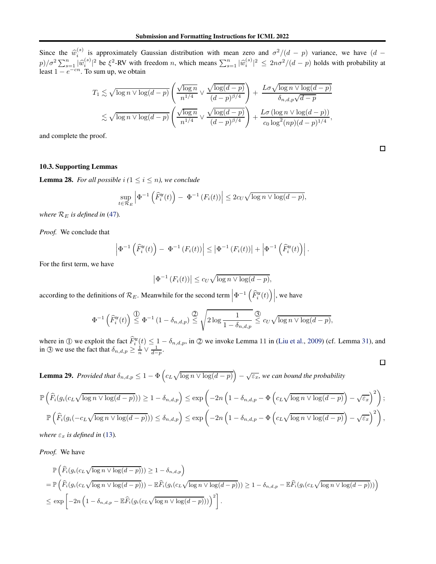Since the  $\widehat{w}_i^{(s)}$ <sup>(s)</sup> is approximately Gaussian distribution with mean zero and  $\sigma^2/(d-p)$  variance, we have  $(d-p)$  $\frac{p}{\sigma^2} \sum_{s=1}^n |\widehat{w}_i^{(s)}|^2$  be  $\xi^2$ -RV with freedom *n*, which means  $\sum_{s=1}^n |\widehat{w}_i^{(s)}|^2 \leq 2n\sigma^2/(d-p)$  holds with probability at least  $1 - e^{-cn}$ . To sum up, we obtain

$$
T_1 \lesssim \sqrt{\log n \vee \log(d-p)} \left( \frac{\sqrt{\log n}}{n^{1/4}} \vee \frac{\sqrt{\log(d-p)}}{(d-p)^{\beta/4}} \right) + \frac{L\sigma \sqrt{\log n \vee \log(d-p)}}{\delta_{n,d,p}\sqrt{d-p}} \lesssim \sqrt{\log n \vee \log(d-p)} \left( \frac{\sqrt{\log n}}{n^{1/4}} \vee \frac{\sqrt{\log(d-p)}}{(d-p)^{\beta/4}} \right) + \frac{L\sigma (\log n \vee \log(d-p))}{c_0 \log^2(np)(d-p)^{1/4}},
$$

and complete the proof.

### 10.3. Supporting Lemmas

<span id="page-37-0"></span>**Lemma 28.** *For all possible*  $i$  ( $1 \leq i \leq n$ ), we conclude

$$
\sup_{t \in \mathcal{R}_E} \left| \Phi^{-1}\left(\widehat{F}_i^{\text{tr}}(t)\right) - \Phi^{-1}\left(F_i(t)\right) \right| \le 2c_U \sqrt{\log n \vee \log(d-p)},
$$

*where*  $\mathcal{R}_E$  *is defined in* [\(47\)](#page-32-0).

*Proof.* We conclude that

$$
\left|\Phi^{-1}\left(\widehat{F}_i^{\text{tr}}(t)\right)-\Phi^{-1}\left(F_i(t)\right)\right|\leq \left|\Phi^{-1}\left(F_i(t)\right)\right|+\left|\Phi^{-1}\left(\widehat{F}_i^{\text{tr}}(t)\right)\right|.
$$

For the first term, we have

$$
\left|\Phi^{-1}\left(F_i(t)\right)\right| \leq c_U \sqrt{\log n \vee \log(d-p)},
$$

according to the definitions of  $\mathcal{R}_E$ . Meanwhile for the second term  $\left|\Phi^{-1}\left(\widehat{F}_i^{\text{tr}}(t)\right)\right|$ , we have

$$
\Phi^{-1}\left(\widehat{F}_i^{\text{tr}}(t)\right) \stackrel{\text{(1)}}{\leq} \Phi^{-1}\left(1-\delta_{n,d,p}\right) \stackrel{\text{(2)}}{\leq} \sqrt{2\log \frac{1}{1-\delta_{n,d,p}}} \stackrel{\text{(3)}}{\leq} c_U \sqrt{\log n \vee \log(d-p)},
$$

where in ① we exploit the fact  $\hat{F}_i^{\text{tr}}(t) \leq 1 - \delta_{n,d,p}$ , in ② we invoke Lemma 11 in [\(Liu et al.,](#page-8-3) [2009\)](#page-8-3) (cf. Lemma [31\)](#page-42-2), and in ③ we use the fact that  $\delta_{n,d,p} \geq \frac{1}{n} \vee \frac{1}{d-p}$ .

<span id="page-37-1"></span>**Lemma 29.** *Provided that*  $\delta_{n,d,p} \leq 1 - \Phi\left(c_L \sqrt{\log n \vee \log(d-p)}\right)$  $-\sqrt{\varepsilon_x}$ , we can bound the probability

$$
\mathbb{P}\left(\widehat{F}_i(g_i(c_L\sqrt{\log n\vee \log(d-p)}))\geq 1-\delta_{n,d,p}\right)\leq \exp\left(-2n\left(1-\delta_{n,d,p}-\Phi\left(c_L\sqrt{\log n\vee \log(d-p)}\right)-\sqrt{\varepsilon_x}\right)^2\right);
$$
  

$$
\mathbb{P}\left(\widehat{F}_i(g_i(-c_L\sqrt{\log n\vee \log(d-p)}))\leq \delta_{n,d,p}\right)\leq \exp\left(-2n\left(1-\delta_{n,d,p}-\Phi\left(c_L\sqrt{\log n\vee \log(d-p)}\right)-\sqrt{\varepsilon_x}\right)^2\right),
$$

*where*  $\varepsilon_x$  *is defined in* [\(13\)](#page-5-5).

*Proof.* We have

$$
\mathbb{P}\left(\widehat{F}_i(g_i(c_L\sqrt{\log n \vee \log(d-p)})) \ge 1 - \delta_{n,d,p}\right)
$$
\n
$$
= \mathbb{P}\left(\widehat{F}_i(g_i(c_L\sqrt{\log n \vee \log(d-p)})) - \mathbb{E}\widehat{F}_i(g_i(c_L\sqrt{\log n \vee \log(d-p)})) \ge 1 - \delta_{n,d,p} - \mathbb{E}\widehat{F}_i(g_i(c_L\sqrt{\log n \vee \log(d-p)}))\right)
$$
\n
$$
\le \exp\left[-2n\left(1 - \delta_{n,d,p} - \mathbb{E}\widehat{F}_i(g_i(c_L\sqrt{\log n \vee \log(d-p)}))\right)^2\right].
$$

 $\Box$ 

 $\Box$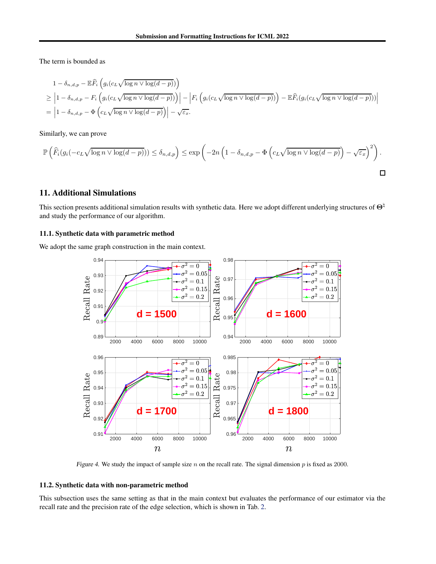The term is bounded as

$$
1 - \delta_{n,d,p} - \mathbb{E}\widehat{F}_i\left(g_i(c_L\sqrt{\log n \vee \log(d-p)})\right)
$$
  
\n
$$
\geq \left|1 - \delta_{n,d,p} - F_i\left(g_i(c_L\sqrt{\log n \vee \log(d-p)})\right)\right| - \left|F_i\left(g_i(c_L\sqrt{\log n \vee \log(d-p)})\right) - \mathbb{E}\widehat{F}_i(g_i(c_L\sqrt{\log n \vee \log(d-p)}))\right|
$$
  
\n
$$
= \left|1 - \delta_{n,d,p} - \Phi\left(c_L\sqrt{\log n \vee \log(d-p)}\right)\right| - \sqrt{\varepsilon_x}.
$$

Similarly, we can prove

$$
\mathbb{P}\left(\widehat{F}_i(g_i(-c_L\sqrt{\log n\vee \log(d-p)}))\leq \delta_{n,d,p}\right)\leq \exp\left(-2n\left(1-\delta_{n,d,p}-\Phi\left(c_L\sqrt{\log n\vee \log(d-p)}\right)-\sqrt{\varepsilon_x}\right)^2\right).
$$

# 11. Additional Simulations

This section presents additional simulation results with synthetic data. Here we adopt different underlying structures of  $\Theta^{\natural}$ and study the performance of our algorithm.

#### 11.1. Synthetic data with parametric method

We adopt the same graph construction in the main context.



Figure 4. We study the impact of sample size  $n$  on the recall rate. The signal dimension  $p$  is fixed as 2000.

### 11.2. Synthetic data with non-parametric method

This subsection uses the same setting as that in the main context but evaluates the performance of our estimator via the recall rate and the precision rate of the edge selection, which is shown in Tab. [2.](#page-40-0)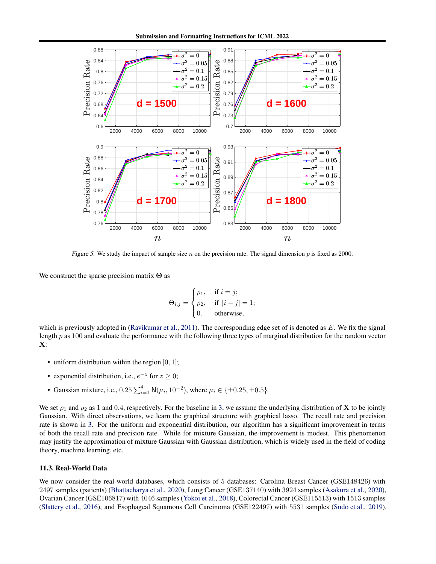Submission and Formatting Instructions for ICML 2022



<span id="page-39-0"></span>Figure 5. We study the impact of sample size n on the precision rate. The signal dimension p is fixed as 2000.

We construct the sparse precision matrix  $\Theta$  as

$$
\Theta_{i,j} = \begin{cases} \rho_1, & \text{if } i = j; \\ \rho_2, & \text{if } |i - j| = 1; \\ 0. & \text{otherwise,} \end{cases}
$$

which is previously adopted in [\(Ravikumar et al.](#page-9-0), [2011](#page-9-0)). The corresponding edge set of is denoted as  $E$ . We fix the signal length p as 100 and evaluate the performance with the following three types of marginal distribution for the random vector X:

- uniform distribution within the region  $[0, 1]$ ;
- exponential distribution, i.e.,  $e^{-z}$  for  $z \ge 0$ ;
- Gaussian mixture, i.e.,  $0.25 \sum_{i=1}^{4} N(\mu_i, 10^{-2})$ , where  $\mu_i \in {\pm 0.25, \pm 0.5}$ .

We set  $\rho_1$  and  $\rho_2$  as 1 and 0.4, respectively. For the baseline in [3,](#page-41-3) we assume the underlying distribution of **X** to be jointly Gaussian. With direct observations, we learn the graphical structure with graphical lasso. The recall rate and precision rate is shown in [3.](#page-41-3) For the uniform and exponential distribution, our algorithm has a significant improvement in terms of both the recall rate and precision rate. While for mixture Gaussian, the improvement is modest. This phenomenon may justify the approximation of mixture Gaussian with Gaussian distribution, which is widely used in the field of coding theory, machine learning, etc.

#### 11.3. Real-World Data

We now consider the real-world databases, which consists of 5 databases: Carolina Breast Cancer (GSE148426) with 2497 samples (patients) [\(Bhattacharya et al.](#page-8-19), [2020\)](#page-8-19), Lung Cancer (GSE137140) with 3924 samples [\(Asakura et al.,](#page-8-20) [2020\)](#page-8-20), Ovarian Cancer (GSE106817) with 4046 samples [\(Yokoi et al.,](#page-9-10) [2018\)](#page-9-10), Colorectal Cancer (GSE115513) with 1513 samples [\(Slattery et al.](#page-9-11), [2016](#page-9-11)), and Esophageal Squamous Cell Carcinoma (GSE122497) with 5531 samples [\(Sudo et al.](#page-9-12), [2019\)](#page-9-12).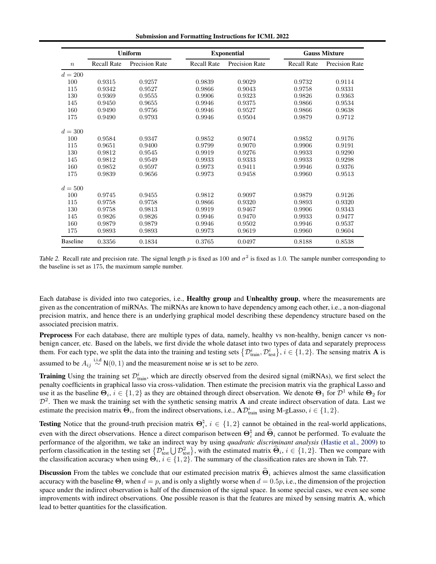Submission and Formatting Instructions for ICML 2022

|                  |                    | <b>Uniform</b> |                    | <b>Exponential</b> | <b>Gauss Mixture</b> |                       |  |
|------------------|--------------------|----------------|--------------------|--------------------|----------------------|-----------------------|--|
| $\boldsymbol{n}$ | <b>Recall Rate</b> | Precision Rate | <b>Recall Rate</b> | Precision Rate     | <b>Recall Rate</b>   | <b>Precision Rate</b> |  |
| $d = 200$        |                    |                |                    |                    |                      |                       |  |
| 100              | 0.9315             | 0.9257         | 0.9839             | 0.9029             | 0.9732               | 0.9114                |  |
| 115              | 0.9342             | 0.9527         | 0.9866             | 0.9043             | 0.9758               | 0.9331                |  |
| 130              | 0.9369             | 0.9555         | 0.9906             | 0.9323             | 0.9826               | 0.9363                |  |
| 145              | 0.9450             | 0.9655         | 0.9946             | 0.9375             | 0.9866               | 0.9534                |  |
| 160              | 0.9490             | 0.9756         | 0.9946             | 0.9527             | 0.9866               | 0.9638                |  |
| 175              | 0.9490             | 0.9793         | 0.9946             | 0.9504             | 0.9879               | 0.9712                |  |
| $d = 300$        |                    |                |                    |                    |                      |                       |  |
| 100              | 0.9584             | 0.9347         | 0.9852             | 0.9074             | 0.9852               | 0.9176                |  |
| 115              | 0.9651             | 0.9400         | 0.9799             | 0.9070             | 0.9906               | 0.9191                |  |
| 130              | 0.9812             | 0.9545         | 0.9919             | 0.9276             | 0.9933               | 0.9290                |  |
| 145              | 0.9812             | 0.9549         | 0.9933             | 0.9333             | 0.9933               | 0.9298                |  |
| 160              | 0.9852             | 0.9597         | 0.9973             | 0.9411             | 0.9946               | 0.9376                |  |
| 175              | 0.9839             | 0.9656         | 0.9973             | 0.9458             | 0.9960               | 0.9513                |  |
| $d = 500$        |                    |                |                    |                    |                      |                       |  |
| 100              | 0.9745             | 0.9455         | 0.9812             | 0.9097             | 0.9879               | 0.9126                |  |
| 115              | 0.9758             | 0.9758         | 0.9866             | 0.9320             | 0.9893               | 0.9320                |  |
| 130              | 0.9758             | 0.9813         | 0.9919             | 0.9467             | 0.9906               | 0.9343                |  |
| 145              | 0.9826             | 0.9826         | 0.9946             | 0.9470             | 0.9933               | 0.9477                |  |
| 160              | 0.9879             | 0.9879         | 0.9946             | 0.9502             | 0.9946               | 0.9537                |  |
| 175              | 0.9893             | 0.9893         | 0.9973             | 0.9619             | 0.9960               | 0.9604                |  |
| <b>Baseline</b>  | 0.3356             | 0.1834         | 0.3765             | 0.0497             | 0.8188               | 0.8538                |  |

<span id="page-40-0"></span>Table 2. Recall rate and precision rate. The signal length p is fixed as 100 and  $\sigma^2$  is fixed as 1.0. The sample number corresponding to the baseline is set as 175, the maximum sample number.

Each database is divided into two categories, i.e., Healthy group and Unhealthy group, where the measurements are given as the concentration of miRNAs. The miRNAs are known to have dependency among each other, i.e., a non-diagonal precision matrix, and hence there is an underlying graphical model describing these dependency structure based on the associated precision matrix.

Preprocess For each database, there are multiple types of data, namely, healthy vs non-healthy, benign cancer vs nonbenign cancer, etc. Based on the labels, we first divide the whole dataset into two types of data and separately preprocess them. For each type, we split the data into the training and testing sets  $\{\mathcal{D}_{\text{train}}^i, \mathcal{D}_{\text{test}}^i\}$ ,  $i \in \{1, 2\}$ . The sensing matrix **A** is assumed to be  $A_{ij} \stackrel{\text{i.i.d}}{\sim} N(0, 1)$  and the measurement noise w is set to be zero.

**Training** Using the training set  $\mathcal{D}_{\text{train}}^i$ , which are directly observed from the desired signal (miRNAs), we first select the penalty coefficients in graphical lasso via cross-validation. Then estimate the precision matrix via the graphical Lasso and use it as the baseline  $\Theta_i$ ,  $i \in \{1,2\}$  as they are obtained through direct observation. We denote  $\Theta_1$  for  $\mathcal{D}^1$  while  $\Theta_2$  for  $\mathcal{D}^2$ . Then we mask the training set with the synthetic sensing matrix **A** and create indirect observation of data. Last we estimate the precision matrix  $\widehat{\Theta}_i$ , from the indirect observations, i.e.,  $A\mathcal{D}_{\text{train}}^i$  using M-gLasso,  $i \in \{1, 2\}$ .

**Testing** Notice that the ground-truth precision matrix  $\mathbf{\Theta}_i^{\natural}$ ,  $i \in \{1,2\}$  cannot be obtained in the real-world applications, even with the direct observations. Hence a direct comparison between  $\Theta_i^{\dagger}$  and  $\hat{\Theta}_i$  cannot be performed. To evaluate the performance of the algorithm, we take an indirect way by using *quadratic discriminant analysis* [\(Hastie et al.](#page-8-23), [2009](#page-8-23)) to perform classification in the testing set  $\left\{ \mathcal{D}_{\text{test}}^1 \bigcup \mathcal{D}_{\text{test}}^2 \right\}$ , with the estimated matrix  $\hat{\Theta}_i$ ,  $i \in \{1,2\}$ . Then we compare with the classification accuracy when using  $\Theta_i$ ,  $i \in \{1, 2\}$ . The summary of the classification rates are shown in Tab. ??.

**Discussion** From the tables we conclude that our estimated precision matrix  $\hat{\Theta}_i$  achieves almost the same classification accuracy with the baseline  $\Theta_i$  when  $d = p$ , and is only a slightly worse when  $d = 0.5p$ , i.e., the dimension of the projection space under the indirect observation is half of the dimension of the signal space. In some special cases, we even see some improvements with indirect observations. One possible reason is that the features are mixed by sensing matrix A, which lead to better quantities for the classification.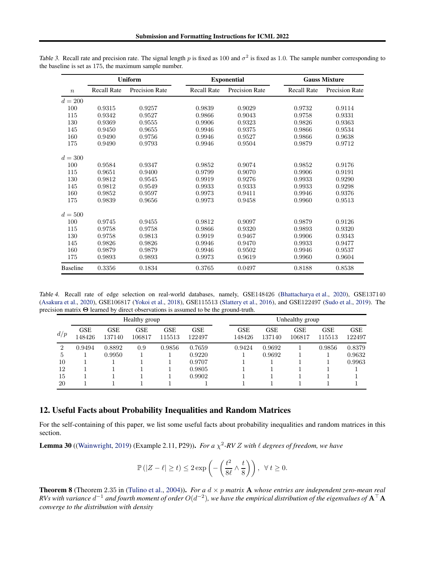<span id="page-41-3"></span>

|                  |                    | <b>Uniform</b>        |                    | <b>Exponential</b>    | <b>Gauss Mixture</b> |                       |  |
|------------------|--------------------|-----------------------|--------------------|-----------------------|----------------------|-----------------------|--|
| $\boldsymbol{n}$ | <b>Recall Rate</b> | <b>Precision Rate</b> | <b>Recall Rate</b> | <b>Precision Rate</b> | <b>Recall Rate</b>   | <b>Precision Rate</b> |  |
| $d = 200$        |                    |                       |                    |                       |                      |                       |  |
| 100              | 0.9315             | 0.9257                | 0.9839             | 0.9029                | 0.9732               | 0.9114                |  |
| 115              | 0.9342             | 0.9527                | 0.9866             | 0.9043                | 0.9758               | 0.9331                |  |
| 130              | 0.9369             | 0.9555                | 0.9906             | 0.9323                | 0.9826               | 0.9363                |  |
| 145              | 0.9450             | 0.9655                | 0.9946             | 0.9375                | 0.9866               | 0.9534                |  |
| 160              | 0.9490             | 0.9756                | 0.9946             | 0.9527                | 0.9866               | 0.9638                |  |
| 175              | 0.9490             | 0.9793                | 0.9946             | 0.9504                | 0.9879               | 0.9712                |  |
| $d = 300$        |                    |                       |                    |                       |                      |                       |  |
| 100              | 0.9584             | 0.9347                | 0.9852             | 0.9074                | 0.9852               | 0.9176                |  |
| 115              | 0.9651             | 0.9400                | 0.9799             | 0.9070                | 0.9906               | 0.9191                |  |
| 130              | 0.9812             | 0.9545                | 0.9919             | 0.9276                | 0.9933               | 0.9290                |  |
| 145              | 0.9812             | 0.9549                | 0.9933             | 0.9333                | 0.9933               | 0.9298                |  |
| 160              | 0.9852             | 0.9597                | 0.9973             | 0.9411                | 0.9946               | 0.9376                |  |
| 175              | 0.9839             | 0.9656                | 0.9973             | 0.9458                | 0.9960               | 0.9513                |  |
| $d = 500$        |                    |                       |                    |                       |                      |                       |  |
| 100              | 0.9745             | 0.9455                | 0.9812             | 0.9097                | 0.9879               | 0.9126                |  |
| 115              | 0.9758             | 0.9758                | 0.9866             | 0.9320                | 0.9893               | 0.9320                |  |
| 130              | 0.9758             | 0.9813                | 0.9919             | 0.9467                | 0.9906               | 0.9343                |  |
| 145              | 0.9826             | 0.9826                | 0.9946             | 0.9470                | 0.9933               | 0.9477                |  |
| 160              | 0.9879             | 0.9879                | 0.9946             | 0.9502                | 0.9946               | 0.9537                |  |
| 175              | 0.9893             | 0.9893                | 0.9973             | 0.9619                | 0.9960               | 0.9604                |  |
| <b>Baseline</b>  | 0.3356             | 0.1834                | 0.3765             | 0.0497                | 0.8188               | 0.8538                |  |

Table 3. Recall rate and precision rate. The signal length p is fixed as 100 and  $\sigma^2$  is fixed as 1.0. The sample number corresponding to the baseline is set as 175, the maximum sample number.

Table 4. Recall rate of edge selection on real-world databases, namely, GSE148426 [\(Bhattacharya et al.,](#page-8-19) [2020](#page-8-19)), GSE137140 [\(Asakura et al.,](#page-8-20) [2020](#page-8-20)), GSE106817 [\(Yokoi et al.](#page-9-10), [2018](#page-9-10)), GSE115513 [\(Slattery et al.](#page-9-11), [2016](#page-9-11)), and GSE122497 [\(Sudo et al.,](#page-9-12) [2019\)](#page-9-12). The precision matrix Θ learned by direct observations is assumed to be the ground-truth.

<span id="page-41-0"></span>

| Healthy group |                      |                      |                      |                      |                      | Unhealthy group      |               |                      |                      |                      |  |  |
|---------------|----------------------|----------------------|----------------------|----------------------|----------------------|----------------------|---------------|----------------------|----------------------|----------------------|--|--|
| d/p           | <b>GSE</b><br>148426 | <b>GSE</b><br>137140 | <b>GSE</b><br>106817 | <b>GSE</b><br>115513 | <b>GSE</b><br>122497 | <b>GSE</b><br>148426 | GSE<br>137140 | <b>GSE</b><br>106817 | <b>GSE</b><br>115513 | <b>GSE</b><br>122497 |  |  |
| 2             | 0.9494               | 0.8892               | 0.9                  | 0.9856               | 0.7659               | 0.9424               | 0.9692        |                      | 0.9856               | 0.8379               |  |  |
| 5             |                      | 0.9950               |                      |                      | 0.9220               |                      | 0.9692        |                      |                      | 0.9632               |  |  |
| 10            |                      |                      |                      |                      | 0.9707               |                      |               |                      |                      | 0.9963               |  |  |
| 12            |                      |                      |                      |                      | 0.9805               |                      |               |                      |                      |                      |  |  |
| 15            |                      |                      |                      |                      | 0.9902               |                      |               |                      |                      |                      |  |  |
| 20            |                      |                      |                      |                      |                      |                      |               |                      |                      |                      |  |  |

### 12. Useful Facts about Probability Inequalities and Random Matrices

For the self-containing of this paper, we list some useful facts about probability inequalities and random matrices in this section.

<span id="page-41-1"></span>**Lemma 30** ([\(Wainwright,](#page-9-3) [2019\)](#page-9-3) (Example 2.11, P29)). *For a*  $\chi^2$ -RV Z with  $\ell$  degrees of freedom, we have

$$
\mathbb{P}(|Z-\ell|\geq t) \leq 2\exp\left(-\left(\frac{t^2}{8\ell}\wedge\frac{t}{8}\right)\right), \ \forall t\geq 0.
$$

<span id="page-41-2"></span>**Theorem 8** (Theorem 2.35 in [\(Tulino et al.](#page-9-16), [2004](#page-9-16))). *For a*  $d \times p$  *matrix* **A** *whose entries are independent zero-mean real*  $R$ Vs with variance  $d^{-1}$  and fourth moment of order  $O(d^{-2})$ , we have the empirical distribution of the eigenvalues of  ${\bf A}^\top {\bf A}$ *converge to the distribution with density*